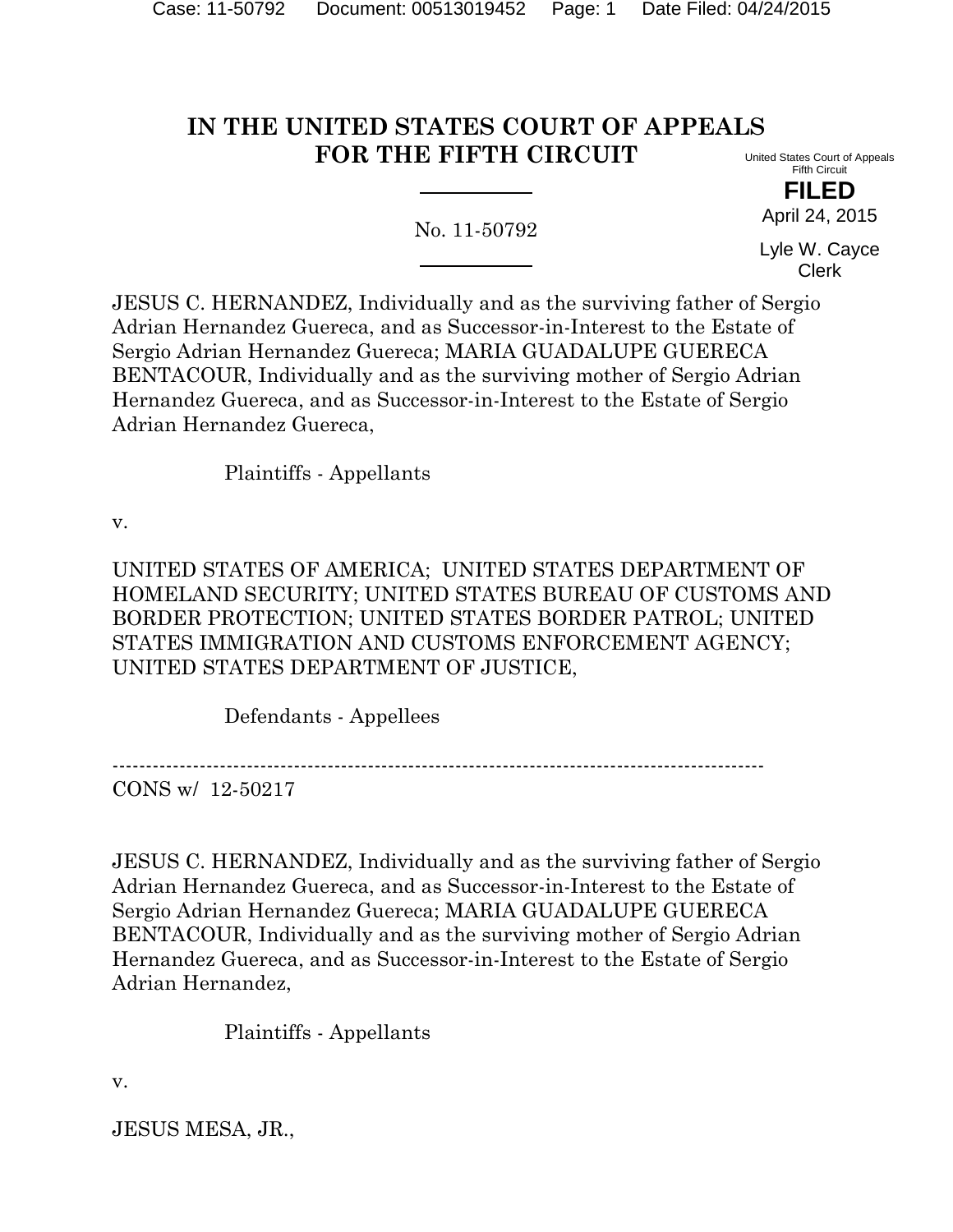# **IN THE UNITED STATES COURT OF APPEALS FOR THE FIFTH CIRCUIT**

No. 11-50792

United States Court of Appeals Fifth Circuit

> **FILED** April 24, 2015

Lyle W. Cayce Clerk

JESUS C. HERNANDEZ, Individually and as the surviving father of Sergio Adrian Hernandez Guereca, and as Successor-in-Interest to the Estate of Sergio Adrian Hernandez Guereca; MARIA GUADALUPE GUERECA BENTACOUR, Individually and as the surviving mother of Sergio Adrian Hernandez Guereca, and as Successor-in-Interest to the Estate of Sergio Adrian Hernandez Guereca,

Plaintiffs - Appellants

v.

UNITED STATES OF AMERICA; UNITED STATES DEPARTMENT OF HOMELAND SECURITY; UNITED STATES BUREAU OF CUSTOMS AND BORDER PROTECTION; UNITED STATES BORDER PATROL; UNITED STATES IMMIGRATION AND CUSTOMS ENFORCEMENT AGENCY; UNITED STATES DEPARTMENT OF JUSTICE,

Defendants - Appellees

-------------------------------------------------------------------------------------------------

CONS w/ 12-50217

JESUS C. HERNANDEZ, Individually and as the surviving father of Sergio Adrian Hernandez Guereca, and as Successor-in-Interest to the Estate of Sergio Adrian Hernandez Guereca; MARIA GUADALUPE GUERECA BENTACOUR, Individually and as the surviving mother of Sergio Adrian Hernandez Guereca, and as Successor-in-Interest to the Estate of Sergio Adrian Hernandez,

Plaintiffs - Appellants

v.

JESUS MESA, JR.,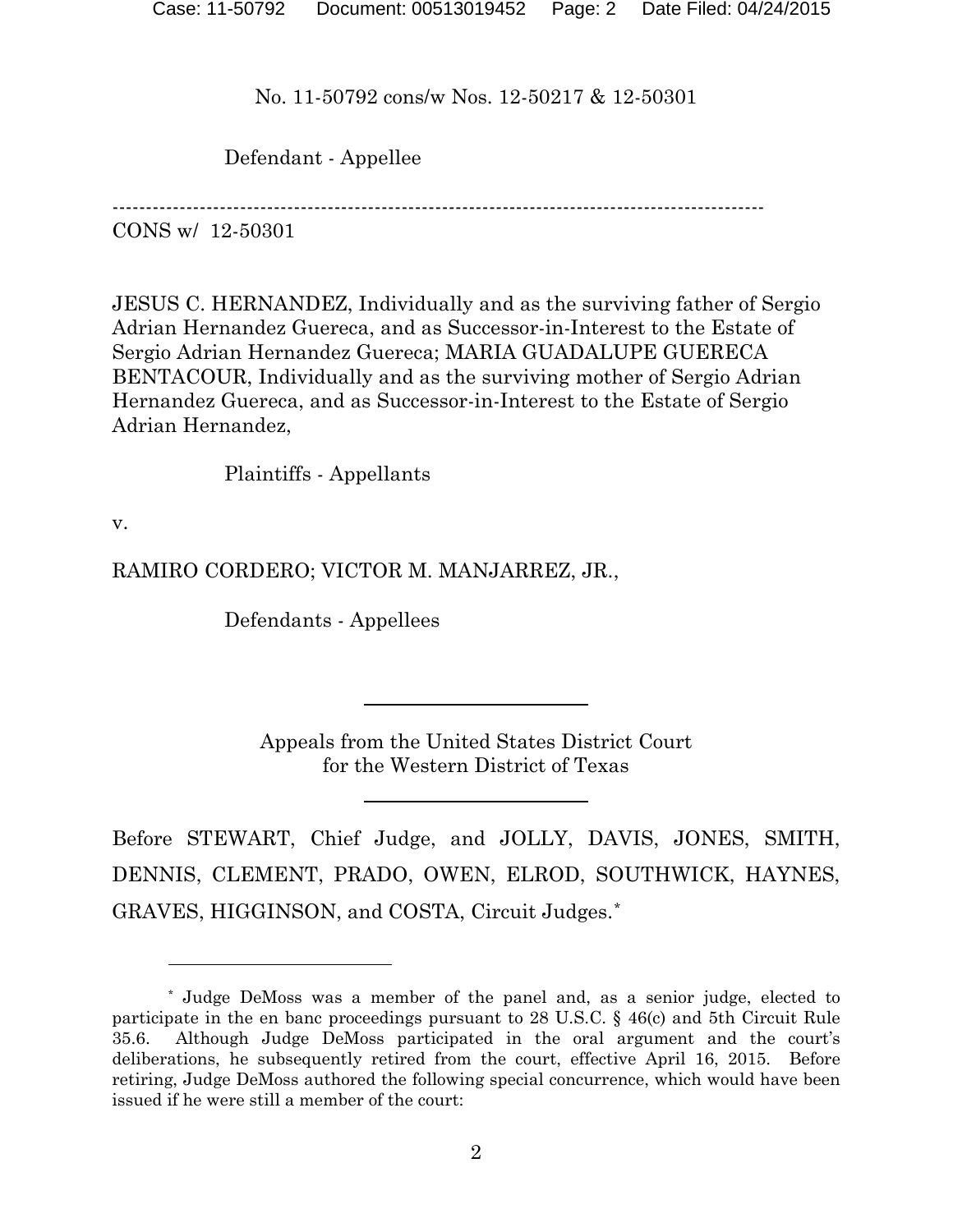Defendant - Appellee

-------------------------------------------------------------------------------------------------

CONS w/ 12-50301

JESUS C. HERNANDEZ, Individually and as the surviving father of Sergio Adrian Hernandez Guereca, and as Successor-in-Interest to the Estate of Sergio Adrian Hernandez Guereca; MARIA GUADALUPE GUERECA BENTACOUR, Individually and as the surviving mother of Sergio Adrian Hernandez Guereca, and as Successor-in-Interest to the Estate of Sergio Adrian Hernandez,

Plaintiffs - Appellants

v.

 $\overline{a}$ 

RAMIRO CORDERO; VICTOR M. MANJARREZ, JR.,

Defendants - Appellees

Appeals from the United States District Court for the Western District of Texas

Before STEWART, Chief Judge, and JOLLY, DAVIS, JONES, SMITH, DENNIS, CLEMENT, PRADO, OWEN, ELROD, SOUTHWICK, HAYNES, GRAVES, HIGGINSON, and COSTA, Circuit Judges.[\\*](#page-1-0)

<span id="page-1-0"></span><sup>\*</sup> Judge DeMoss was a member of the panel and, as a senior judge, elected to participate in the en banc proceedings pursuant to 28 U.S.C. § 46(c) and 5th Circuit Rule 35.6. Although Judge DeMoss participated in the oral argument and the court's deliberations, he subsequently retired from the court, effective April 16, 2015. Before retiring, Judge DeMoss authored the following special concurrence, which would have been issued if he were still a member of the court: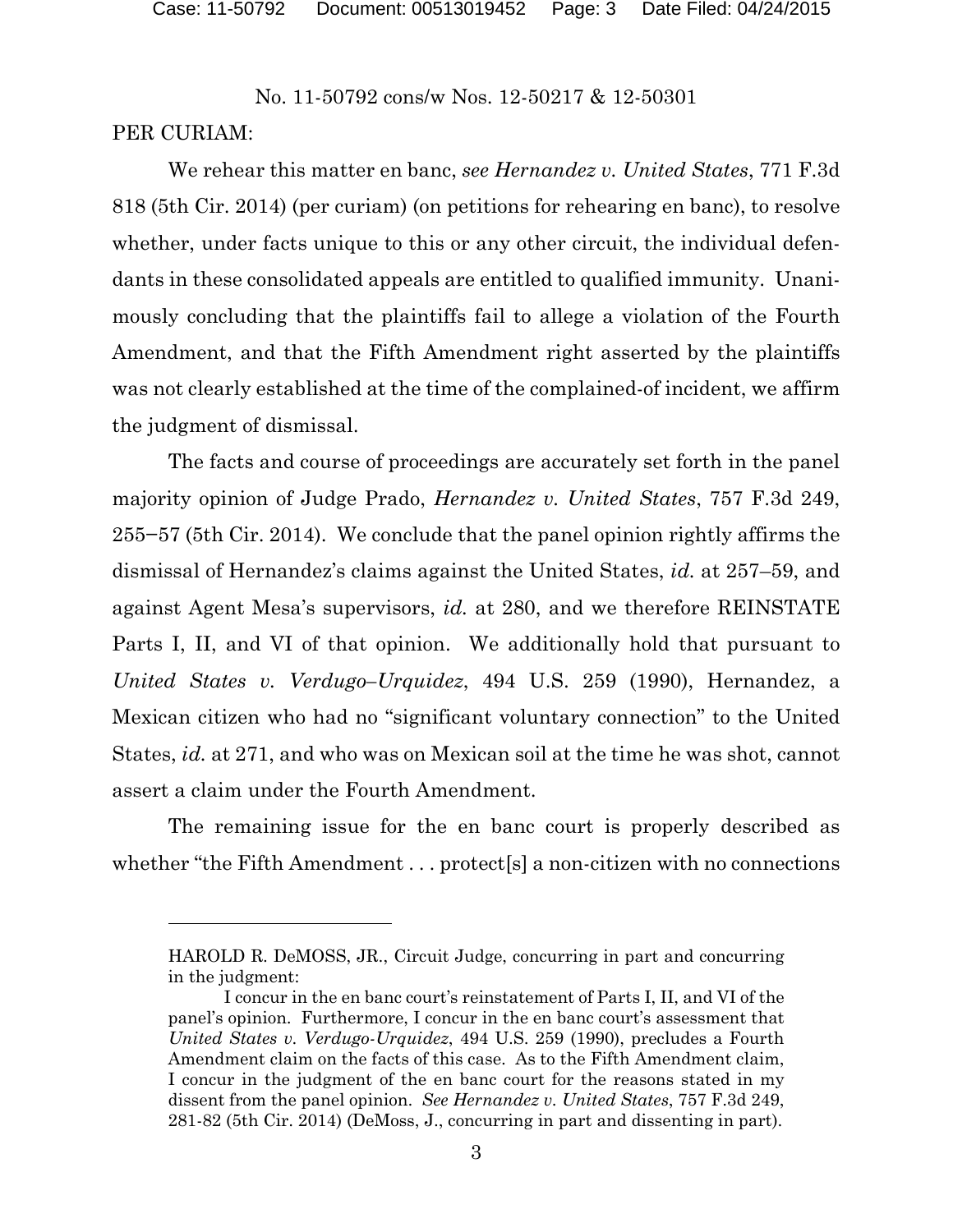### PER CURIAM:

l

We rehear this matter en banc, *see Hernandez v. United States*, 771 F.3d 818 (5th Cir. 2014) (per curiam) (on petitions for rehearing en banc), to resolve whether, under facts unique to this or any other circuit, the individual defendants in these consolidated appeals are entitled to qualified immunity. Unanimously concluding that the plaintiffs fail to allege a violation of the Fourth Amendment, and that the Fifth Amendment right asserted by the plaintiffs was not clearly established at the time of the complained-of incident, we affirm the judgment of dismissal.

The facts and course of proceedings are accurately set forth in the panel majority opinion of Judge Prado, *Hernandez v. United States*, 757 F.3d 249, 255−57 (5th Cir. 2014). We conclude that the panel opinion rightly affirms the dismissal of Hernandez's claims against the United States, *id.* at 257–59, and against Agent Mesa's supervisors, *id.* at 280, and we therefore REINSTATE Parts I, II, and VI of that opinion. We additionally hold that pursuant to *United States v. Verdugo–Urquidez*, 494 U.S. 259 (1990), Hernandez, a Mexican citizen who had no "significant voluntary connection" to the United States, *id.* at 271, and who was on Mexican soil at the time he was shot, cannot assert a claim under the Fourth Amendment.

The remaining issue for the en banc court is properly described as whether "the Fifth Amendment . . . protect[s] a non-citizen with no connections

HAROLD R. DeMOSS, JR., Circuit Judge, concurring in part and concurring in the judgment:

I concur in the en banc court's reinstatement of Parts I, II, and VI of the panel's opinion. Furthermore, I concur in the en banc court's assessment that *United States v. Verdugo-Urquidez*, 494 U.S. 259 (1990), precludes a Fourth Amendment claim on the facts of this case. As to the Fifth Amendment claim, I concur in the judgment of the en banc court for the reasons stated in my dissent from the panel opinion. *See Hernandez v. United States*, 757 F.3d 249, 281-82 (5th Cir. 2014) (DeMoss, J., concurring in part and dissenting in part).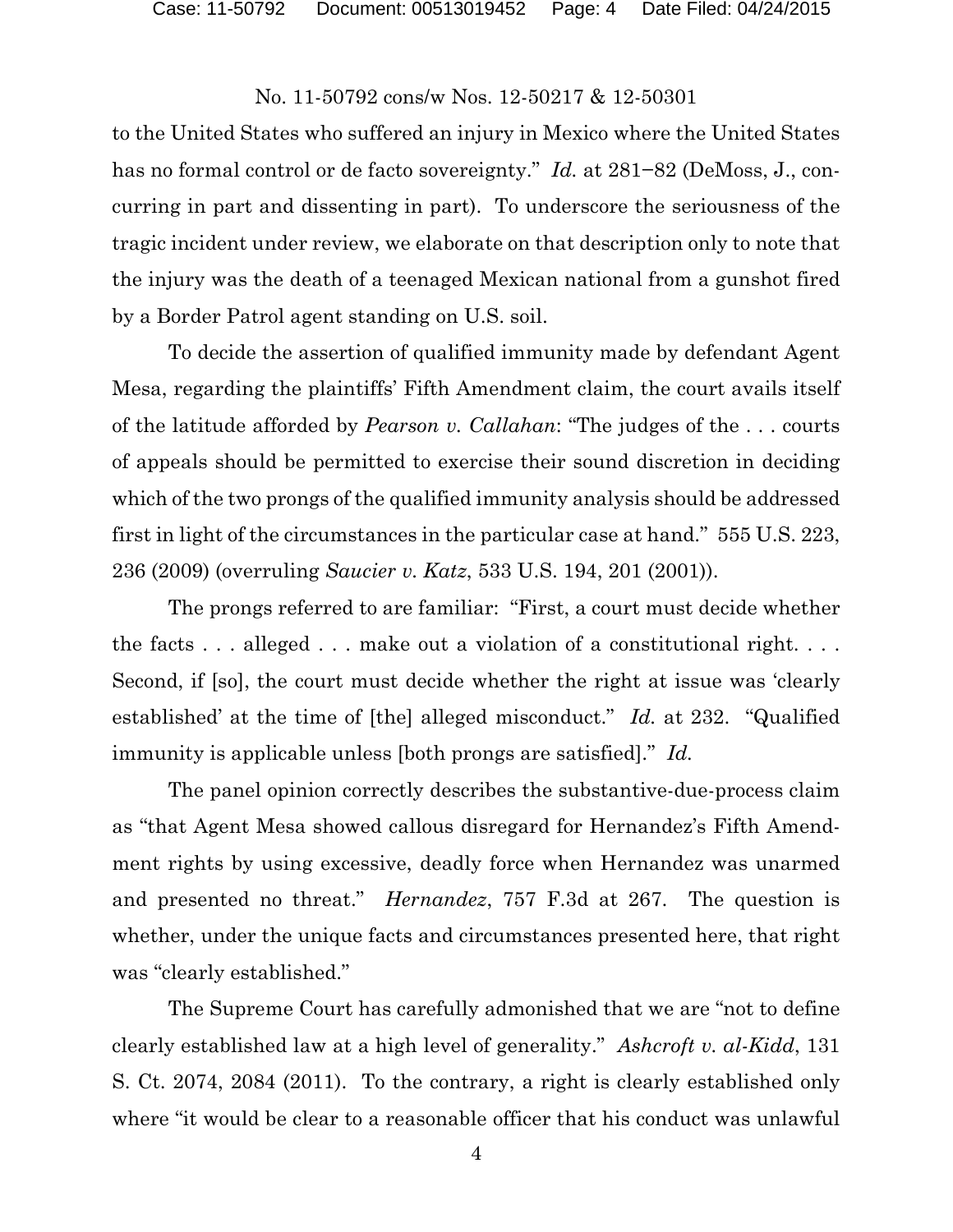to the United States who suffered an injury in Mexico where the United States has no formal control or de facto sovereignty." *Id.* at 281−82 (DeMoss, J., concurring in part and dissenting in part). To underscore the seriousness of the tragic incident under review, we elaborate on that description only to note that the injury was the death of a teenaged Mexican national from a gunshot fired by a Border Patrol agent standing on U.S. soil.

To decide the assertion of qualified immunity made by defendant Agent Mesa, regarding the plaintiffs' Fifth Amendment claim, the court avails itself of the latitude afforded by *Pearson v. Callahan*: "The judges of the . . . courts of appeals should be permitted to exercise their sound discretion in deciding which of the two prongs of the qualified immunity analysis should be addressed first in light of the circumstances in the particular case at hand." 555 U.S. 223, 236 (2009) (overruling *Saucier v. Katz*, 533 U.S. 194, 201 (2001)).

The prongs referred to are familiar: "First, a court must decide whether the facts  $\dots$  alleged  $\dots$  make out a violation of a constitutional right.  $\dots$ Second, if [so], the court must decide whether the right at issue was 'clearly established' at the time of [the] alleged misconduct." *Id.* at 232. "Qualified immunity is applicable unless [both prongs are satisfied]." *Id.*

The panel opinion correctly describes the substantive-due-process claim as "that Agent Mesa showed callous disregard for Hernandez's Fifth Amendment rights by using excessive, deadly force when Hernandez was unarmed and presented no threat." *Hernandez*, 757 F.3d at 267. The question is whether, under the unique facts and circumstances presented here, that right was "clearly established."

The Supreme Court has carefully admonished that we are "not to define clearly established law at a high level of generality." *Ashcroft v. al-Kidd*, 131 S. Ct. 2074, 2084 (2011). To the contrary, a right is clearly established only where "it would be clear to a reasonable officer that his conduct was unlawful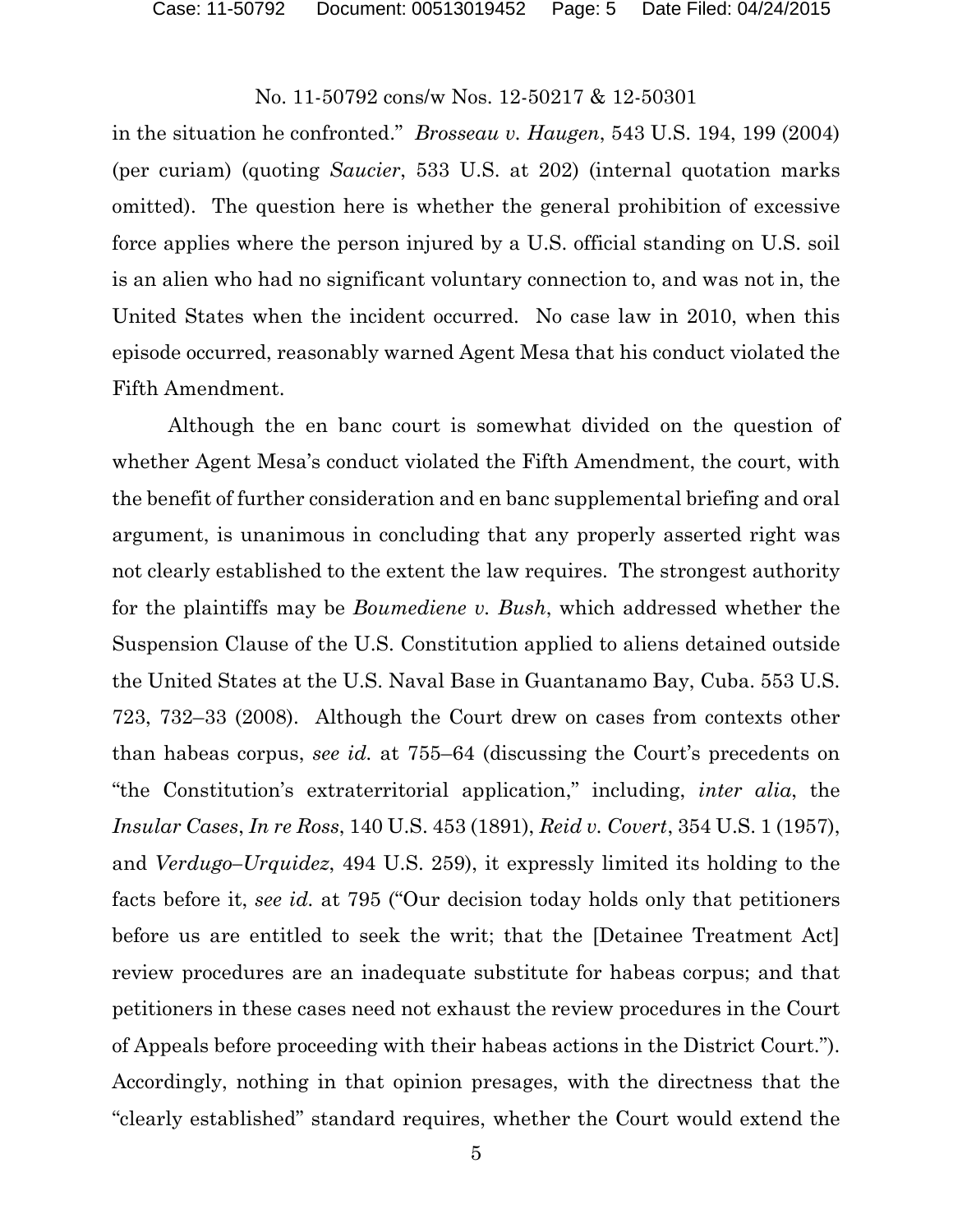in the situation he confronted." *Brosseau v. Haugen*, 543 U.S. 194, 199 (2004) (per curiam) (quoting *Saucier*, 533 U.S. at 202) (internal quotation marks omitted). The question here is whether the general prohibition of excessive force applies where the person injured by a U.S. official standing on U.S. soil is an alien who had no significant voluntary connection to, and was not in, the United States when the incident occurred. No case law in 2010, when this episode occurred, reasonably warned Agent Mesa that his conduct violated the Fifth Amendment.

Although the en banc court is somewhat divided on the question of whether Agent Mesa's conduct violated the Fifth Amendment, the court, with the benefit of further consideration and en banc supplemental briefing and oral argument, is unanimous in concluding that any properly asserted right was not clearly established to the extent the law requires. The strongest authority for the plaintiffs may be *Boumediene v. Bush*, which addressed whether the Suspension Clause of the U.S. Constitution applied to aliens detained outside the United States at the U.S. Naval Base in Guantanamo Bay, Cuba. 553 U.S. 723, 732–33 (2008). Although the Court drew on cases from contexts other than habeas corpus, *see id.* at 755–64 (discussing the Court's precedents on "the Constitution's extraterritorial application," including, *inter alia*, the *Insular Cases*, *In re Ross*, 140 U.S. 453 (1891), *Reid v. Covert*, 354 U.S. 1 (1957), and *Verdugo–Urquidez*, 494 U.S. 259), it expressly limited its holding to the facts before it, *see id.* at 795 ("Our decision today holds only that petitioners before us are entitled to seek the writ; that the [Detainee Treatment Act] review procedures are an inadequate substitute for habeas corpus; and that petitioners in these cases need not exhaust the review procedures in the Court of Appeals before proceeding with their habeas actions in the District Court."). Accordingly, nothing in that opinion presages, with the directness that the "clearly established" standard requires, whether the Court would extend the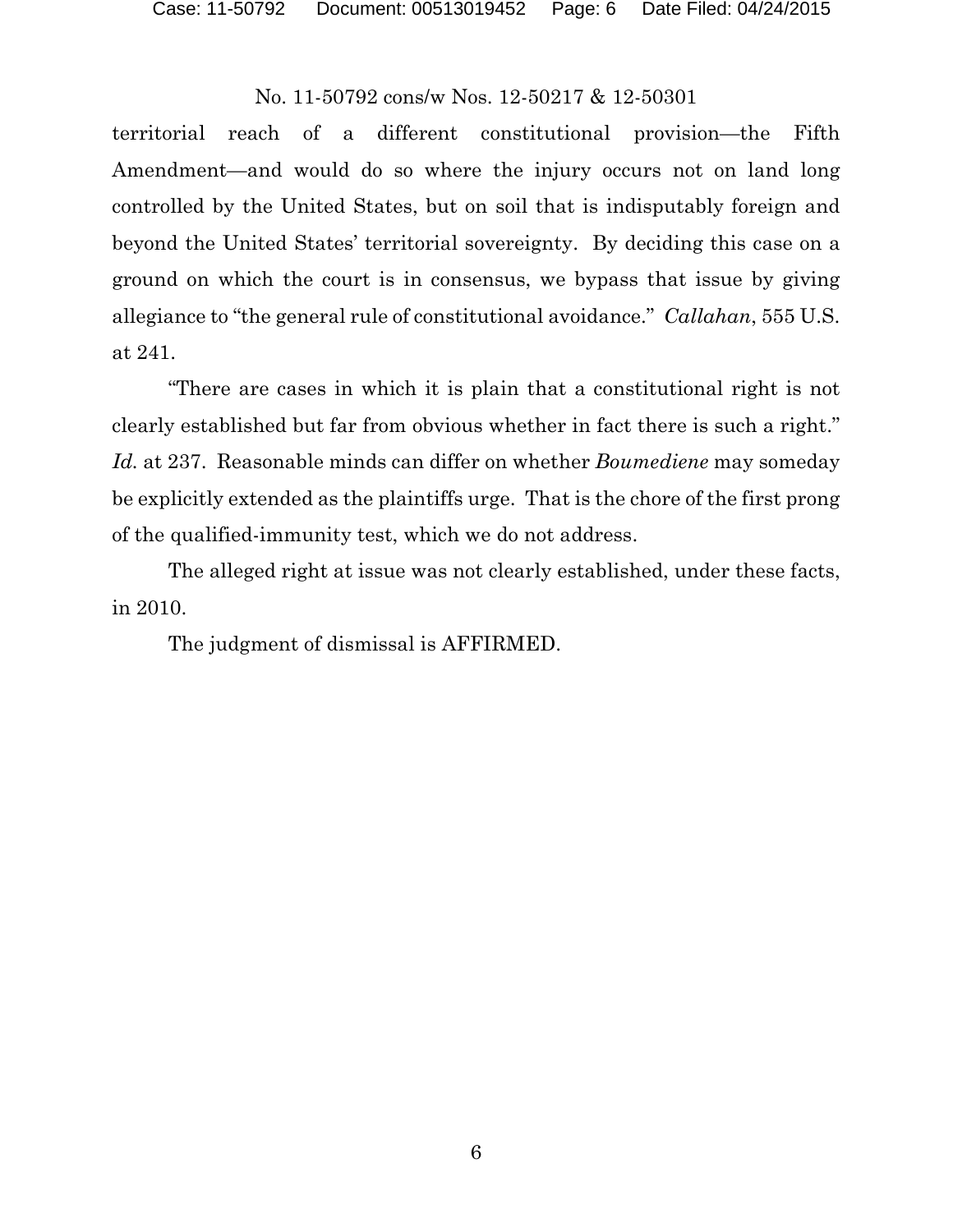territorial reach of a different constitutional provision—the Fifth Amendment—and would do so where the injury occurs not on land long controlled by the United States, but on soil that is indisputably foreign and beyond the United States' territorial sovereignty. By deciding this case on a ground on which the court is in consensus, we bypass that issue by giving allegiance to "the general rule of constitutional avoidance." *Callahan*, 555 U.S. at 241.

"There are cases in which it is plain that a constitutional right is not clearly established but far from obvious whether in fact there is such a right." *Id.* at 237. Reasonable minds can differ on whether *Boumediene* may someday be explicitly extended as the plaintiffs urge. That is the chore of the first prong of the qualified-immunity test, which we do not address.

The alleged right at issue was not clearly established, under these facts, in 2010.

The judgment of dismissal is AFFIRMED.

6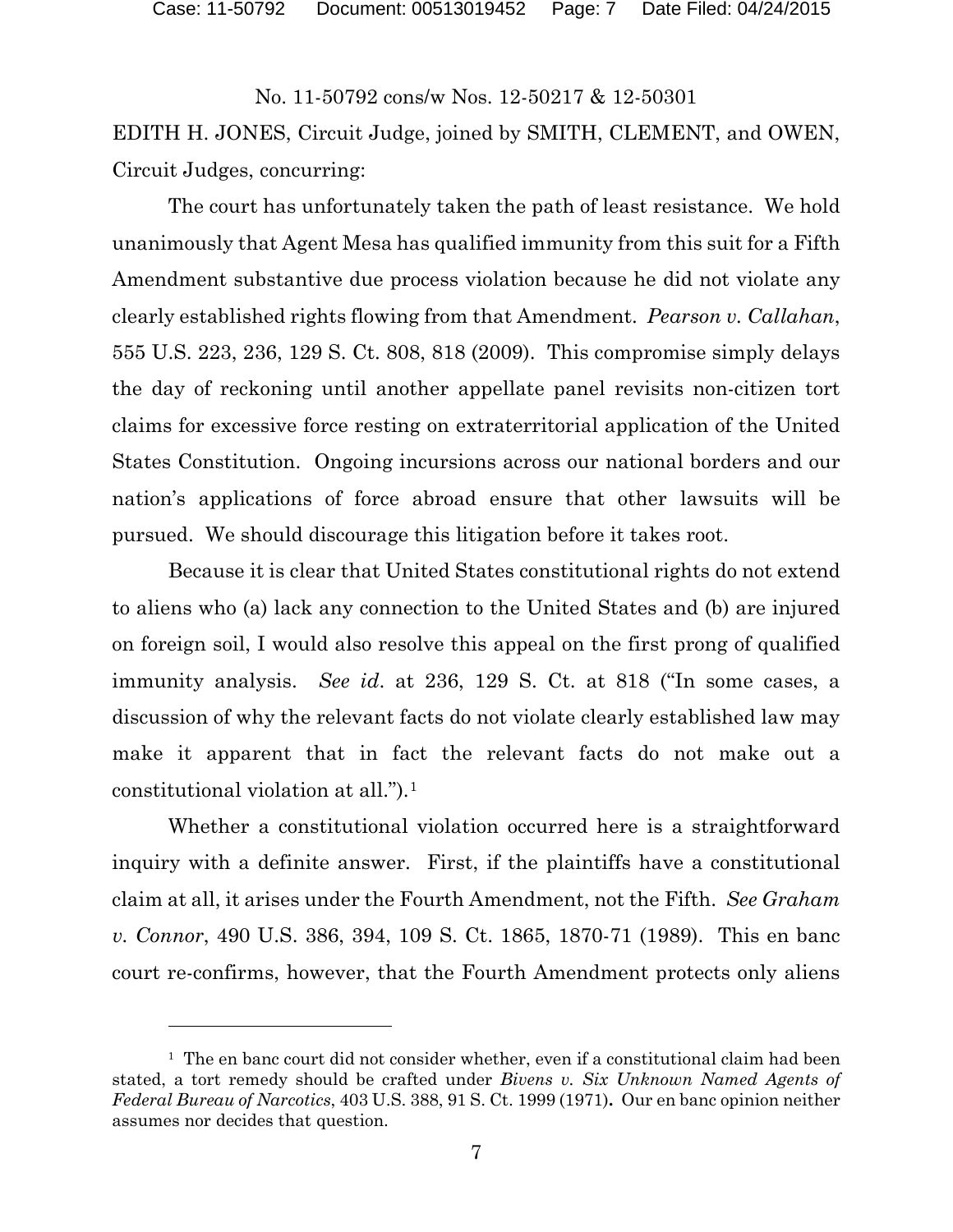EDITH H. JONES, Circuit Judge, joined by SMITH, CLEMENT, and OWEN, Circuit Judges, concurring:

The court has unfortunately taken the path of least resistance. We hold unanimously that Agent Mesa has qualified immunity from this suit for a Fifth Amendment substantive due process violation because he did not violate any clearly established rights flowing from that Amendment. *Pearson v. Callahan*, 555 U.S. 223, 236, 129 S. Ct. 808, 818 (2009). This compromise simply delays the day of reckoning until another appellate panel revisits non-citizen tort claims for excessive force resting on extraterritorial application of the United States Constitution. Ongoing incursions across our national borders and our nation's applications of force abroad ensure that other lawsuits will be pursued. We should discourage this litigation before it takes root.

Because it is clear that United States constitutional rights do not extend to aliens who (a) lack any connection to the United States and (b) are injured on foreign soil, I would also resolve this appeal on the first prong of qualified immunity analysis. *See id*. at 236, 129 S. Ct. at 818 ("In some cases, a discussion of why the relevant facts do not violate clearly established law may make it apparent that in fact the relevant facts do not make out a constitutional violation at all.").[1](#page-6-0)

Whether a constitutional violation occurred here is a straightforward inquiry with a definite answer. First, if the plaintiffs have a constitutional claim at all, it arises under the Fourth Amendment, not the Fifth. *See Graham v. Connor*, 490 U.S. 386, 394, 109 S. Ct. 1865, 1870-71 (1989). This en banc court re-confirms, however, that the Fourth Amendment protects only aliens

<span id="page-6-0"></span> $<sup>1</sup>$  The en banc court did not consider whether, even if a constitutional claim had been</sup> stated, a tort remedy should be crafted under *Bivens v. Six Unknown Named Agents of Federal Bureau of Narcotics*, 403 U.S. 388, 91 S. Ct. 1999 (1971)**.** Our en banc opinion neither assumes nor decides that question.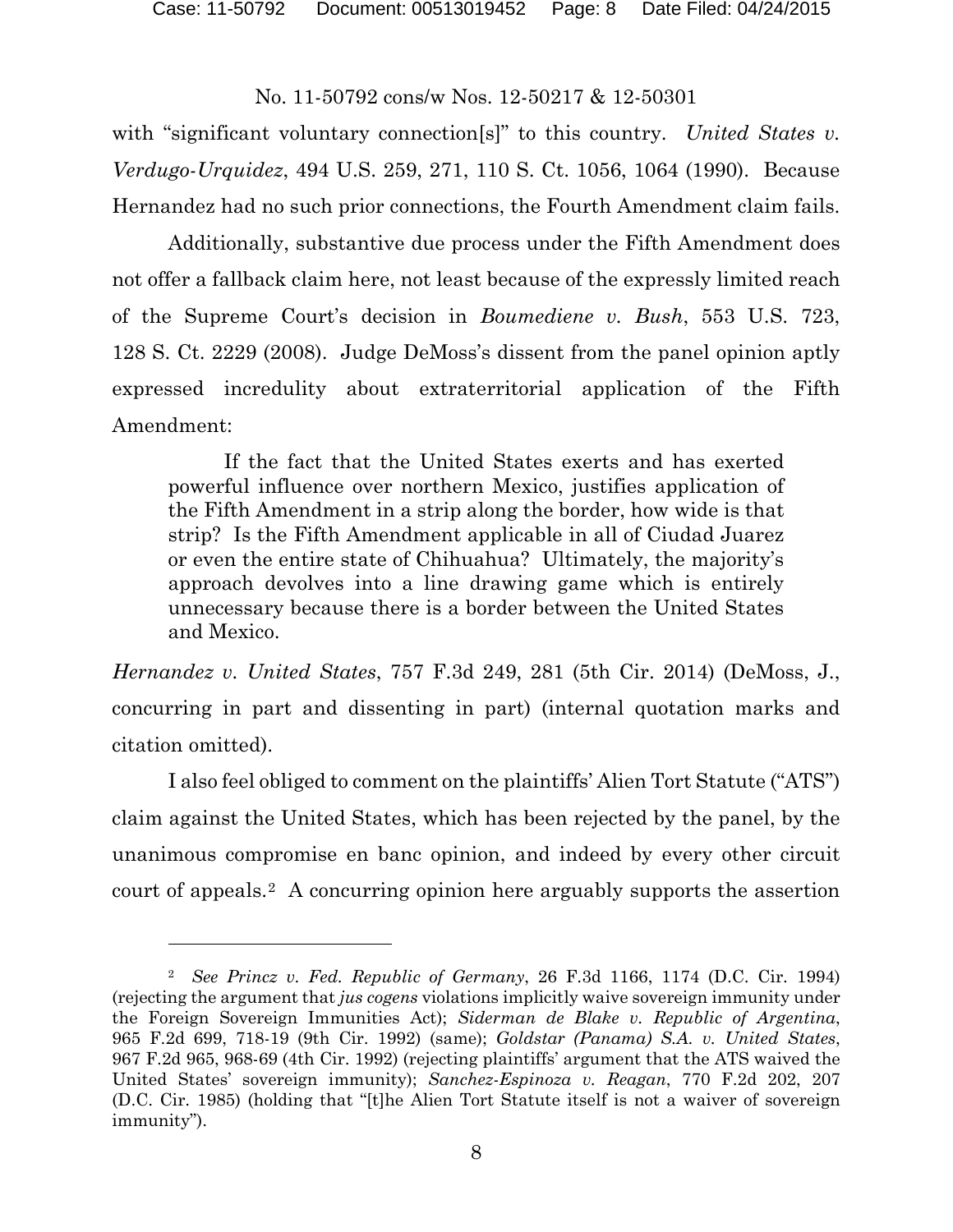with "significant voluntary connection<sup>[s]"</sup> to this country. *United States v. Verdugo-Urquidez*, 494 U.S. 259, 271, 110 S. Ct. 1056, 1064 (1990). Because Hernandez had no such prior connections, the Fourth Amendment claim fails.

Additionally, substantive due process under the Fifth Amendment does not offer a fallback claim here, not least because of the expressly limited reach of the Supreme Court's decision in *Boumediene v. Bush*, 553 U.S. 723, 128 S. Ct. 2229 (2008). Judge DeMoss's dissent from the panel opinion aptly expressed incredulity about extraterritorial application of the Fifth Amendment:

If the fact that the United States exerts and has exerted powerful influence over northern Mexico, justifies application of the Fifth Amendment in a strip along the border, how wide is that strip? Is the Fifth Amendment applicable in all of Ciudad Juarez or even the entire state of Chihuahua? Ultimately, the majority's approach devolves into a line drawing game which is entirely unnecessary because there is a border between the United States and Mexico.

*Hernandez v. United States*, 757 F.3d 249, 281 (5th Cir. 2014) (DeMoss, J., concurring in part and dissenting in part) (internal quotation marks and citation omitted).

I also feel obliged to comment on the plaintiffs' Alien Tort Statute ("ATS") claim against the United States, which has been rejected by the panel, by the unanimous compromise en banc opinion, and indeed by every other circuit court of appeals.[2](#page-7-0) A concurring opinion here arguably supports the assertion

<span id="page-7-0"></span><sup>2</sup> *See Princz v. Fed. Republic of Germany*, 26 F.3d 1166, 1174 (D.C. Cir. 1994) (rejecting the argument that *jus cogens* violations implicitly waive sovereign immunity under the Foreign Sovereign Immunities Act); *Siderman de Blake v. Republic of Argentina*, 965 F.2d 699, 718-19 (9th Cir. 1992) (same); *Goldstar (Panama) S.A. v. United States*, 967 F.2d 965, 968-69 (4th Cir. 1992) (rejecting plaintiffs' argument that the ATS waived the United States' sovereign immunity); *Sanchez-Espinoza v. Reagan*, 770 F.2d 202, 207 (D.C. Cir. 1985) (holding that "[t]he Alien Tort Statute itself is not a waiver of sovereign immunity").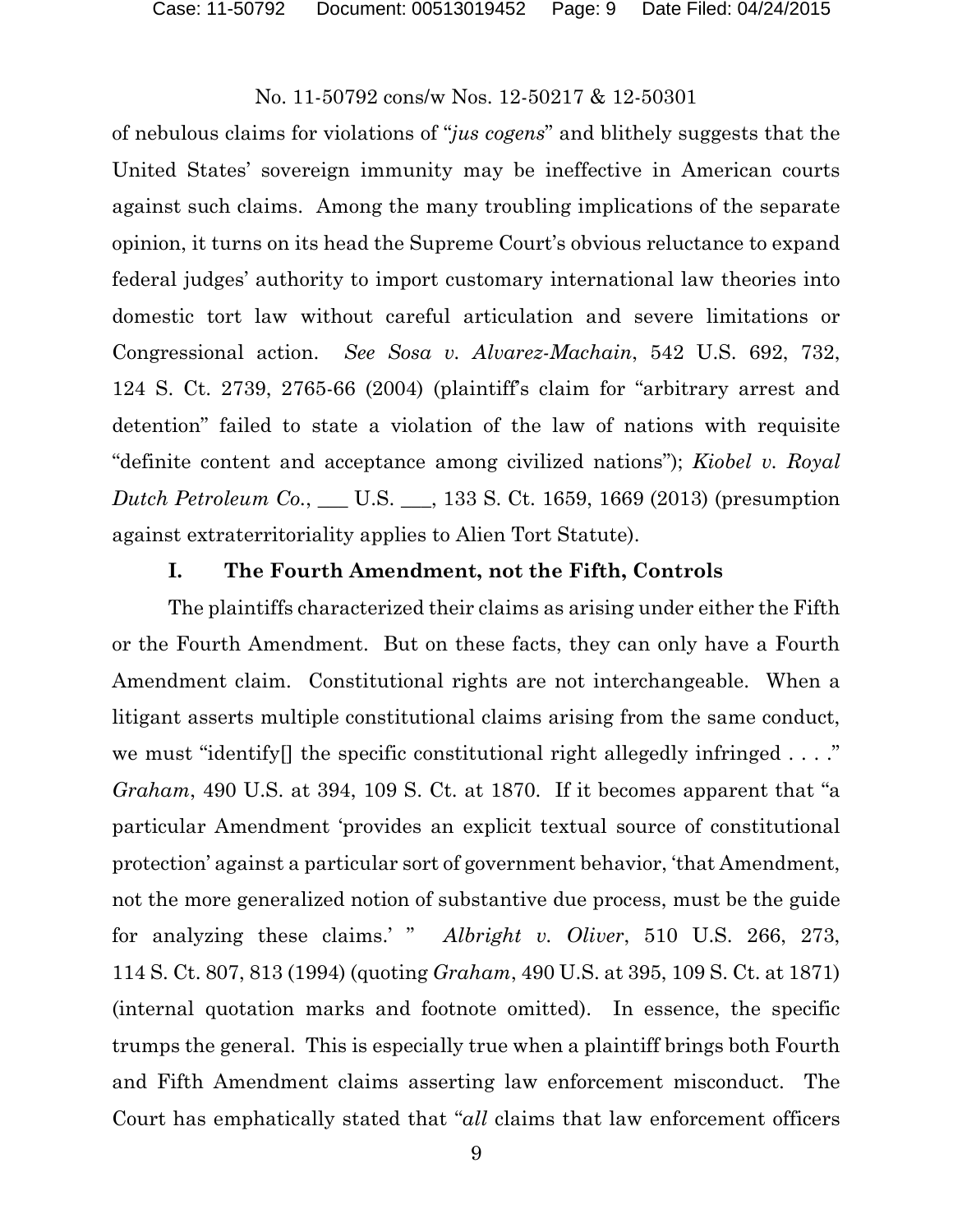of nebulous claims for violations of "*jus cogens*" and blithely suggests that the United States' sovereign immunity may be ineffective in American courts against such claims. Among the many troubling implications of the separate opinion, it turns on its head the Supreme Court's obvious reluctance to expand federal judges' authority to import customary international law theories into domestic tort law without careful articulation and severe limitations or Congressional action. *See Sosa v. Alvarez-Machain*, 542 U.S. 692, 732, 124 S. Ct. 2739, 2765-66 (2004) (plaintiff's claim for "arbitrary arrest and detention" failed to state a violation of the law of nations with requisite "definite content and acceptance among civilized nations"); *Kiobel v. Royal Dutch Petroleum Co.*, \_\_\_ U.S. \_\_\_, 133 S. Ct. 1659, 1669 (2013) (presumption against extraterritoriality applies to Alien Tort Statute).

### **I. The Fourth Amendment, not the Fifth, Controls**

The plaintiffs characterized their claims as arising under either the Fifth or the Fourth Amendment. But on these facts, they can only have a Fourth Amendment claim. Constitutional rights are not interchangeable. When a litigant asserts multiple constitutional claims arising from the same conduct, we must "identify" the specific constitutional right allegedly infringed . . . ." *Graham*, 490 U.S. at 394, 109 S. Ct. at 1870. If it becomes apparent that "a particular Amendment 'provides an explicit textual source of constitutional protection' against a particular sort of government behavior, 'that Amendment, not the more generalized notion of substantive due process, must be the guide for analyzing these claims.' " *Albright v. Oliver*, 510 U.S. 266, 273, 114 S. Ct. 807, 813 (1994) (quoting *Graham*, 490 U.S. at 395, 109 S. Ct. at 1871) (internal quotation marks and footnote omitted). In essence, the specific trumps the general. This is especially true when a plaintiff brings both Fourth and Fifth Amendment claims asserting law enforcement misconduct. The Court has emphatically stated that "*all* claims that law enforcement officers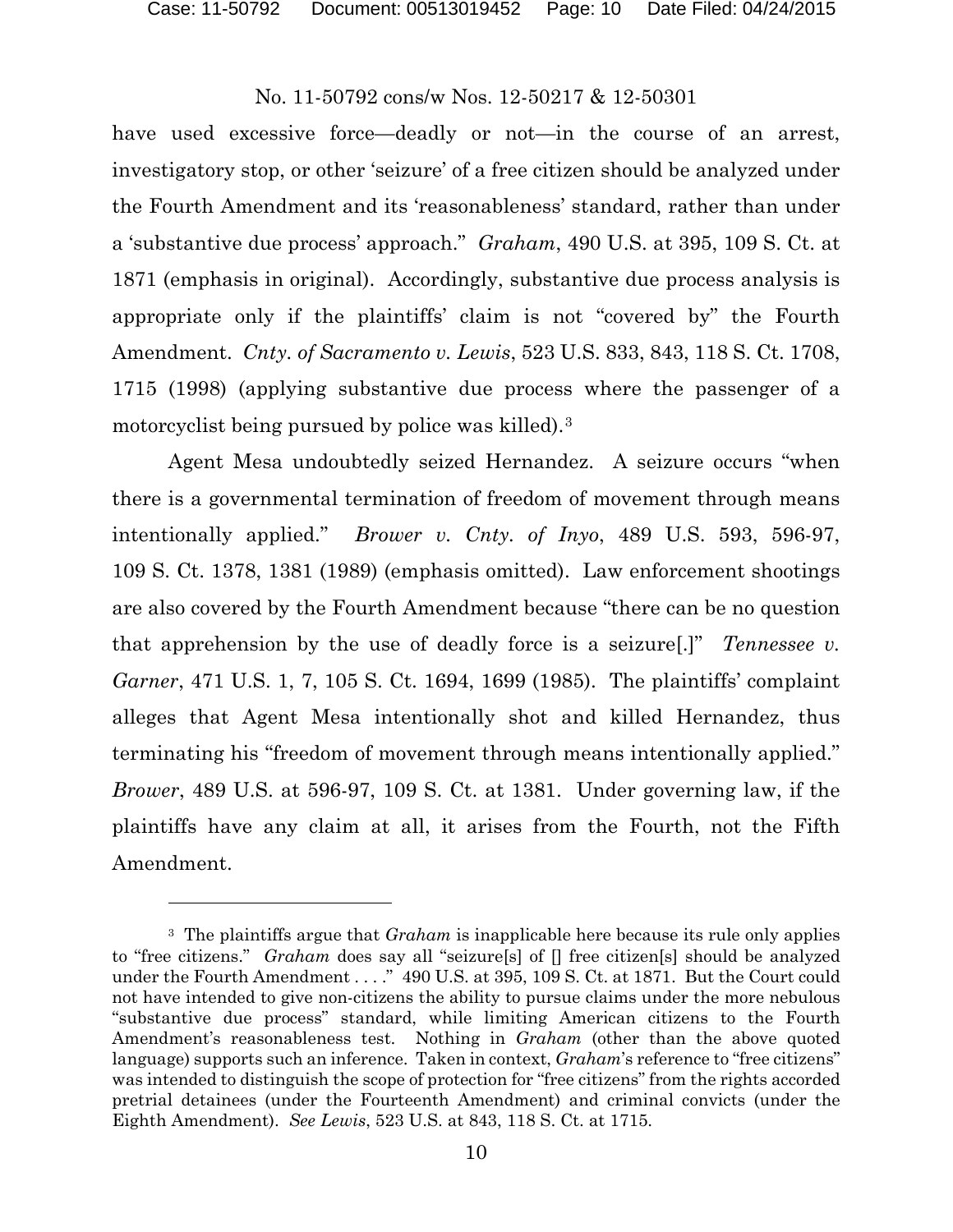$\overline{a}$ 

# No. 11-50792 cons/w Nos. 12-50217 & 12-50301

have used excessive force—deadly or not—in the course of an arrest, investigatory stop, or other 'seizure' of a free citizen should be analyzed under the Fourth Amendment and its 'reasonableness' standard, rather than under a 'substantive due process' approach." *Graham*, 490 U.S. at 395, 109 S. Ct. at 1871 (emphasis in original). Accordingly, substantive due process analysis is appropriate only if the plaintiffs' claim is not "covered by" the Fourth Amendment. *Cnty. of Sacramento v. Lewis*, 523 U.S. 833, 843, 118 S. Ct. 1708, 1715 (1998) (applying substantive due process where the passenger of a motorcyclist being pursued by police was killed).[3](#page-9-0) 

Agent Mesa undoubtedly seized Hernandez. A seizure occurs "when there is a governmental termination of freedom of movement through means intentionally applied." *Brower v. Cnty. of Inyo*, 489 U.S. 593, 596-97, 109 S. Ct. 1378, 1381 (1989) (emphasis omitted). Law enforcement shootings are also covered by the Fourth Amendment because "there can be no question that apprehension by the use of deadly force is a seizure[.]" *Tennessee v. Garner*, 471 U.S. 1, 7, 105 S. Ct. 1694, 1699 (1985). The plaintiffs' complaint alleges that Agent Mesa intentionally shot and killed Hernandez, thus terminating his "freedom of movement through means intentionally applied." *Brower*, 489 U.S. at 596-97, 109 S. Ct. at 1381. Under governing law, if the plaintiffs have any claim at all, it arises from the Fourth, not the Fifth Amendment.

<span id="page-9-0"></span><sup>3</sup> The plaintiffs argue that *Graham* is inapplicable here because its rule only applies to "free citizens." *Graham* does say all "seizure[s] of [] free citizen[s] should be analyzed under the Fourth Amendment . . . ." 490 U.S. at 395, 109 S. Ct. at 1871. But the Court could not have intended to give non-citizens the ability to pursue claims under the more nebulous "substantive due process" standard, while limiting American citizens to the Fourth Amendment's reasonableness test. Nothing in *Graham* (other than the above quoted language) supports such an inference. Taken in context, *Graham*'s reference to "free citizens" was intended to distinguish the scope of protection for "free citizens" from the rights accorded pretrial detainees (under the Fourteenth Amendment) and criminal convicts (under the Eighth Amendment). *See Lewis*, 523 U.S. at 843, 118 S. Ct. at 1715.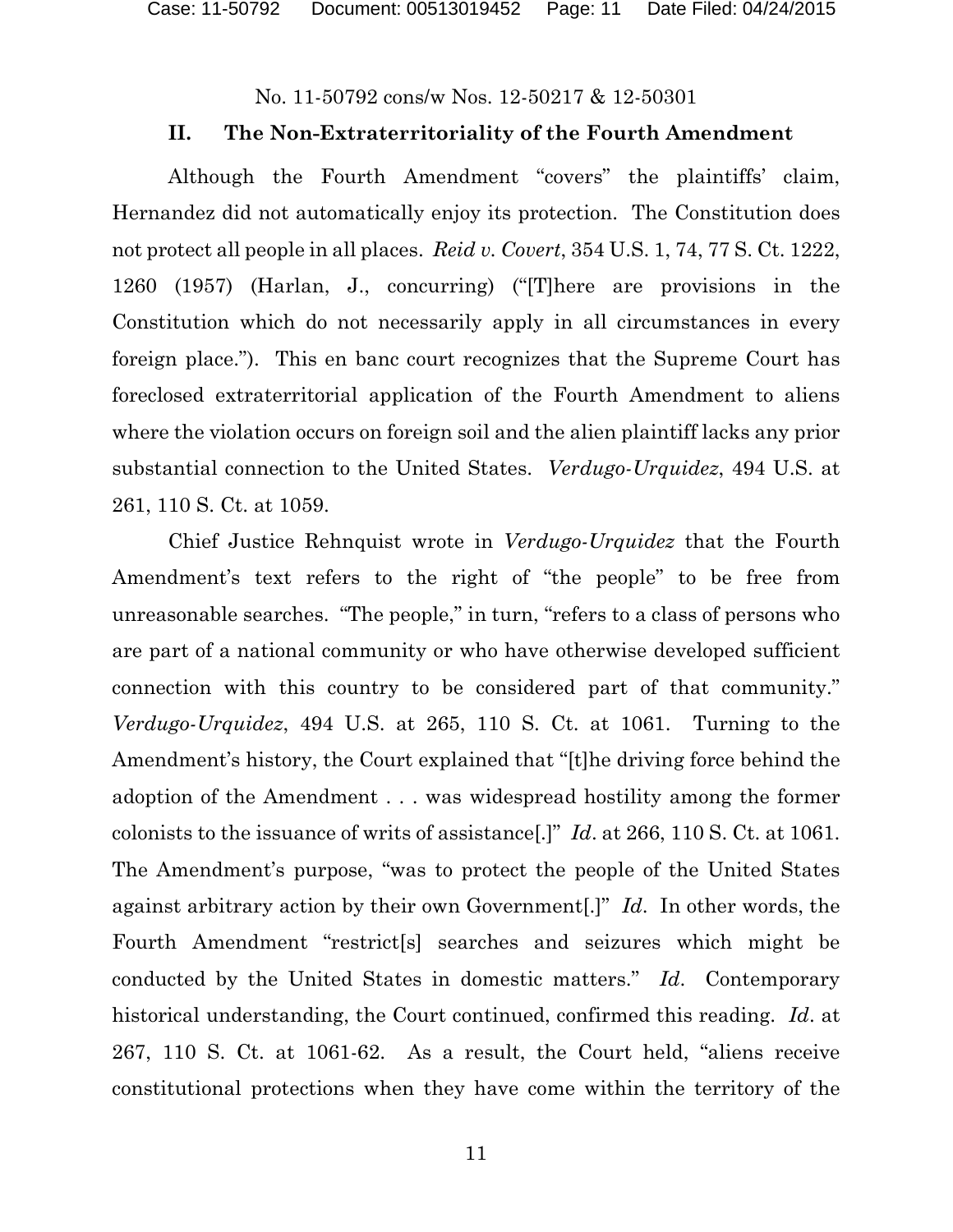### **II. The Non-Extraterritoriality of the Fourth Amendment**

Although the Fourth Amendment "covers" the plaintiffs' claim, Hernandez did not automatically enjoy its protection. The Constitution does not protect all people in all places. *Reid v. Covert*, 354 U.S. 1, 74, 77 S. Ct. 1222, 1260 (1957) (Harlan, J., concurring) ("[T]here are provisions in the Constitution which do not necessarily apply in all circumstances in every foreign place."). This en banc court recognizes that the Supreme Court has foreclosed extraterritorial application of the Fourth Amendment to aliens where the violation occurs on foreign soil and the alien plaintiff lacks any prior substantial connection to the United States. *Verdugo-Urquidez*, 494 U.S. at 261, 110 S. Ct. at 1059.

Chief Justice Rehnquist wrote in *Verdugo-Urquidez* that the Fourth Amendment's text refers to the right of "the people" to be free from unreasonable searches. "The people," in turn, "refers to a class of persons who are part of a national community or who have otherwise developed sufficient connection with this country to be considered part of that community." *Verdugo-Urquidez*, 494 U.S. at 265, 110 S. Ct. at 1061. Turning to the Amendment's history, the Court explained that "[t]he driving force behind the adoption of the Amendment . . . was widespread hostility among the former colonists to the issuance of writs of assistance[.]" *Id*. at 266, 110 S. Ct. at 1061. The Amendment's purpose, "was to protect the people of the United States against arbitrary action by their own Government[.]" *Id*. In other words, the Fourth Amendment "restrict[s] searches and seizures which might be conducted by the United States in domestic matters." *Id*. Contemporary historical understanding, the Court continued, confirmed this reading. *Id*. at 267, 110 S. Ct. at 1061-62. As a result, the Court held, "aliens receive constitutional protections when they have come within the territory of the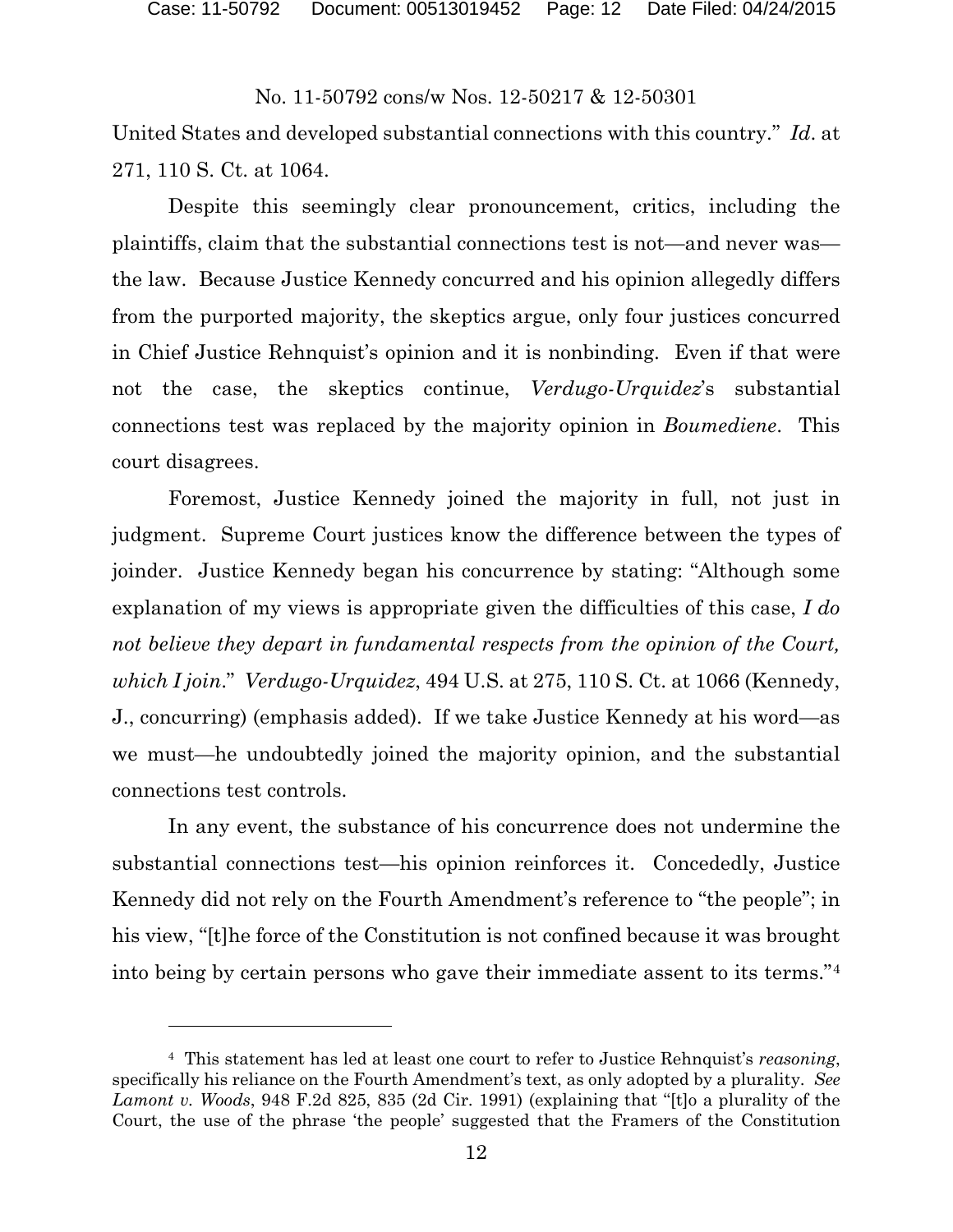United States and developed substantial connections with this country." *Id*. at 271, 110 S. Ct. at 1064.

Despite this seemingly clear pronouncement, critics, including the plaintiffs, claim that the substantial connections test is not—and never was the law. Because Justice Kennedy concurred and his opinion allegedly differs from the purported majority, the skeptics argue, only four justices concurred in Chief Justice Rehnquist's opinion and it is nonbinding. Even if that were not the case, the skeptics continue, *Verdugo-Urquidez*'s substantial connections test was replaced by the majority opinion in *Boumediene*. This court disagrees.

Foremost, Justice Kennedy joined the majority in full, not just in judgment. Supreme Court justices know the difference between the types of joinder. Justice Kennedy began his concurrence by stating: "Although some explanation of my views is appropriate given the difficulties of this case, *I do not believe they depart in fundamental respects from the opinion of the Court, which I join*." *Verdugo-Urquidez*, 494 U.S. at 275, 110 S. Ct. at 1066 (Kennedy, J., concurring) (emphasis added). If we take Justice Kennedy at his word—as we must—he undoubtedly joined the majority opinion, and the substantial connections test controls.

In any event, the substance of his concurrence does not undermine the substantial connections test—his opinion reinforces it. Concededly, Justice Kennedy did not rely on the Fourth Amendment's reference to "the people"; in his view, "[t]he force of the Constitution is not confined because it was brought into being by certain persons who gave their immediate assent to its terms."[4](#page-11-0)

<span id="page-11-0"></span><sup>4</sup> This statement has led at least one court to refer to Justice Rehnquist's *reasoning*, specifically his reliance on the Fourth Amendment's text, as only adopted by a plurality. *See Lamont v. Woods*, 948 F.2d 825, 835 (2d Cir. 1991) (explaining that "[t]o a plurality of the Court, the use of the phrase 'the people' suggested that the Framers of the Constitution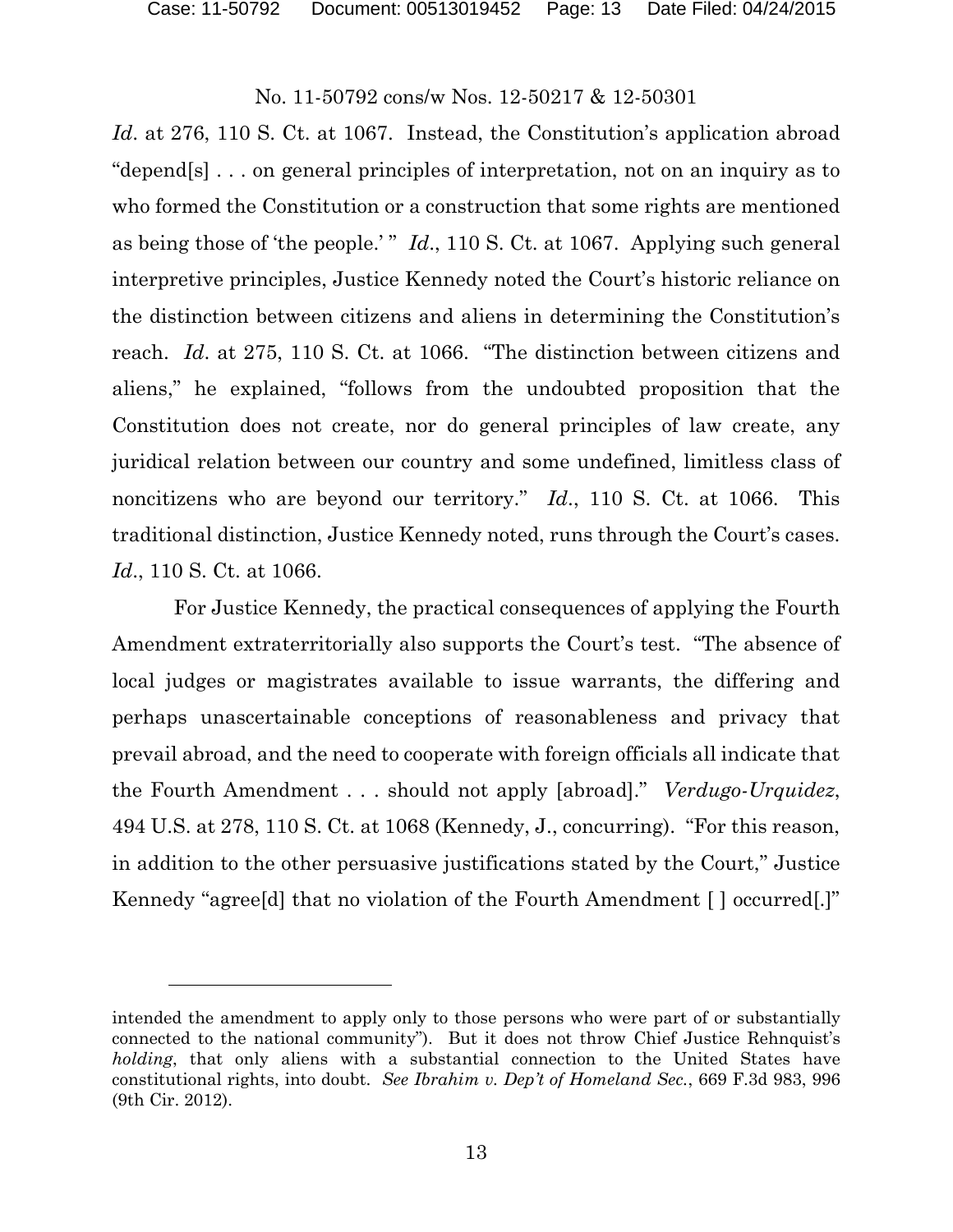$\overline{a}$ 

# No. 11-50792 cons/w Nos. 12-50217 & 12-50301

Id. at 276, 110 S. Ct. at 1067. Instead, the Constitution's application abroad "depend[s] . . . on general principles of interpretation, not on an inquiry as to who formed the Constitution or a construction that some rights are mentioned as being those of 'the people.' " *Id.*, 110 S. Ct. at 1067. Applying such general interpretive principles, Justice Kennedy noted the Court's historic reliance on the distinction between citizens and aliens in determining the Constitution's reach. *Id*. at 275, 110 S. Ct. at 1066. "The distinction between citizens and aliens," he explained, "follows from the undoubted proposition that the Constitution does not create, nor do general principles of law create, any juridical relation between our country and some undefined, limitless class of noncitizens who are beyond our territory." *Id*., 110 S. Ct. at 1066. This traditional distinction, Justice Kennedy noted, runs through the Court's cases. *Id*., 110 S. Ct. at 1066.

For Justice Kennedy, the practical consequences of applying the Fourth Amendment extraterritorially also supports the Court's test. "The absence of local judges or magistrates available to issue warrants, the differing and perhaps unascertainable conceptions of reasonableness and privacy that prevail abroad, and the need to cooperate with foreign officials all indicate that the Fourth Amendment . . . should not apply [abroad]." *Verdugo-Urquidez*, 494 U.S. at 278, 110 S. Ct. at 1068 (Kennedy, J., concurring). "For this reason, in addition to the other persuasive justifications stated by the Court," Justice Kennedy "agree[d] that no violation of the Fourth Amendment [ ] occurred[.]"

intended the amendment to apply only to those persons who were part of or substantially connected to the national community"). But it does not throw Chief Justice Rehnquist's *holding*, that only aliens with a substantial connection to the United States have constitutional rights, into doubt. *See Ibrahim v. Dep't of Homeland Sec.*, 669 F.3d 983, 996 (9th Cir. 2012).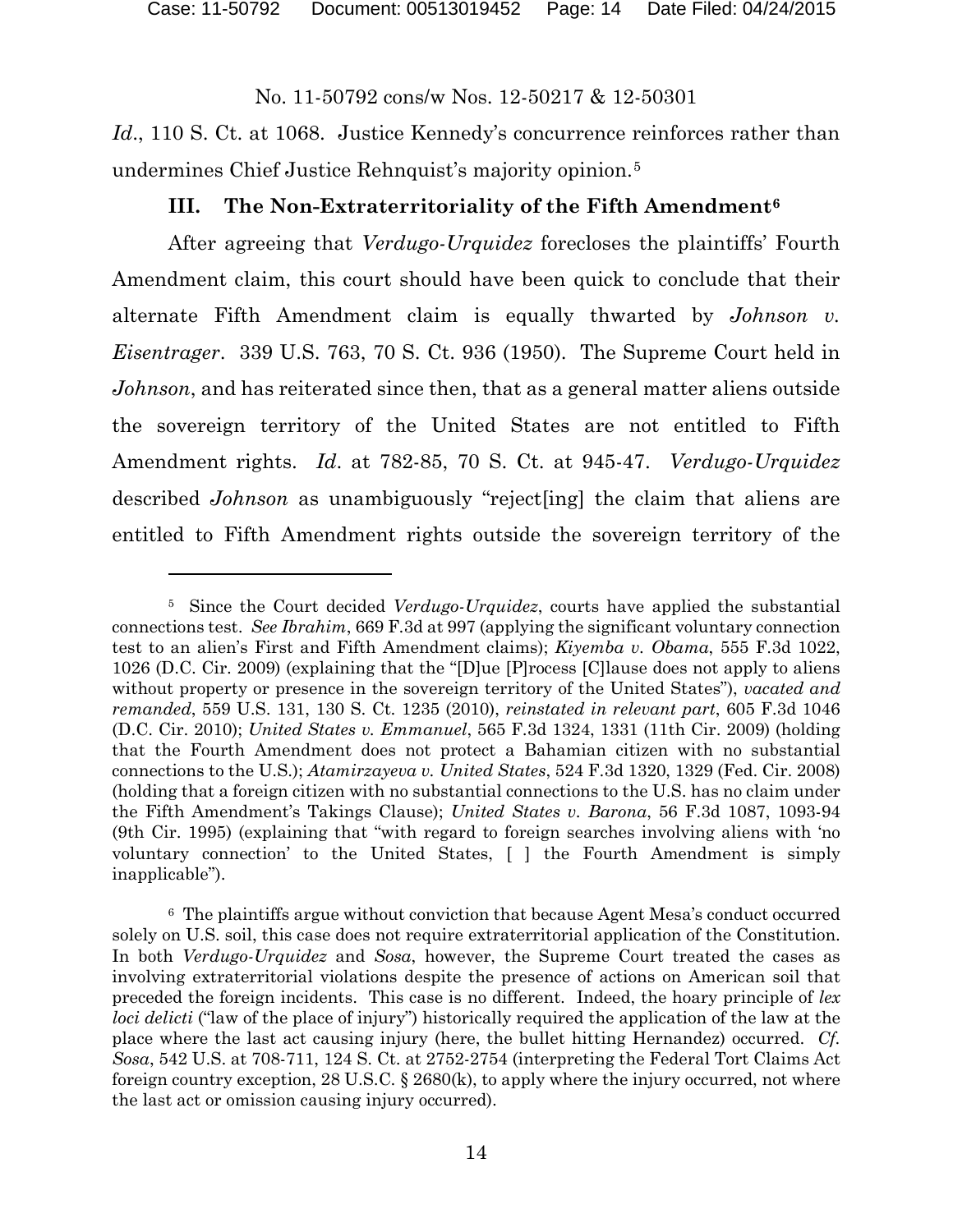*Id.*, 110 S. Ct. at 1068. Justice Kennedy's concurrence reinforces rather than undermines Chief Justice Rehnquist's majority opinion.[5](#page-13-0)

### **III. The Non-Extraterritoriality of the Fifth Amendment[6](#page-13-1)**

After agreeing that *Verdugo-Urquidez* forecloses the plaintiffs' Fourth Amendment claim, this court should have been quick to conclude that their alternate Fifth Amendment claim is equally thwarted by *Johnson v. Eisentrager*. 339 U.S. 763, 70 S. Ct. 936 (1950). The Supreme Court held in *Johnson*, and has reiterated since then, that as a general matter aliens outside the sovereign territory of the United States are not entitled to Fifth Amendment rights. *Id*. at 782-85, 70 S. Ct. at 945-47. *Verdugo-Urquidez* described *Johnson* as unambiguously "reject[ing] the claim that aliens are entitled to Fifth Amendment rights outside the sovereign territory of the

<span id="page-13-0"></span><sup>5</sup> Since the Court decided *Verdugo-Urquidez*, courts have applied the substantial connections test. *See Ibrahim*, 669 F.3d at 997 (applying the significant voluntary connection test to an alien's First and Fifth Amendment claims); *Kiyemba v. Obama*, 555 F.3d 1022, 1026 (D.C. Cir. 2009) (explaining that the "[D]ue [P]rocess [C]lause does not apply to aliens without property or presence in the sovereign territory of the United States"), *vacated and remanded*, 559 U.S. 131, 130 S. Ct. 1235 (2010), *reinstated in relevant part*, 605 F.3d 1046 (D.C. Cir. 2010); *United States v. Emmanuel*, 565 F.3d 1324, 1331 (11th Cir. 2009) (holding that the Fourth Amendment does not protect a Bahamian citizen with no substantial connections to the U.S.); *Atamirzayeva v. United States*, 524 F.3d 1320, 1329 (Fed. Cir. 2008) (holding that a foreign citizen with no substantial connections to the U.S. has no claim under the Fifth Amendment's Takings Clause); *United States v. Barona*, 56 F.3d 1087, 1093-94 (9th Cir. 1995) (explaining that "with regard to foreign searches involving aliens with 'no voluntary connection' to the United States, [ ] the Fourth Amendment is simply inapplicable").

<span id="page-13-1"></span><sup>6</sup> The plaintiffs argue without conviction that because Agent Mesa's conduct occurred solely on U.S. soil, this case does not require extraterritorial application of the Constitution. In both *Verdugo-Urquidez* and *Sosa*, however, the Supreme Court treated the cases as involving extraterritorial violations despite the presence of actions on American soil that preceded the foreign incidents. This case is no different. Indeed, the hoary principle of *lex loci delicti* ("law of the place of injury") historically required the application of the law at the place where the last act causing injury (here, the bullet hitting Hernandez) occurred. *Cf. Sosa*, 542 U.S. at 708-711, 124 S. Ct. at 2752-2754 (interpreting the Federal Tort Claims Act foreign country exception, 28 U.S.C. § 2680(k), to apply where the injury occurred, not where the last act or omission causing injury occurred).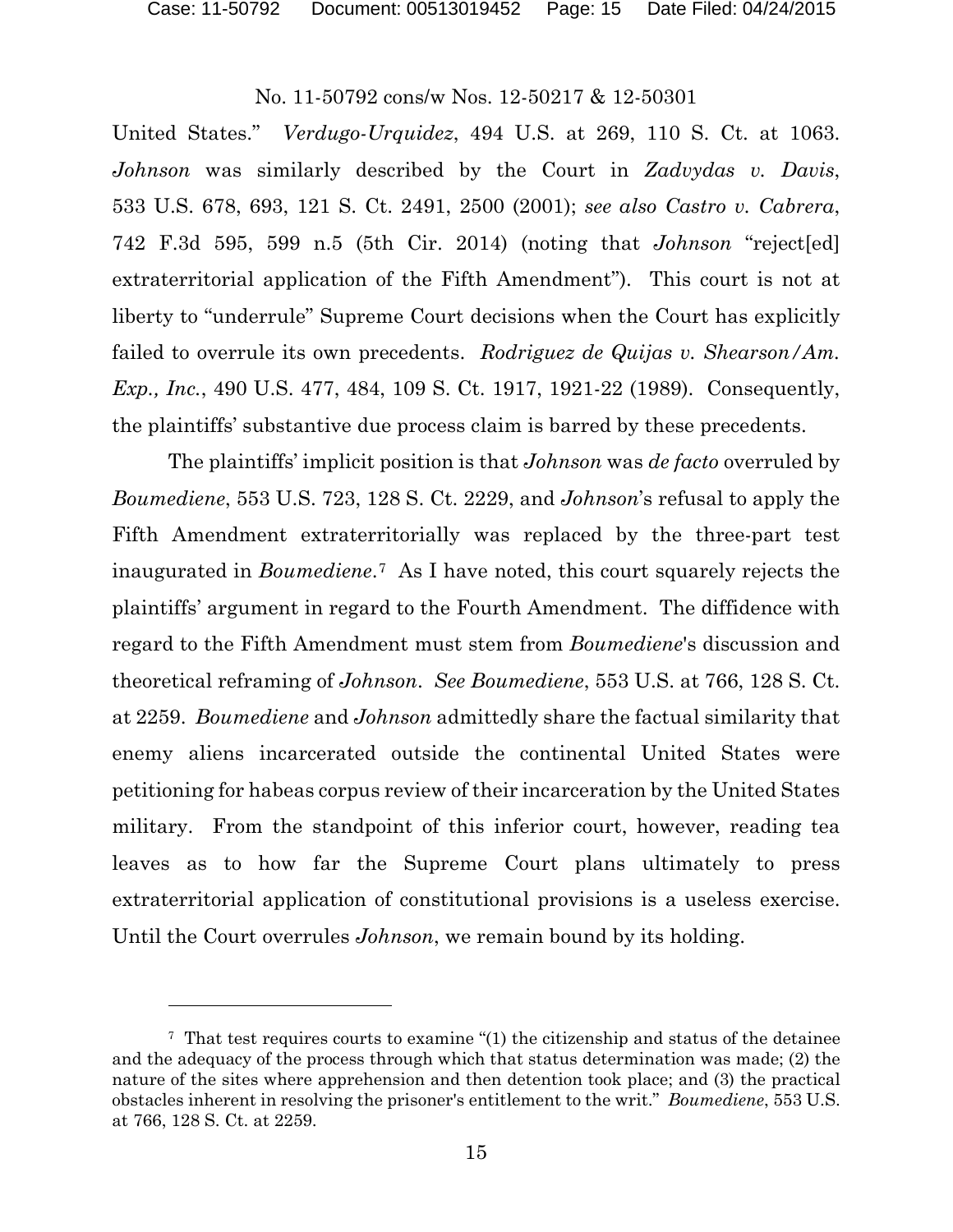l

### No. 11-50792 cons/w Nos. 12-50217 & 12-50301

United States." *Verdugo-Urquidez*, 494 U.S. at 269, 110 S. Ct. at 1063. *Johnson* was similarly described by the Court in *Zadvydas v. Davis*, 533 U.S. 678, 693, 121 S. Ct. 2491, 2500 (2001); *see also Castro v. Cabrera*, 742 F.3d 595, 599 n.5 (5th Cir. 2014) (noting that *Johnson* "reject[ed] extraterritorial application of the Fifth Amendment"). This court is not at liberty to "underrule" Supreme Court decisions when the Court has explicitly failed to overrule its own precedents. *Rodriguez de Quijas v. Shearson/Am. Exp., Inc.*, 490 U.S. 477, 484, 109 S. Ct. 1917, 1921-22 (1989). Consequently, the plaintiffs' substantive due process claim is barred by these precedents.

The plaintiffs' implicit position is that *Johnson* was *de facto* overruled by *Boumediene*, 553 U.S. 723, 128 S. Ct. 2229, and *Johnson*'s refusal to apply the Fifth Amendment extraterritorially was replaced by the three-part test inaugurated in *Boumediene*.[7](#page-14-0) As I have noted, this court squarely rejects the plaintiffs' argument in regard to the Fourth Amendment. The diffidence with regard to the Fifth Amendment must stem from *Boumediene*'s discussion and theoretical reframing of *Johnson*. *See Boumediene*, 553 U.S. at 766, 128 S. Ct. at 2259. *Boumediene* and *Johnson* admittedly share the factual similarity that enemy aliens incarcerated outside the continental United States were petitioning for habeas corpus review of their incarceration by the United States military. From the standpoint of this inferior court, however, reading tea leaves as to how far the Supreme Court plans ultimately to press extraterritorial application of constitutional provisions is a useless exercise. Until the Court overrules *Johnson*, we remain bound by its holding.

<span id="page-14-0"></span><sup>7</sup> That test requires courts to examine "(1) the citizenship and status of the detainee and the adequacy of the process through which that status determination was made; (2) the nature of the sites where apprehension and then detention took place; and (3) the practical obstacles inherent in resolving the prisoner's entitlement to the writ." *Boumediene*, 553 U.S. at 766, 128 S. Ct. at 2259.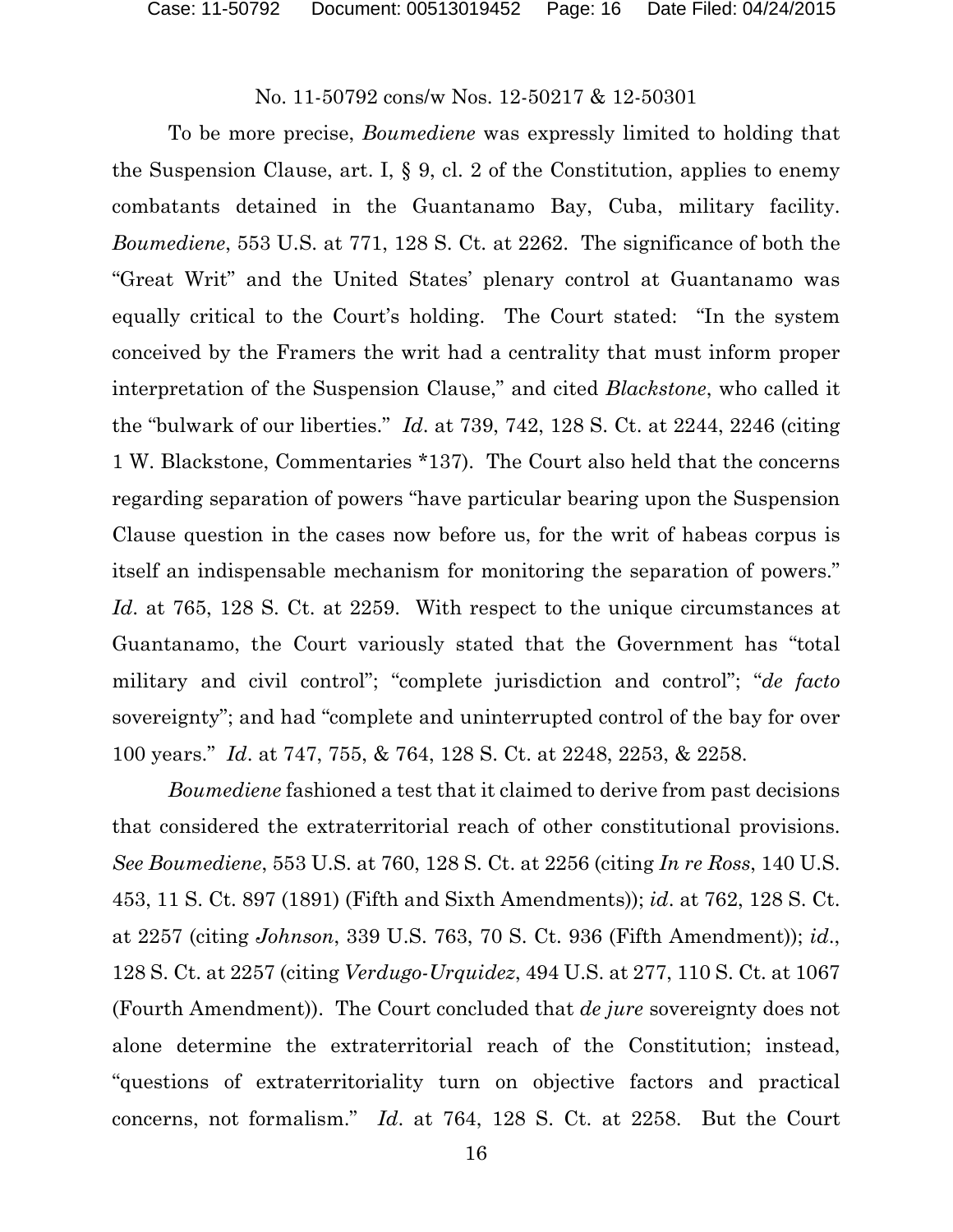To be more precise, *Boumediene* was expressly limited to holding that the Suspension Clause, art. I, § 9, cl. 2 of the Constitution, applies to enemy combatants detained in the Guantanamo Bay, Cuba, military facility. *Boumediene*, 553 U.S. at 771, 128 S. Ct. at 2262. The significance of both the "Great Writ" and the United States' plenary control at Guantanamo was equally critical to the Court's holding. The Court stated: "In the system conceived by the Framers the writ had a centrality that must inform proper interpretation of the Suspension Clause," and cited *Blackstone*, who called it the "bulwark of our liberties." *Id*. at 739, 742, 128 S. Ct. at 2244, 2246 (citing 1 W. Blackstone, Commentaries \*137). The Court also held that the concerns regarding separation of powers "have particular bearing upon the Suspension Clause question in the cases now before us, for the writ of habeas corpus is itself an indispensable mechanism for monitoring the separation of powers." *Id*. at 765, 128 S. Ct. at 2259. With respect to the unique circumstances at Guantanamo, the Court variously stated that the Government has "total military and civil control"; "complete jurisdiction and control"; "*de facto* sovereignty"; and had "complete and uninterrupted control of the bay for over 100 years." *Id*. at 747, 755, & 764, 128 S. Ct. at 2248, 2253, & 2258.

*Boumediene* fashioned a test that it claimed to derive from past decisions that considered the extraterritorial reach of other constitutional provisions. *See Boumediene*, 553 U.S. at 760, 128 S. Ct. at 2256 (citing *In re Ross*, 140 U.S. 453, 11 S. Ct. 897 (1891) (Fifth and Sixth Amendments)); *id*. at 762, 128 S. Ct. at 2257 (citing *Johnson*, 339 U.S. 763, 70 S. Ct. 936 (Fifth Amendment)); *id*., 128 S. Ct. at 2257 (citing *Verdugo-Urquidez*, 494 U.S. at 277, 110 S. Ct. at 1067 (Fourth Amendment)). The Court concluded that *de jure* sovereignty does not alone determine the extraterritorial reach of the Constitution; instead, "questions of extraterritoriality turn on objective factors and practical concerns, not formalism." *Id*. at 764, 128 S. Ct. at 2258. But the Court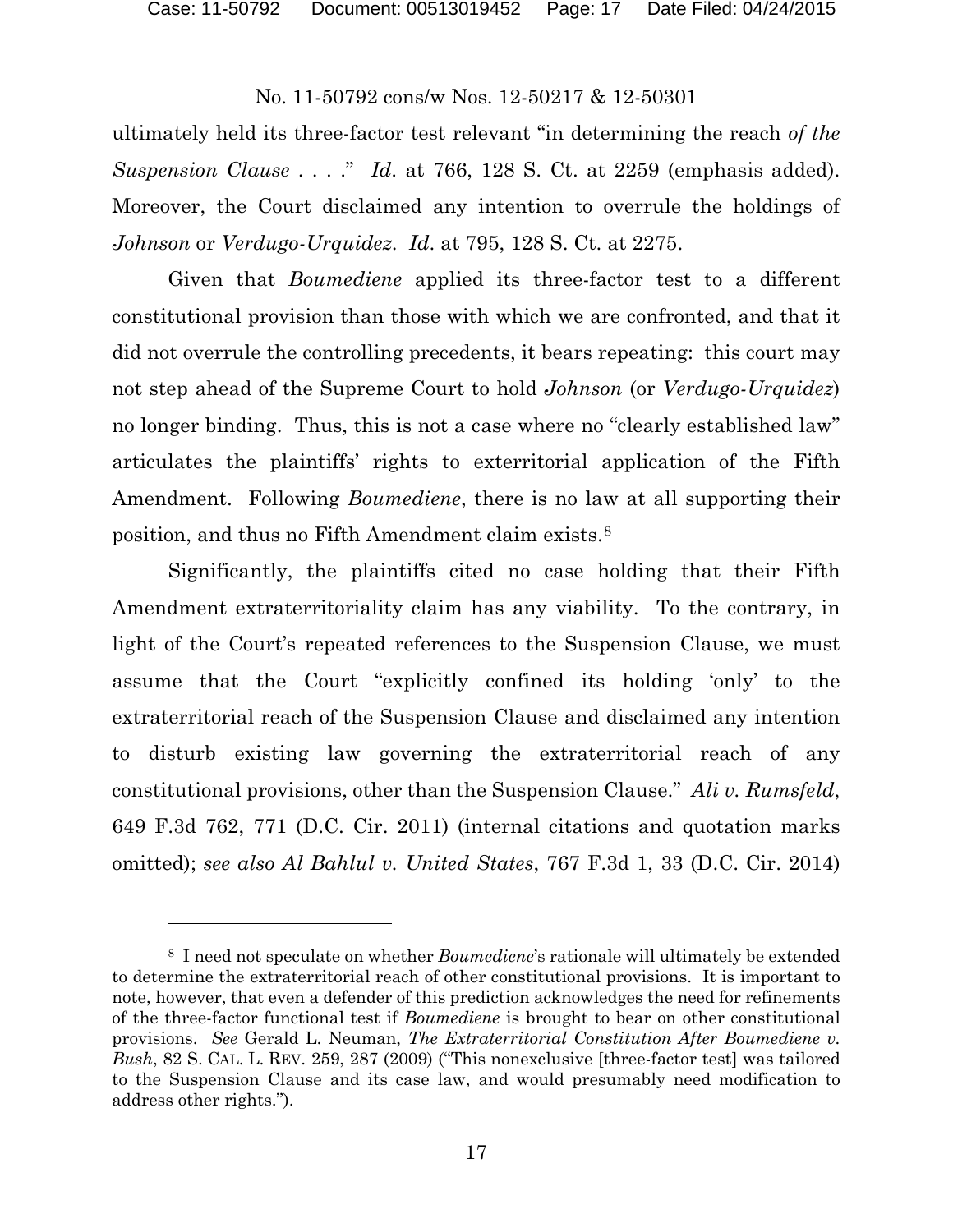Case: 11-50792 Document: 00513019452 Page: 17 Date Filed: 04/24/2015

### No. 11-50792 cons/w Nos. 12-50217 & 12-50301

ultimately held its three-factor test relevant "in determining the reach *of the Suspension Clause* . . . ." *Id*. at 766, 128 S. Ct. at 2259 (emphasis added). Moreover, the Court disclaimed any intention to overrule the holdings of *Johnson* or *Verdugo-Urquidez*. *Id*. at 795, 128 S. Ct. at 2275.

Given that *Boumediene* applied its three-factor test to a different constitutional provision than those with which we are confronted, and that it did not overrule the controlling precedents, it bears repeating: this court may not step ahead of the Supreme Court to hold *Johnson* (or *Verdugo-Urquidez*) no longer binding. Thus, this is not a case where no "clearly established law" articulates the plaintiffs' rights to exterritorial application of the Fifth Amendment. Following *Boumediene*, there is no law at all supporting their position, and thus no Fifth Amendment claim exists.[8](#page-16-0)

Significantly, the plaintiffs cited no case holding that their Fifth Amendment extraterritoriality claim has any viability. To the contrary, in light of the Court's repeated references to the Suspension Clause, we must assume that the Court "explicitly confined its holding 'only' to the extraterritorial reach of the Suspension Clause and disclaimed any intention to disturb existing law governing the extraterritorial reach of any constitutional provisions, other than the Suspension Clause." *Ali v. Rumsfeld*, 649 F.3d 762, 771 (D.C. Cir. 2011) (internal citations and quotation marks omitted); *see also Al Bahlul v. United States*, 767 F.3d 1, 33 (D.C. Cir. 2014)

l

<span id="page-16-0"></span><sup>8</sup> I need not speculate on whether *Boumediene*'s rationale will ultimately be extended to determine the extraterritorial reach of other constitutional provisions. It is important to note, however, that even a defender of this prediction acknowledges the need for refinements of the three-factor functional test if *Boumediene* is brought to bear on other constitutional provisions. *See* Gerald L. Neuman, *The Extraterritorial Constitution After Boumediene v. Bush*, 82 S. CAL. L. REV. 259, 287 (2009) ("This nonexclusive [three-factor test] was tailored to the Suspension Clause and its case law, and would presumably need modification to address other rights.").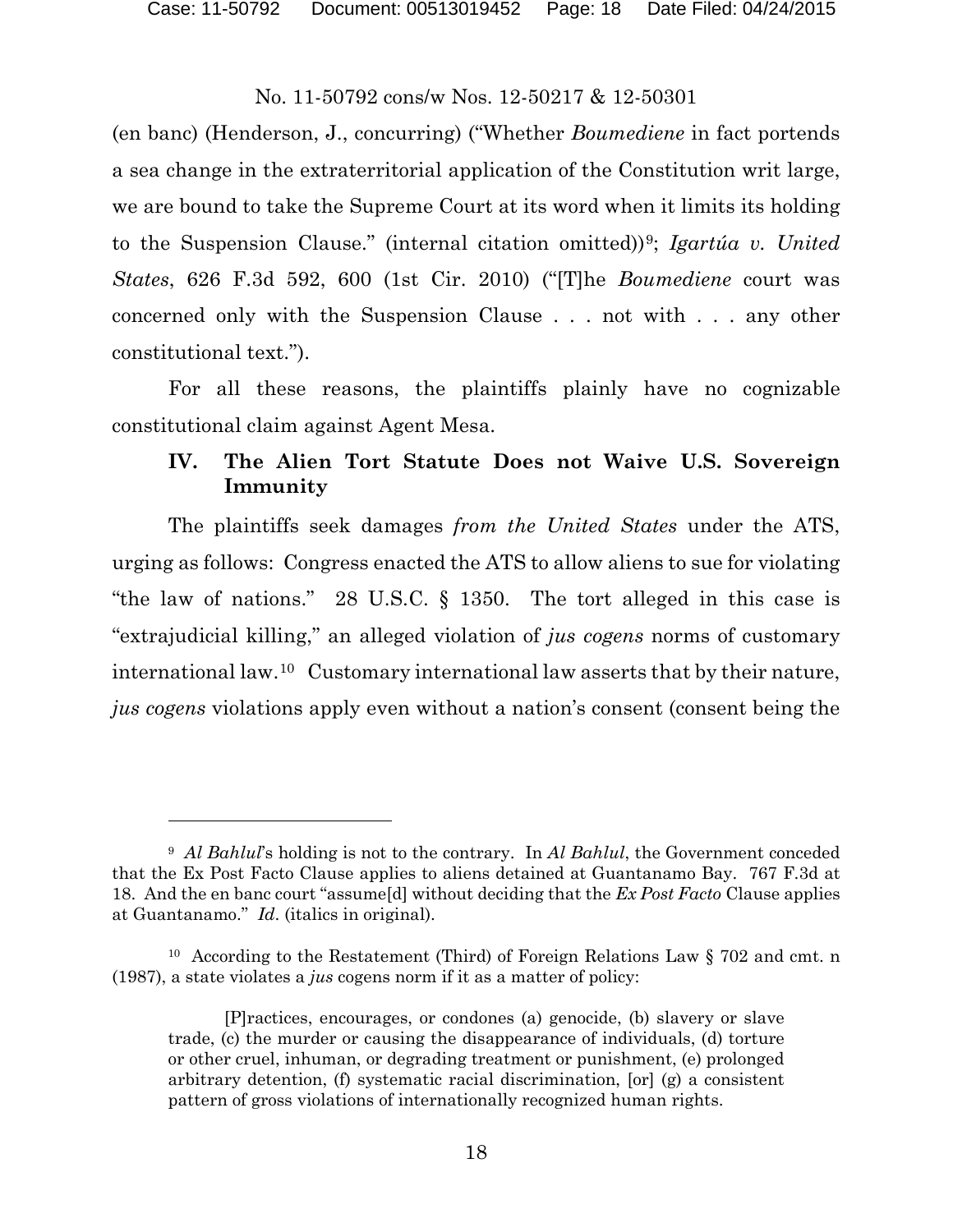Case: 11-50792 Document: 00513019452 Page: 18 Date Filed: 04/24/2015

### No. 11-50792 cons/w Nos. 12-50217 & 12-50301

(en banc) (Henderson, J., concurring) ("Whether *Boumediene* in fact portends a sea change in the extraterritorial application of the Constitution writ large, we are bound to take the Supreme Court at its word when it limits its holding to the Suspension Clause." (internal citation omitted))[9;](#page-17-0) *Igartúa v. United States*, 626 F.3d 592, 600 (1st Cir. 2010) ("[T]he *Boumediene* court was concerned only with the Suspension Clause . . . not with . . . any other constitutional text.").

For all these reasons, the plaintiffs plainly have no cognizable constitutional claim against Agent Mesa.

# **IV. The Alien Tort Statute Does not Waive U.S. Sovereign Immunity**

The plaintiffs seek damages *from the United States* under the ATS, urging as follows: Congress enacted the ATS to allow aliens to sue for violating "the law of nations." 28 U.S.C. § 1350. The tort alleged in this case is "extrajudicial killing," an alleged violation of *jus cogens* norms of customary international law.[10](#page-17-1) Customary international law asserts that by their nature, *jus cogens* violations apply even without a nation's consent (consent being the

<span id="page-17-0"></span><sup>9</sup> *Al Bahlul*'s holding is not to the contrary. In *Al Bahlul*, the Government conceded that the Ex Post Facto Clause applies to aliens detained at Guantanamo Bay. 767 F.3d at 18. And the en banc court "assume[d] without deciding that the *Ex Post Facto* Clause applies at Guantanamo." *Id*. (italics in original).

<span id="page-17-1"></span><sup>&</sup>lt;sup>10</sup> According to the Restatement (Third) of Foreign Relations Law § 702 and cmt. n (1987), a state violates a *jus* cogens norm if it as a matter of policy:

<sup>[</sup>P]ractices, encourages, or condones (a) genocide, (b) slavery or slave trade, (c) the murder or causing the disappearance of individuals, (d) torture or other cruel, inhuman, or degrading treatment or punishment, (e) prolonged arbitrary detention, (f) systematic racial discrimination, [or] (g) a consistent pattern of gross violations of internationally recognized human rights.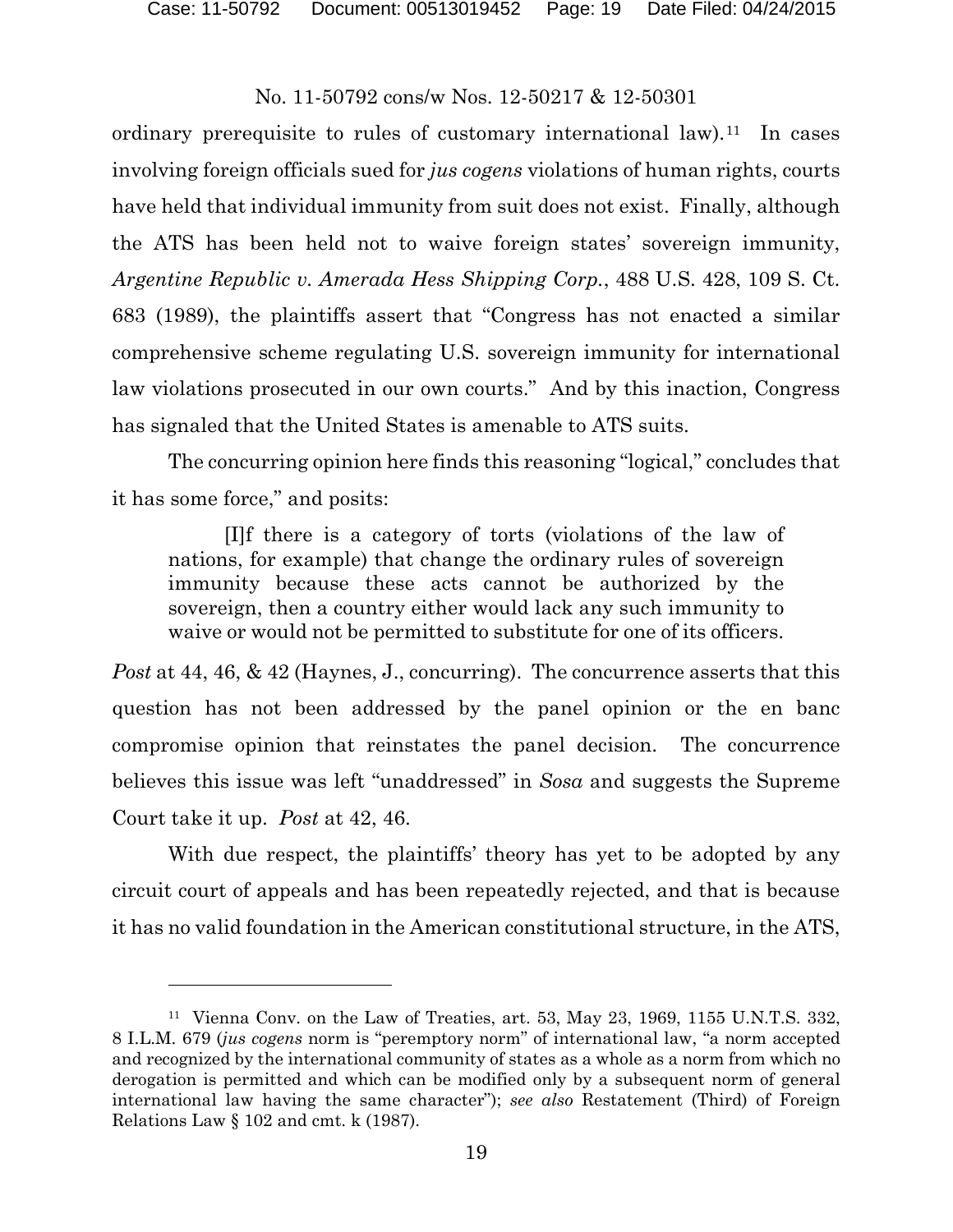Case: 11-50792 Document: 00513019452 Page: 19 Date Filed: 04/24/2015

### No. 11-50792 cons/w Nos. 12-50217 & 12-50301

ordinary prerequisite to rules of customary international law).<sup>11</sup> In cases involving foreign officials sued for *jus cogens* violations of human rights, courts have held that individual immunity from suit does not exist. Finally, although the ATS has been held not to waive foreign states' sovereign immunity, *Argentine Republic v. Amerada Hess Shipping Corp.*, 488 U.S. 428, 109 S. Ct. 683 (1989), the plaintiffs assert that "Congress has not enacted a similar comprehensive scheme regulating U.S. sovereign immunity for international law violations prosecuted in our own courts." And by this inaction, Congress has signaled that the United States is amenable to ATS suits.

The concurring opinion here finds this reasoning "logical," concludes that it has some force," and posits:

[I]f there is a category of torts (violations of the law of nations, for example) that change the ordinary rules of sovereign immunity because these acts cannot be authorized by the sovereign, then a country either would lack any such immunity to waive or would not be permitted to substitute for one of its officers.

*Post* at 44, 46, & 42 (Haynes, J., concurring). The concurrence asserts that this question has not been addressed by the panel opinion or the en banc compromise opinion that reinstates the panel decision. The concurrence believes this issue was left "unaddressed" in *Sosa* and suggests the Supreme Court take it up. *Post* at 42, 46.

With due respect, the plaintiffs' theory has yet to be adopted by any circuit court of appeals and has been repeatedly rejected, and that is because it has no valid foundation in the American constitutional structure, in the ATS,

<span id="page-18-0"></span><sup>&</sup>lt;sup>11</sup> Vienna Conv. on the Law of Treaties, art. 53, May 23, 1969, 1155 U.N.T.S. 332, 8 I.L.M. 679 (*jus cogens* norm is "peremptory norm" of international law, "a norm accepted and recognized by the international community of states as a whole as a norm from which no derogation is permitted and which can be modified only by a subsequent norm of general international law having the same character"); *see also* Restatement (Third) of Foreign Relations Law § 102 and cmt. k (1987).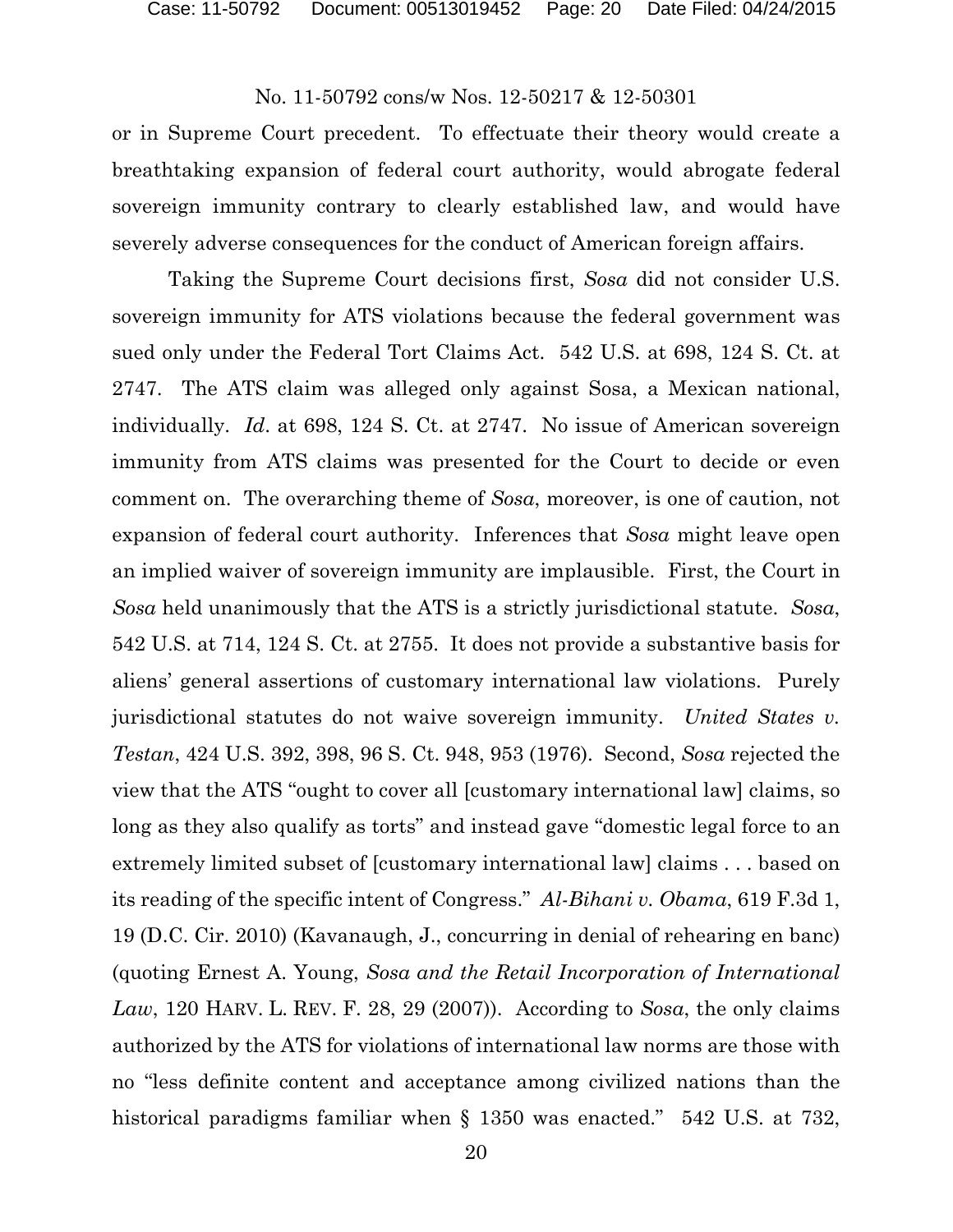or in Supreme Court precedent. To effectuate their theory would create a breathtaking expansion of federal court authority, would abrogate federal sovereign immunity contrary to clearly established law, and would have severely adverse consequences for the conduct of American foreign affairs.

Taking the Supreme Court decisions first, *Sosa* did not consider U.S. sovereign immunity for ATS violations because the federal government was sued only under the Federal Tort Claims Act. 542 U.S. at 698, 124 S. Ct. at 2747. The ATS claim was alleged only against Sosa, a Mexican national, individually. *Id*. at 698, 124 S. Ct. at 2747. No issue of American sovereign immunity from ATS claims was presented for the Court to decide or even comment on. The overarching theme of *Sosa*, moreover, is one of caution, not expansion of federal court authority. Inferences that *Sosa* might leave open an implied waiver of sovereign immunity are implausible. First, the Court in *Sosa* held unanimously that the ATS is a strictly jurisdictional statute. *Sosa*, 542 U.S. at 714, 124 S. Ct. at 2755. It does not provide a substantive basis for aliens' general assertions of customary international law violations. Purely jurisdictional statutes do not waive sovereign immunity. *United States v. Testan*, 424 U.S. 392, 398, 96 S. Ct. 948, 953 (1976). Second, *Sosa* rejected the view that the ATS "ought to cover all [customary international law] claims, so long as they also qualify as torts" and instead gave "domestic legal force to an extremely limited subset of [customary international law] claims . . . based on its reading of the specific intent of Congress." *Al-Bihani v. Obama*, 619 F.3d 1, 19 (D.C. Cir. 2010) (Kavanaugh, J., concurring in denial of rehearing en banc) (quoting Ernest A. Young, *Sosa and the Retail Incorporation of International Law*, 120 HARV. L. REV. F. 28, 29 (2007)). According to *Sosa*, the only claims authorized by the ATS for violations of international law norms are those with no "less definite content and acceptance among civilized nations than the historical paradigms familiar when § 1350 was enacted." 542 U.S. at 732,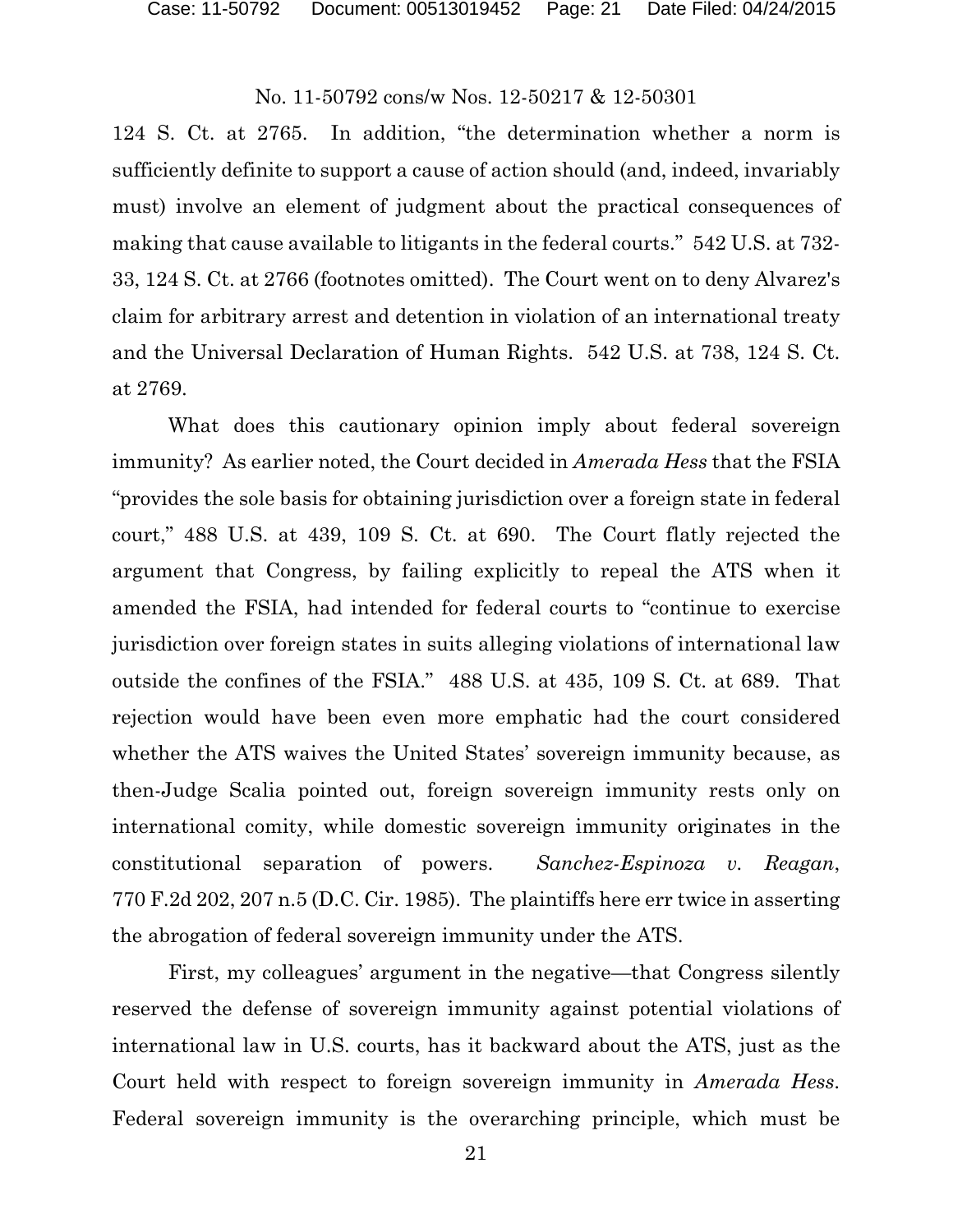124 S. Ct. at 2765. In addition, "the determination whether a norm is sufficiently definite to support a cause of action should (and, indeed, invariably must) involve an element of judgment about the practical consequences of making that cause available to litigants in the federal courts." 542 U.S. at 732- 33, 124 S. Ct. at 2766 (footnotes omitted). The Court went on to deny Alvarez's claim for arbitrary arrest and detention in violation of an international treaty and the Universal Declaration of Human Rights. 542 U.S. at 738, 124 S. Ct. at 2769.

What does this cautionary opinion imply about federal sovereign immunity? As earlier noted, the Court decided in *Amerada Hess* that the FSIA "provides the sole basis for obtaining jurisdiction over a foreign state in federal court," 488 U.S. at 439, 109 S. Ct. at 690. The Court flatly rejected the argument that Congress, by failing explicitly to repeal the ATS when it amended the FSIA, had intended for federal courts to "continue to exercise jurisdiction over foreign states in suits alleging violations of international law outside the confines of the FSIA." 488 U.S. at 435, 109 S. Ct. at 689. That rejection would have been even more emphatic had the court considered whether the ATS waives the United States' sovereign immunity because, as then-Judge Scalia pointed out, foreign sovereign immunity rests only on international comity, while domestic sovereign immunity originates in the constitutional separation of powers. *Sanchez-Espinoza v. Reagan*, 770 F.2d 202, 207 n.5 (D.C. Cir. 1985). The plaintiffs here err twice in asserting the abrogation of federal sovereign immunity under the ATS.

First, my colleagues' argument in the negative—that Congress silently reserved the defense of sovereign immunity against potential violations of international law in U.S. courts, has it backward about the ATS, just as the Court held with respect to foreign sovereign immunity in *Amerada Hess*. Federal sovereign immunity is the overarching principle, which must be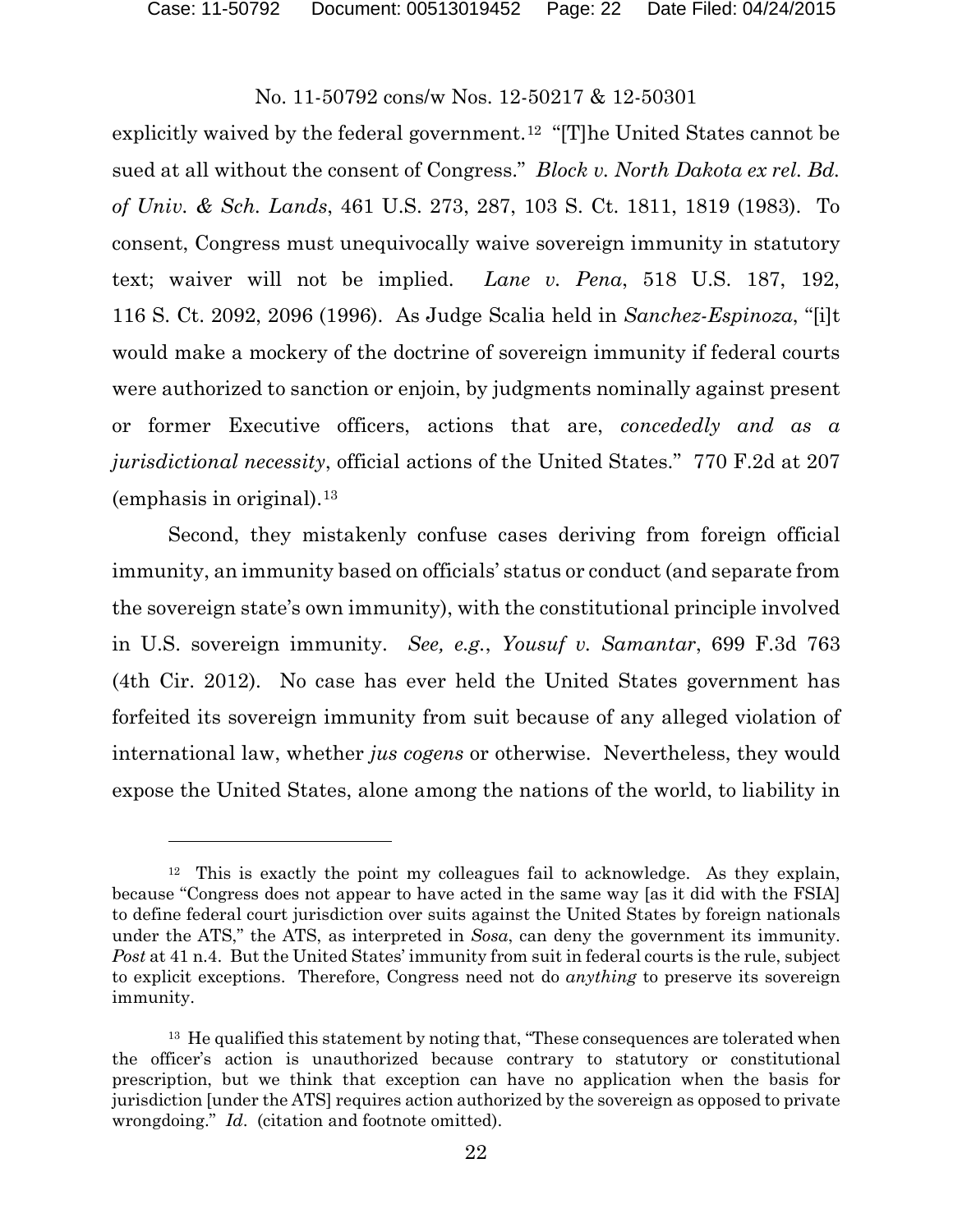l

# No. 11-50792 cons/w Nos. 12-50217 & 12-50301

explicitly waived by the federal government.<sup>[12](#page-21-0)</sup> "[T]he United States cannot be sued at all without the consent of Congress." *Block v. North Dakota ex rel. Bd. of Univ. & Sch. Lands*, 461 U.S. 273, 287, 103 S. Ct. 1811, 1819 (1983). To consent, Congress must unequivocally waive sovereign immunity in statutory text; waiver will not be implied. *Lane v. Pena*, 518 U.S. 187, 192, 116 S. Ct. 2092, 2096 (1996). As Judge Scalia held in *Sanchez-Espinoza*, "[i]t would make a mockery of the doctrine of sovereign immunity if federal courts were authorized to sanction or enjoin, by judgments nominally against present or former Executive officers, actions that are, *concededly and as a jurisdictional necessity*, official actions of the United States." 770 F.2d at 207 (emphasis in original).[13](#page-21-1)

Second, they mistakenly confuse cases deriving from foreign official immunity, an immunity based on officials' status or conduct (and separate from the sovereign state's own immunity), with the constitutional principle involved in U.S. sovereign immunity. *See, e.g.*, *Yousuf v. Samantar*, 699 F.3d 763 (4th Cir. 2012). No case has ever held the United States government has forfeited its sovereign immunity from suit because of any alleged violation of international law, whether *jus cogens* or otherwise. Nevertheless, they would expose the United States, alone among the nations of the world, to liability in

<span id="page-21-0"></span><sup>&</sup>lt;sup>12</sup> This is exactly the point my colleagues fail to acknowledge. As they explain, because "Congress does not appear to have acted in the same way [as it did with the FSIA] to define federal court jurisdiction over suits against the United States by foreign nationals under the ATS," the ATS, as interpreted in *Sosa*, can deny the government its immunity. *Post* at 41 n.4. But the United States' immunity from suit in federal courts is the rule, subject to explicit exceptions. Therefore, Congress need not do *anything* to preserve its sovereign immunity.

<span id="page-21-1"></span><sup>&</sup>lt;sup>13</sup> He qualified this statement by noting that, "These consequences are tolerated when the officer's action is unauthorized because contrary to statutory or constitutional prescription, but we think that exception can have no application when the basis for jurisdiction [under the ATS] requires action authorized by the sovereign as opposed to private wrongdoing." *Id*. (citation and footnote omitted).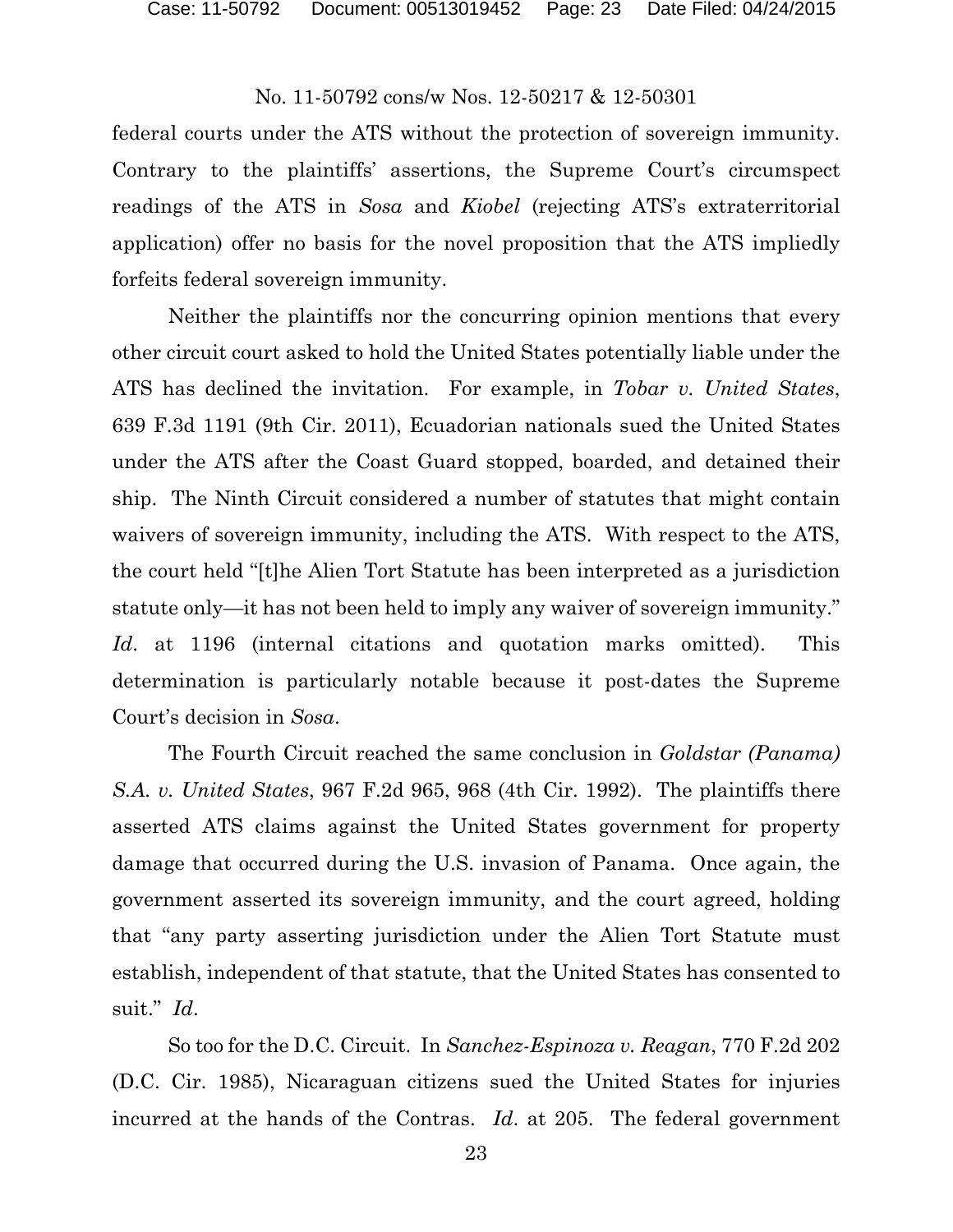federal courts under the ATS without the protection of sovereign immunity. Contrary to the plaintiffs' assertions, the Supreme Court's circumspect readings of the ATS in *Sosa* and *Kiobel* (rejecting ATS's extraterritorial application) offer no basis for the novel proposition that the ATS impliedly forfeits federal sovereign immunity.

Neither the plaintiffs nor the concurring opinion mentions that every other circuit court asked to hold the United States potentially liable under the ATS has declined the invitation. For example, in *Tobar v. United States*, 639 F.3d 1191 (9th Cir. 2011), Ecuadorian nationals sued the United States under the ATS after the Coast Guard stopped, boarded, and detained their ship. The Ninth Circuit considered a number of statutes that might contain waivers of sovereign immunity, including the ATS. With respect to the ATS, the court held "[t]he Alien Tort Statute has been interpreted as a jurisdiction statute only—it has not been held to imply any waiver of sovereign immunity." *Id*. at 1196 (internal citations and quotation marks omitted). This determination is particularly notable because it post-dates the Supreme Court's decision in *Sosa*.

The Fourth Circuit reached the same conclusion in *Goldstar (Panama) S.A. v. United States*, 967 F.2d 965, 968 (4th Cir. 1992). The plaintiffs there asserted ATS claims against the United States government for property damage that occurred during the U.S. invasion of Panama. Once again, the government asserted its sovereign immunity, and the court agreed, holding that "any party asserting jurisdiction under the Alien Tort Statute must establish, independent of that statute, that the United States has consented to suit." *Id*.

So too for the D.C. Circuit. In *Sanchez-Espinoza v. Reagan*, 770 F.2d 202 (D.C. Cir. 1985), Nicaraguan citizens sued the United States for injuries incurred at the hands of the Contras. *Id*. at 205. The federal government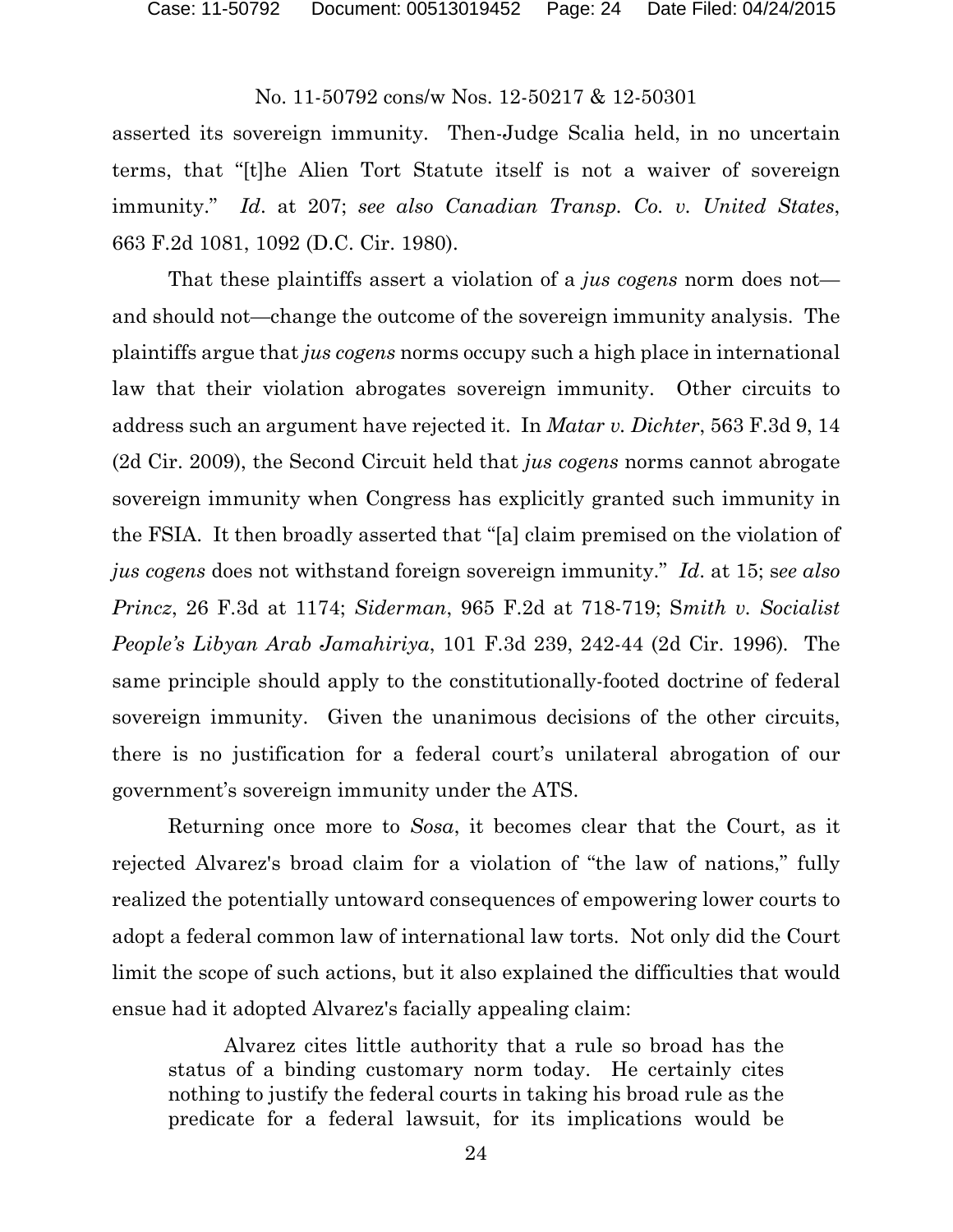asserted its sovereign immunity. Then-Judge Scalia held, in no uncertain terms, that "[t]he Alien Tort Statute itself is not a waiver of sovereign immunity." *Id*. at 207; *see also Canadian Transp. Co. v. United States*, 663 F.2d 1081, 1092 (D.C. Cir. 1980).

That these plaintiffs assert a violation of a *jus cogens* norm does not and should not—change the outcome of the sovereign immunity analysis. The plaintiffs argue that *jus cogens* norms occupy such a high place in international law that their violation abrogates sovereign immunity. Other circuits to address such an argument have rejected it. In *Matar v. Dichter*, 563 F.3d 9, 14 (2d Cir. 2009), the Second Circuit held that *jus cogens* norms cannot abrogate sovereign immunity when Congress has explicitly granted such immunity in the FSIA. It then broadly asserted that "[a] claim premised on the violation of *jus cogens* does not withstand foreign sovereign immunity." *Id*. at 15; s*ee also Princz*, 26 F.3d at 1174; *Siderman*, 965 F.2d at 718-719; S*mith v. Socialist People's Libyan Arab Jamahiriya*, 101 F.3d 239, 242-44 (2d Cir. 1996)*.* The same principle should apply to the constitutionally-footed doctrine of federal sovereign immunity. Given the unanimous decisions of the other circuits, there is no justification for a federal court's unilateral abrogation of our government's sovereign immunity under the ATS.

Returning once more to *Sosa*, it becomes clear that the Court, as it rejected Alvarez's broad claim for a violation of "the law of nations," fully realized the potentially untoward consequences of empowering lower courts to adopt a federal common law of international law torts. Not only did the Court limit the scope of such actions, but it also explained the difficulties that would ensue had it adopted Alvarez's facially appealing claim:

Alvarez cites little authority that a rule so broad has the status of a binding customary norm today. He certainly cites nothing to justify the federal courts in taking his broad rule as the predicate for a federal lawsuit, for its implications would be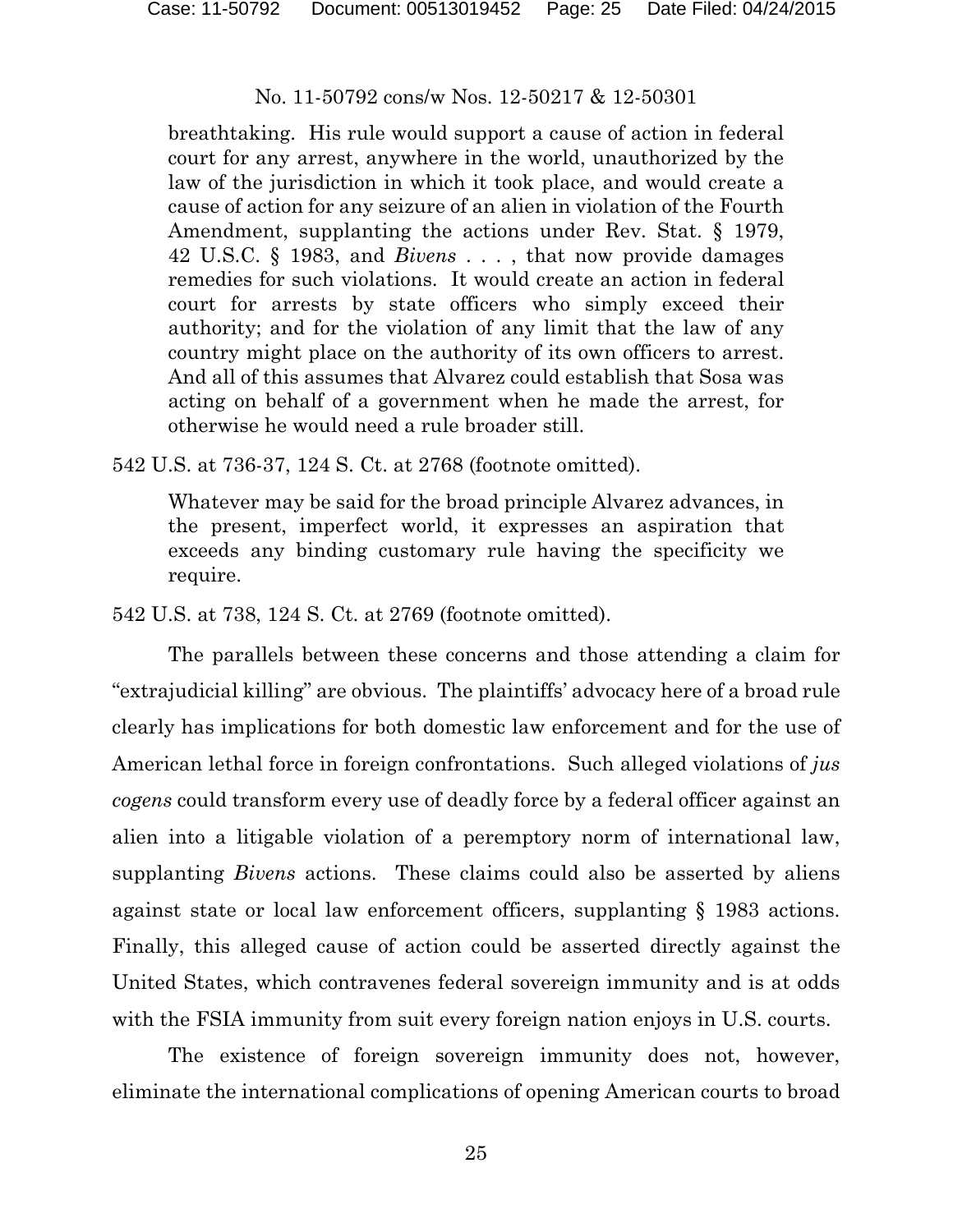breathtaking. His rule would support a cause of action in federal court for any arrest, anywhere in the world, unauthorized by the law of the jurisdiction in which it took place, and would create a cause of action for any seizure of an alien in violation of the Fourth Amendment, supplanting the actions under Rev. Stat. § 1979, 42 U.S.C. § 1983, and *Bivens* . . . , that now provide damages remedies for such violations. It would create an action in federal court for arrests by state officers who simply exceed their authority; and for the violation of any limit that the law of any country might place on the authority of its own officers to arrest. And all of this assumes that Alvarez could establish that Sosa was acting on behalf of a government when he made the arrest, for otherwise he would need a rule broader still.

542 U.S. at 736-37, 124 S. Ct. at 2768 (footnote omitted).

Whatever may be said for the broad principle Alvarez advances, in the present, imperfect world, it expresses an aspiration that exceeds any binding customary rule having the specificity we require.

542 U.S. at 738, 124 S. Ct. at 2769 (footnote omitted).

The parallels between these concerns and those attending a claim for "extrajudicial killing" are obvious. The plaintiffs' advocacy here of a broad rule clearly has implications for both domestic law enforcement and for the use of American lethal force in foreign confrontations. Such alleged violations of *jus cogens* could transform every use of deadly force by a federal officer against an alien into a litigable violation of a peremptory norm of international law, supplanting *Bivens* actions. These claims could also be asserted by aliens against state or local law enforcement officers, supplanting § 1983 actions. Finally, this alleged cause of action could be asserted directly against the United States, which contravenes federal sovereign immunity and is at odds with the FSIA immunity from suit every foreign nation enjoys in U.S. courts.

The existence of foreign sovereign immunity does not, however, eliminate the international complications of opening American courts to broad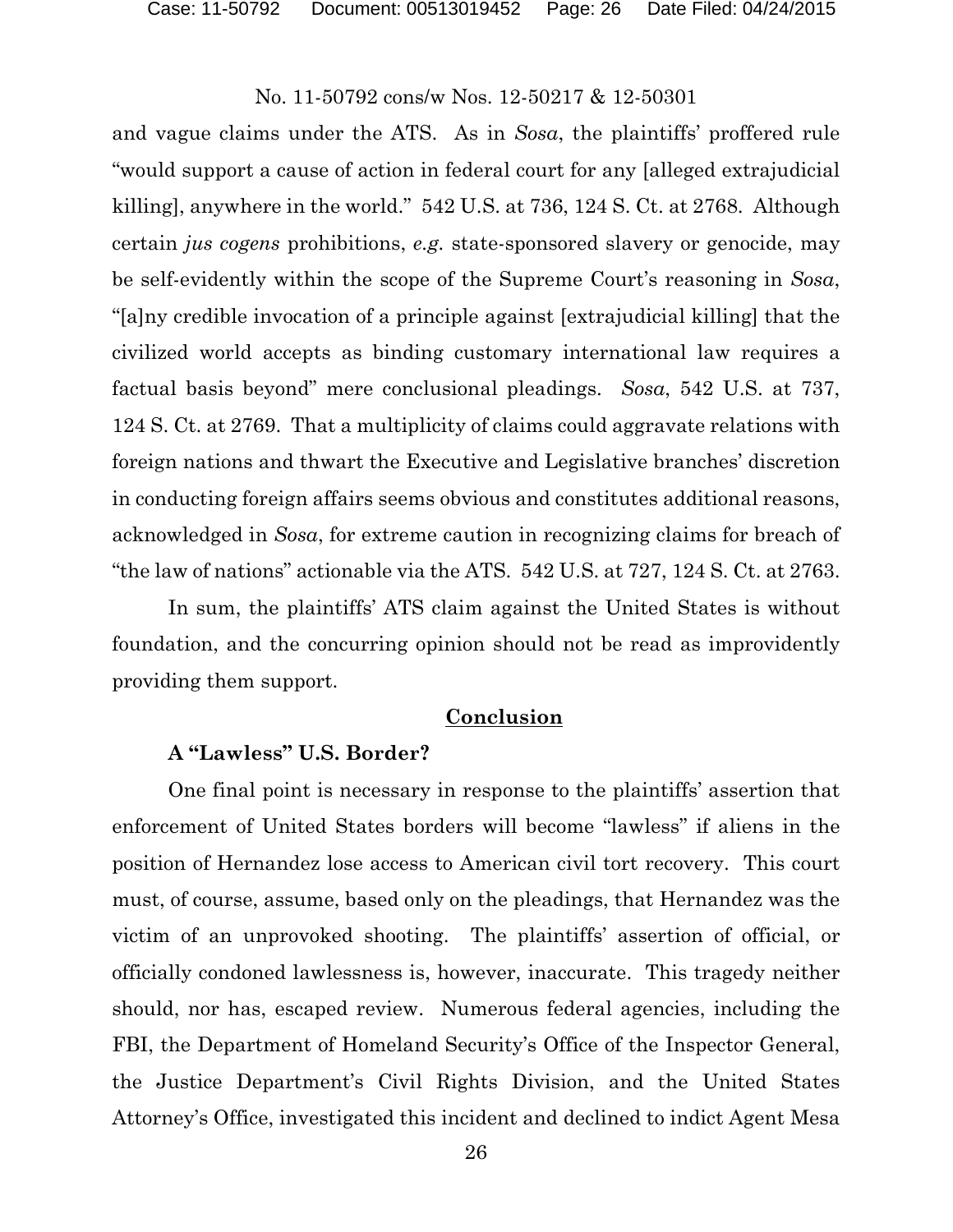and vague claims under the ATS. As in *Sosa*, the plaintiffs' proffered rule "would support a cause of action in federal court for any [alleged extrajudicial killing], anywhere in the world." 542 U.S. at 736, 124 S. Ct. at 2768. Although certain *jus cogens* prohibitions, *e.g.* state-sponsored slavery or genocide, may be self-evidently within the scope of the Supreme Court's reasoning in *Sosa*, "[a]ny credible invocation of a principle against [extrajudicial killing] that the civilized world accepts as binding customary international law requires a factual basis beyond" mere conclusional pleadings. *Sosa*, 542 U.S. at 737, 124 S. Ct. at 2769. That a multiplicity of claims could aggravate relations with foreign nations and thwart the Executive and Legislative branches' discretion in conducting foreign affairs seems obvious and constitutes additional reasons, acknowledged in *Sosa*, for extreme caution in recognizing claims for breach of "the law of nations" actionable via the ATS. 542 U.S. at 727, 124 S. Ct. at 2763.

In sum, the plaintiffs' ATS claim against the United States is without foundation, and the concurring opinion should not be read as improvidently providing them support.

# **Conclusion**

# **A "Lawless" U.S. Border?**

One final point is necessary in response to the plaintiffs' assertion that enforcement of United States borders will become "lawless" if aliens in the position of Hernandez lose access to American civil tort recovery. This court must, of course, assume, based only on the pleadings, that Hernandez was the victim of an unprovoked shooting. The plaintiffs' assertion of official, or officially condoned lawlessness is, however, inaccurate. This tragedy neither should, nor has, escaped review. Numerous federal agencies, including the FBI, the Department of Homeland Security's Office of the Inspector General, the Justice Department's Civil Rights Division, and the United States Attorney's Office, investigated this incident and declined to indict Agent Mesa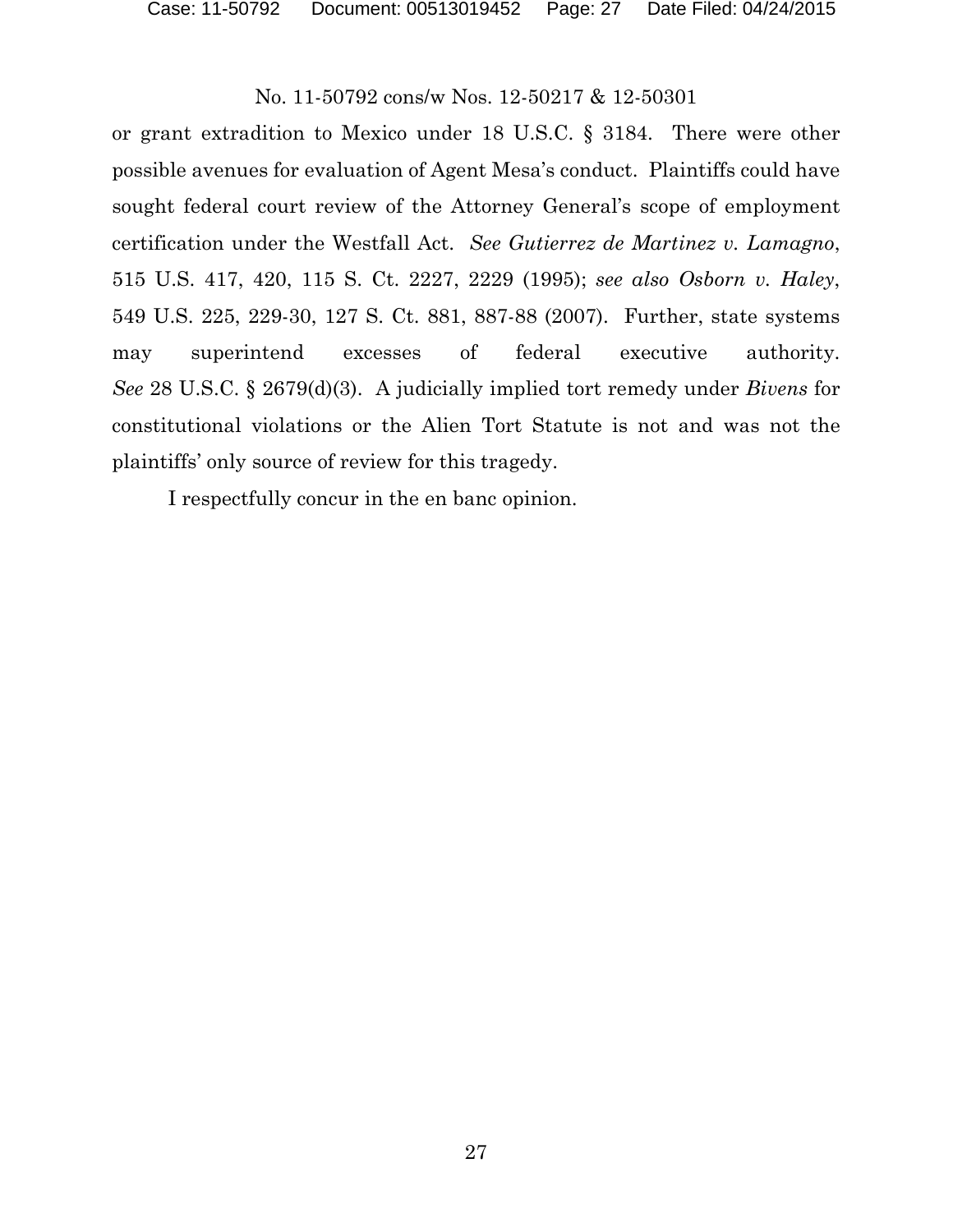or grant extradition to Mexico under 18 U.S.C. § 3184. There were other possible avenues for evaluation of Agent Mesa's conduct. Plaintiffs could have sought federal court review of the Attorney General's scope of employment certification under the Westfall Act. *See Gutierrez de Martinez v. Lamagno*, 515 U.S. 417, 420, 115 S. Ct. 2227, 2229 (1995); *see also Osborn v. Haley*, 549 U.S. 225, 229-30, 127 S. Ct. 881, 887-88 (2007). Further, state systems may superintend excesses of federal executive authority. *See* 28 U.S.C. § 2679(d)(3). A judicially implied tort remedy under *Bivens* for constitutional violations or the Alien Tort Statute is not and was not the plaintiffs' only source of review for this tragedy.

I respectfully concur in the en banc opinion.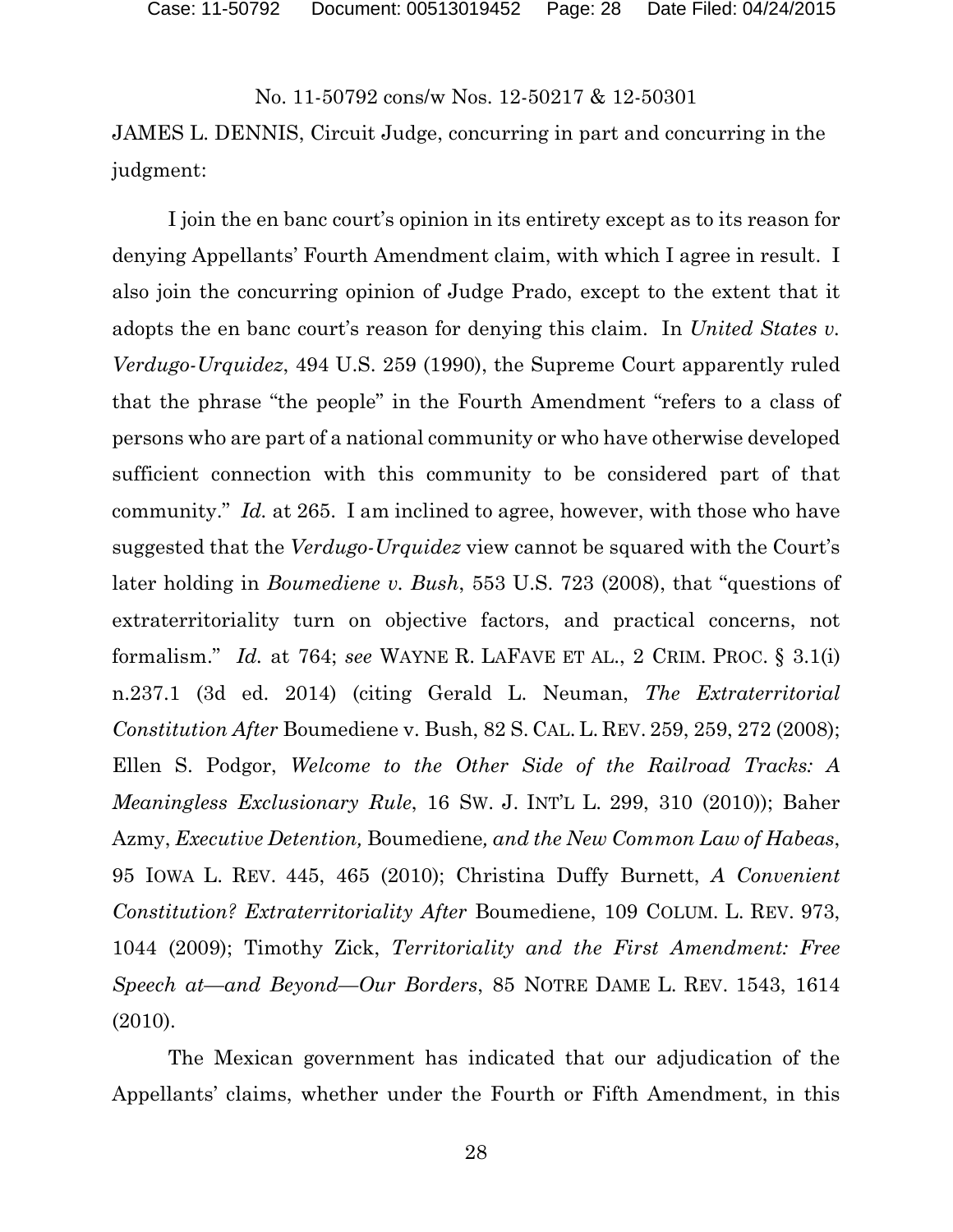JAMES L. DENNIS, Circuit Judge, concurring in part and concurring in the judgment:

I join the en banc court's opinion in its entirety except as to its reason for denying Appellants' Fourth Amendment claim, with which I agree in result. I also join the concurring opinion of Judge Prado, except to the extent that it adopts the en banc court's reason for denying this claim. In *United States v. Verdugo-Urquidez*, 494 U.S. 259 (1990), the Supreme Court apparently ruled that the phrase "the people" in the Fourth Amendment "refers to a class of persons who are part of a national community or who have otherwise developed sufficient connection with this community to be considered part of that community." *Id.* at 265. I am inclined to agree, however, with those who have suggested that the *Verdugo-Urquidez* view cannot be squared with the Court's later holding in *Boumediene v. Bush*, 553 U.S. 723 (2008), that "questions of extraterritoriality turn on objective factors, and practical concerns, not formalism." *Id.* at 764; *see* WAYNE R. LAFAVE ET AL., 2 CRIM. PROC. § 3.1(i) n.237.1 (3d ed. 2014) (citing Gerald L. Neuman, *The Extraterritorial Constitution After* Boumediene v. Bush, 82 S. CAL. L. REV. 259, 259, 272 (2008); Ellen S. Podgor, *Welcome to the Other Side of the Railroad Tracks: A Meaningless Exclusionary Rule*, 16 SW. J. INT'L L. 299, 310 (2010)); Baher Azmy, *Executive Detention,* Boumediene*, and the New Common Law of Habeas*, 95 IOWA L. REV. 445, 465 (2010); Christina Duffy Burnett, *A Convenient Constitution? Extraterritoriality After* Boumediene, 109 COLUM. L. REV. 973, 1044 (2009); Timothy Zick, *Territoriality and the First Amendment: Free Speech at—and Beyond—Our Borders*, 85 NOTRE DAME L. REV. 1543, 1614 (2010).

The Mexican government has indicated that our adjudication of the Appellants' claims, whether under the Fourth or Fifth Amendment, in this

28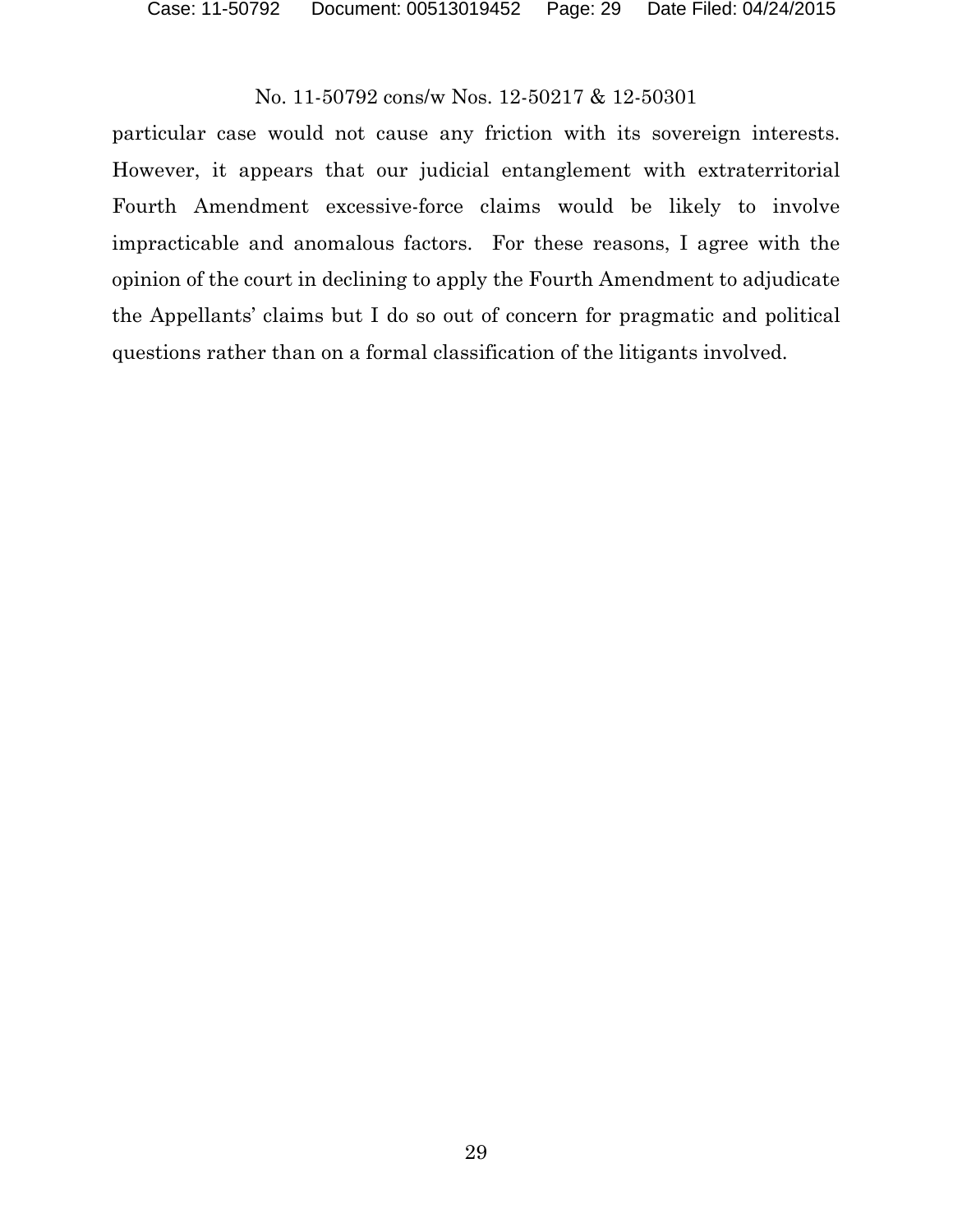particular case would not cause any friction with its sovereign interests. However, it appears that our judicial entanglement with extraterritorial Fourth Amendment excessive-force claims would be likely to involve impracticable and anomalous factors. For these reasons, I agree with the opinion of the court in declining to apply the Fourth Amendment to adjudicate the Appellants' claims but I do so out of concern for pragmatic and political questions rather than on a formal classification of the litigants involved.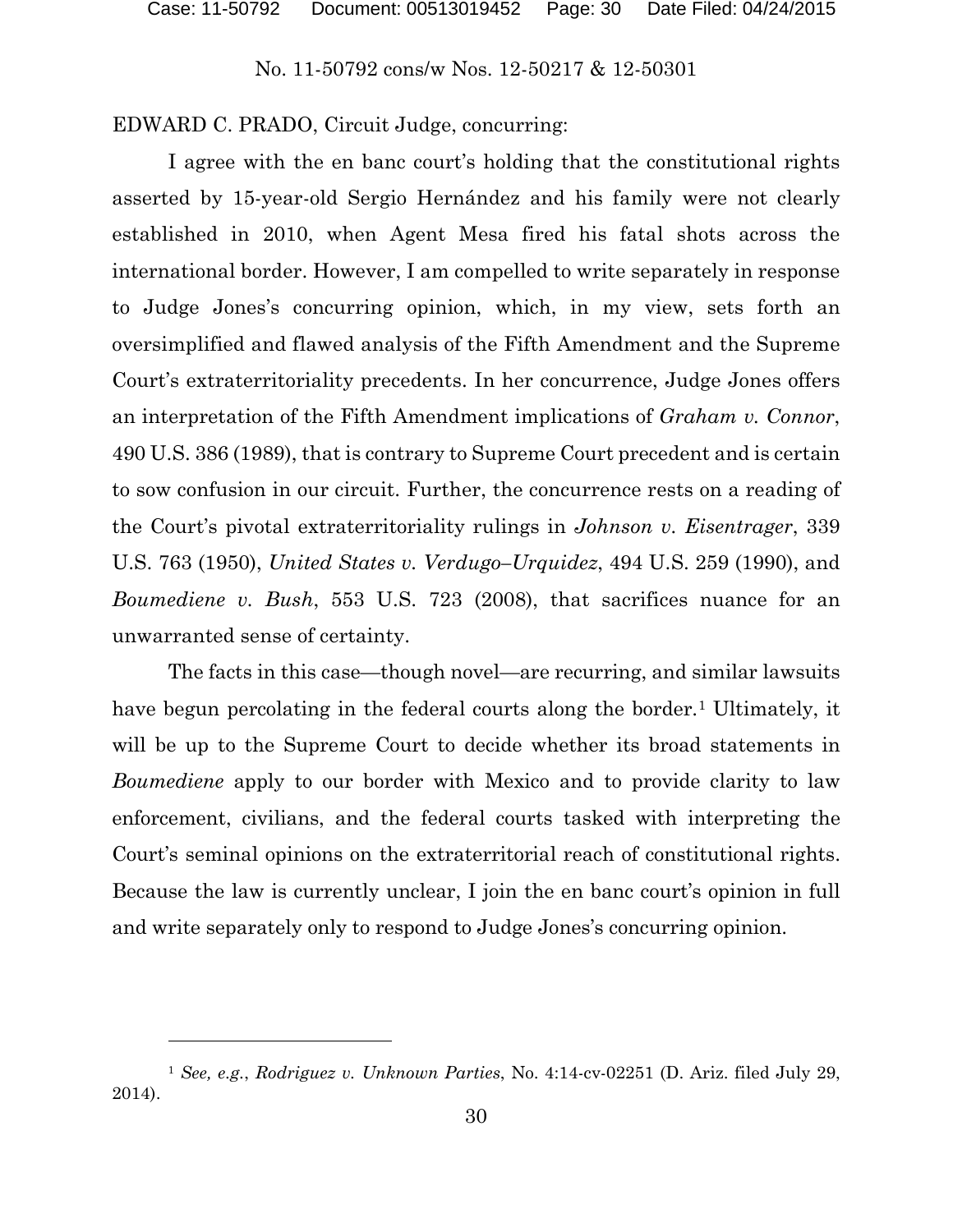EDWARD C. PRADO, Circuit Judge, concurring:

I agree with the en banc court's holding that the constitutional rights asserted by 15-year-old Sergio Hernández and his family were not clearly established in 2010, when Agent Mesa fired his fatal shots across the international border. However, I am compelled to write separately in response to Judge Jones's concurring opinion, which, in my view, sets forth an oversimplified and flawed analysis of the Fifth Amendment and the Supreme Court's extraterritoriality precedents. In her concurrence, Judge Jones offers an interpretation of the Fifth Amendment implications of *Graham v. Connor*, 490 U.S. 386 (1989), that is contrary to Supreme Court precedent and is certain to sow confusion in our circuit. Further, the concurrence rests on a reading of the Court's pivotal extraterritoriality rulings in *Johnson v. Eisentrager*, 339 U.S. 763 (1950), *United States v. Verdugo–Urquidez*, 494 U.S. 259 (1990), and *Boumediene v. Bush*, 553 U.S. 723 (2008), that sacrifices nuance for an unwarranted sense of certainty.

The facts in this case—though novel—are recurring, and similar lawsuits have begun percolating in the federal courts along the border.<sup>[1](#page-29-0)</sup> Ultimately, it will be up to the Supreme Court to decide whether its broad statements in *Boumediene* apply to our border with Mexico and to provide clarity to law enforcement, civilians, and the federal courts tasked with interpreting the Court's seminal opinions on the extraterritorial reach of constitutional rights. Because the law is currently unclear, I join the en banc court's opinion in full and write separately only to respond to Judge Jones's concurring opinion.

<span id="page-29-0"></span><sup>1</sup> *See, e.g.*, *Rodriguez v. Unknown Parties*, No. 4:14-cv-02251 (D. Ariz. filed July 29, 2014).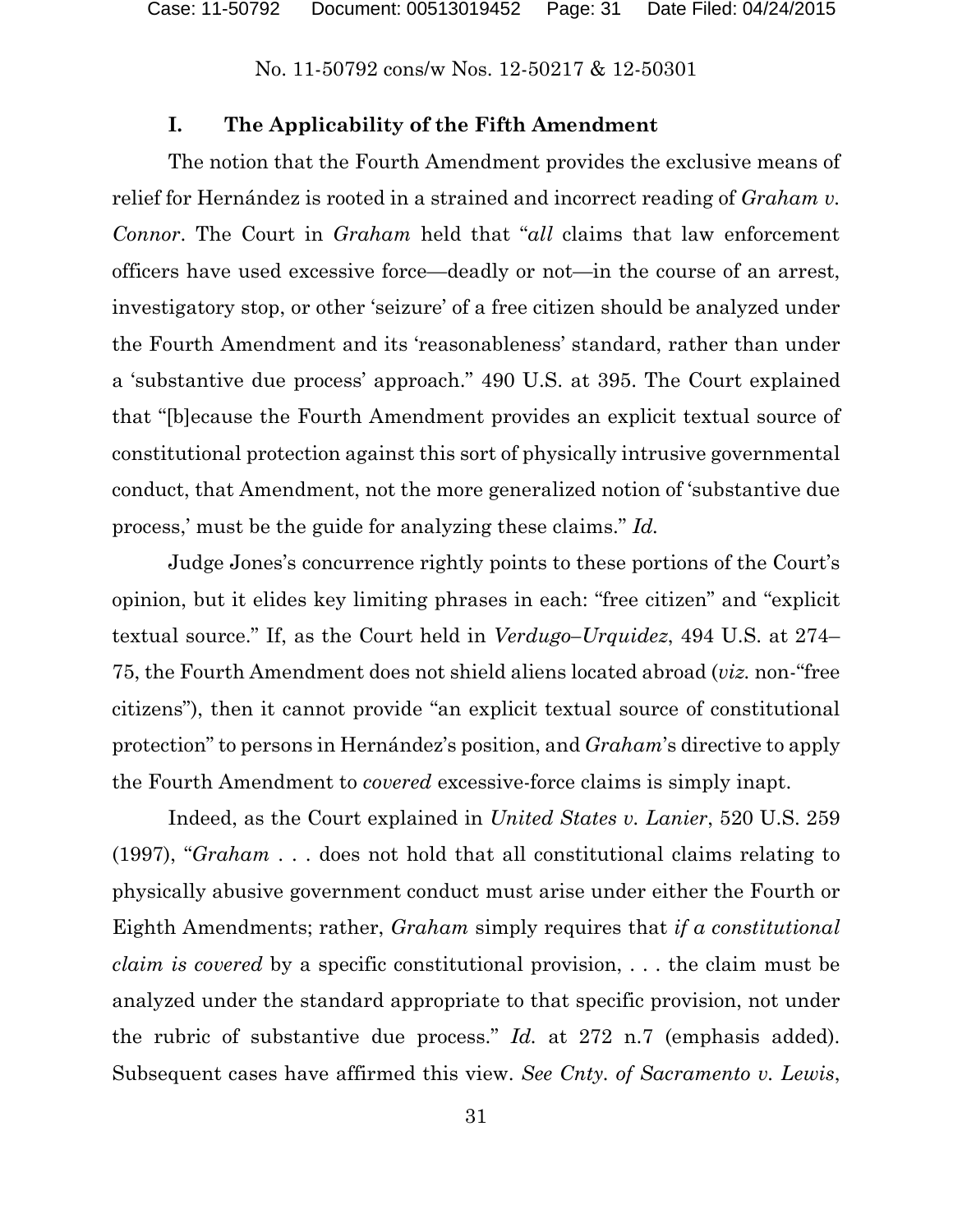#### **I. The Applicability of the Fifth Amendment**

The notion that the Fourth Amendment provides the exclusive means of relief for Hernández is rooted in a strained and incorrect reading of *Graham v. Connor*. The Court in *Graham* held that "*all* claims that law enforcement officers have used excessive force—deadly or not—in the course of an arrest, investigatory stop, or other 'seizure' of a free citizen should be analyzed under the Fourth Amendment and its 'reasonableness' standard, rather than under a 'substantive due process' approach." 490 U.S. at 395. The Court explained that "[b]ecause the Fourth Amendment provides an explicit textual source of constitutional protection against this sort of physically intrusive governmental conduct, that Amendment, not the more generalized notion of 'substantive due process,' must be the guide for analyzing these claims." *Id.*

Judge Jones's concurrence rightly points to these portions of the Court's opinion, but it elides key limiting phrases in each: "free citizen" and "explicit textual source." If, as the Court held in *Verdugo–Urquidez*, 494 U.S. at 274– 75, the Fourth Amendment does not shield aliens located abroad (*viz.* non-"free citizens"), then it cannot provide "an explicit textual source of constitutional protection" to persons in Hernández's position, and *Graham*'s directive to apply the Fourth Amendment to *covered* excessive-force claims is simply inapt.

Indeed, as the Court explained in *United States v. Lanier*, 520 U.S. 259 (1997), "*Graham* . . . does not hold that all constitutional claims relating to physically abusive government conduct must arise under either the Fourth or Eighth Amendments; rather, *Graham* simply requires that *if a constitutional claim is covered* by a specific constitutional provision, . . . the claim must be analyzed under the standard appropriate to that specific provision, not under the rubric of substantive due process." *Id.* at 272 n.7 (emphasis added). Subsequent cases have affirmed this view. *See Cnty. of Sacramento v. Lewis*,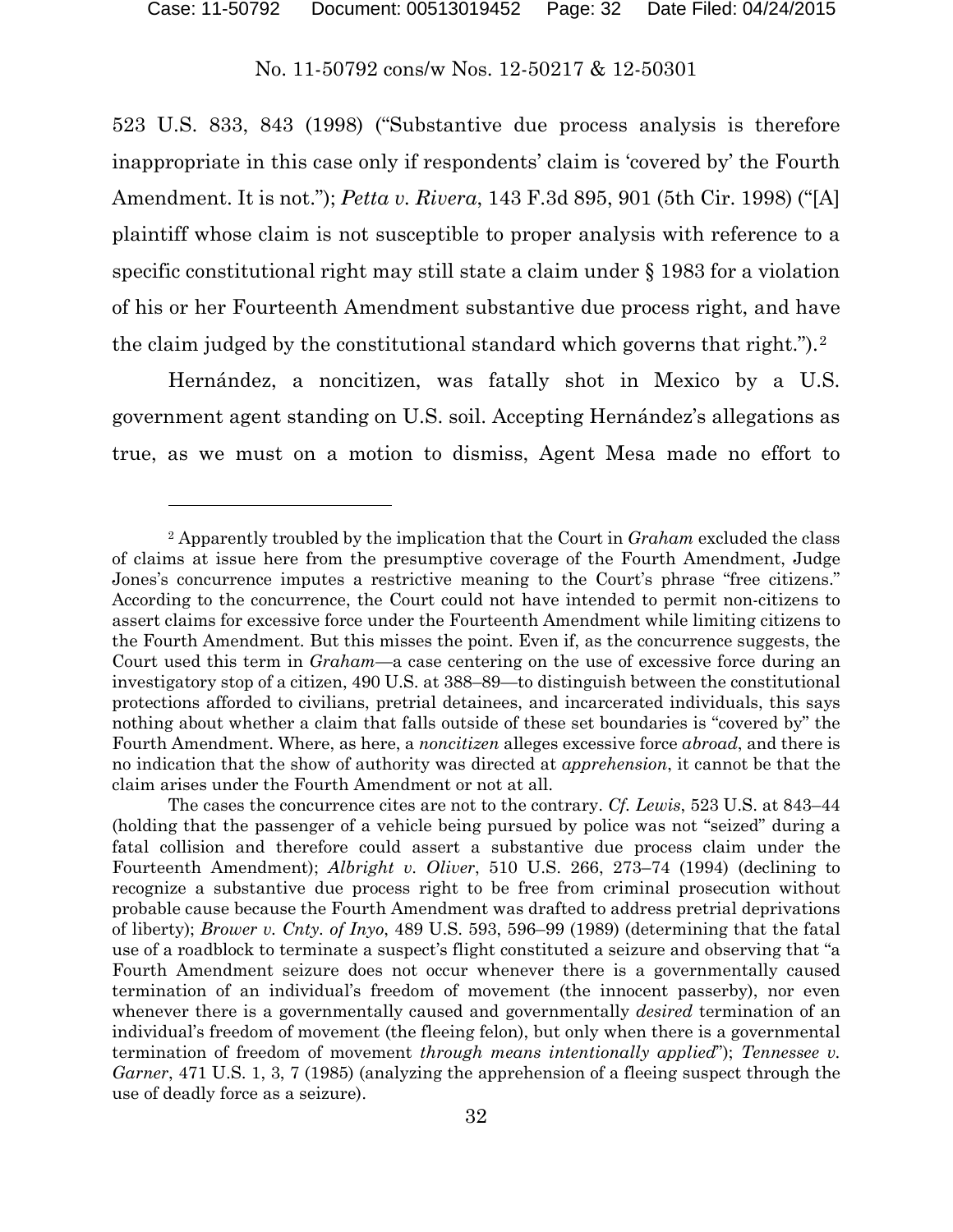523 U.S. 833, 843 (1998) ("Substantive due process analysis is therefore inappropriate in this case only if respondents' claim is 'covered by' the Fourth Amendment. It is not."); *Petta v. Rivera*, 143 F.3d 895, 901 (5th Cir. 1998) ("[A] plaintiff whose claim is not susceptible to proper analysis with reference to a specific constitutional right may still state a claim under § 1983 for a violation of his or her Fourteenth Amendment substantive due process right, and have the claim judged by the constitutional standard which governs that right.").[2](#page-31-0)

Hernández, a noncitizen, was fatally shot in Mexico by a U.S. government agent standing on U.S. soil. Accepting Hernández's allegations as true, as we must on a motion to dismiss, Agent Mesa made no effort to

<span id="page-31-0"></span><sup>2</sup> Apparently troubled by the implication that the Court in *Graham* excluded the class of claims at issue here from the presumptive coverage of the Fourth Amendment, Judge Jones's concurrence imputes a restrictive meaning to the Court's phrase "free citizens." According to the concurrence, the Court could not have intended to permit non-citizens to assert claims for excessive force under the Fourteenth Amendment while limiting citizens to the Fourth Amendment. But this misses the point. Even if, as the concurrence suggests, the Court used this term in *Graham*—a case centering on the use of excessive force during an investigatory stop of a citizen, 490 U.S. at 388–89—to distinguish between the constitutional protections afforded to civilians, pretrial detainees, and incarcerated individuals, this says nothing about whether a claim that falls outside of these set boundaries is "covered by" the Fourth Amendment. Where, as here, a *noncitizen* alleges excessive force *abroad*, and there is no indication that the show of authority was directed at *apprehension*, it cannot be that the claim arises under the Fourth Amendment or not at all.

The cases the concurrence cites are not to the contrary. *Cf. Lewis*, 523 U.S. at 843–44 (holding that the passenger of a vehicle being pursued by police was not "seized" during a fatal collision and therefore could assert a substantive due process claim under the Fourteenth Amendment); *Albright v. Oliver*, 510 U.S. 266, 273–74 (1994) (declining to recognize a substantive due process right to be free from criminal prosecution without probable cause because the Fourth Amendment was drafted to address pretrial deprivations of liberty); *Brower v. Cnty. of Inyo*, 489 U.S. 593, 596–99 (1989) (determining that the fatal use of a roadblock to terminate a suspect's flight constituted a seizure and observing that "a Fourth Amendment seizure does not occur whenever there is a governmentally caused termination of an individual's freedom of movement (the innocent passerby), nor even whenever there is a governmentally caused and governmentally *desired* termination of an individual's freedom of movement (the fleeing felon), but only when there is a governmental termination of freedom of movement *through means intentionally applied*"); *Tennessee v. Garner*, 471 U.S. 1, 3, 7 (1985) (analyzing the apprehension of a fleeing suspect through the use of deadly force as a seizure).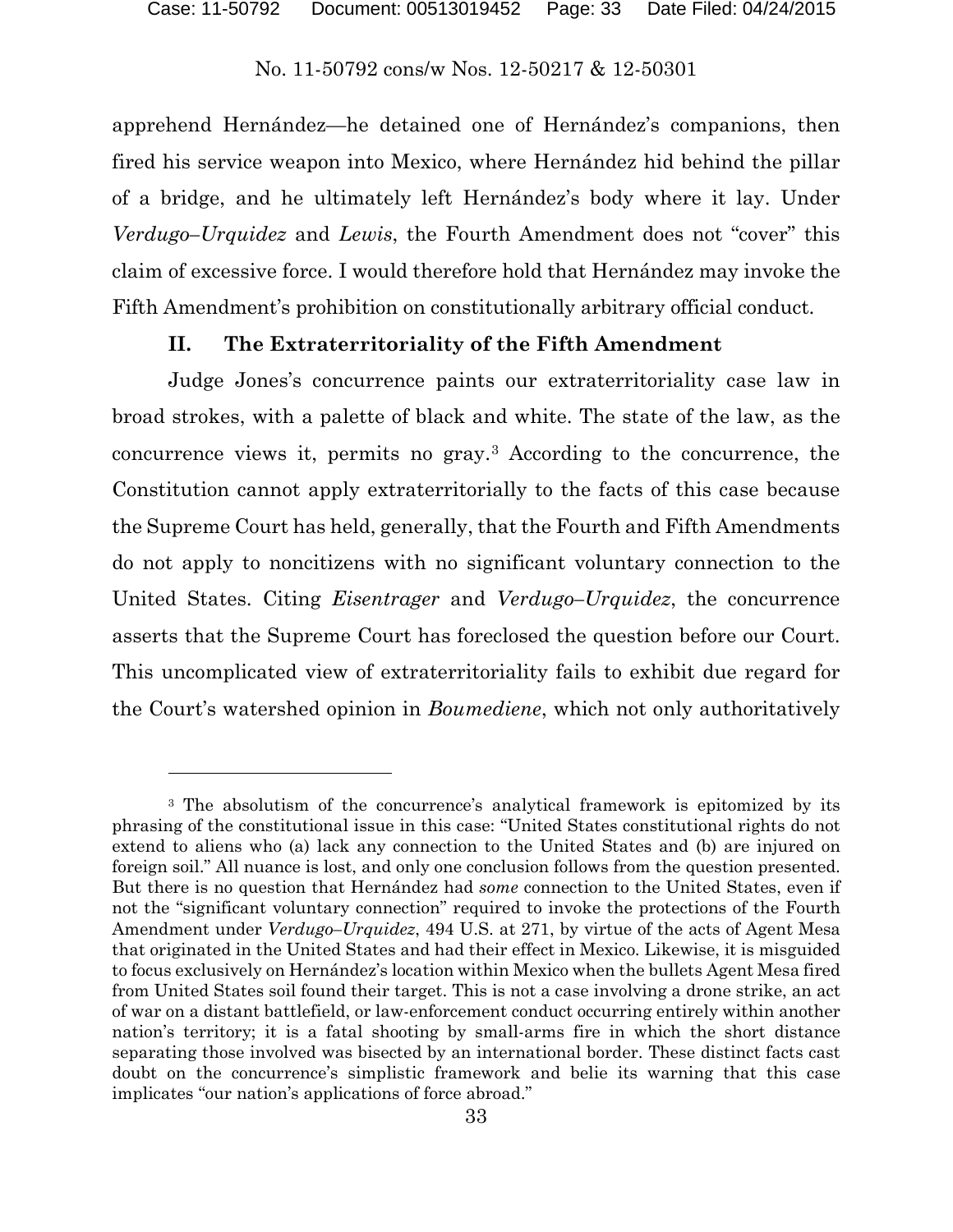apprehend Hernández—he detained one of Hernández's companions, then fired his service weapon into Mexico, where Hernández hid behind the pillar of a bridge, and he ultimately left Hernández's body where it lay. Under *Verdugo–Urquidez* and *Lewis*, the Fourth Amendment does not "cover" this claim of excessive force. I would therefore hold that Hernández may invoke the Fifth Amendment's prohibition on constitutionally arbitrary official conduct.

# **II. The Extraterritoriality of the Fifth Amendment**

Judge Jones's concurrence paints our extraterritoriality case law in broad strokes, with a palette of black and white. The state of the law, as the concurrence views it, permits no gray.[3](#page-32-0) According to the concurrence, the Constitution cannot apply extraterritorially to the facts of this case because the Supreme Court has held, generally, that the Fourth and Fifth Amendments do not apply to noncitizens with no significant voluntary connection to the United States. Citing *Eisentrager* and *Verdugo–Urquidez*, the concurrence asserts that the Supreme Court has foreclosed the question before our Court. This uncomplicated view of extraterritoriality fails to exhibit due regard for the Court's watershed opinion in *Boumediene*, which not only authoritatively

l

<span id="page-32-0"></span><sup>&</sup>lt;sup>3</sup> The absolutism of the concurrence's analytical framework is epitomized by its phrasing of the constitutional issue in this case: "United States constitutional rights do not extend to aliens who (a) lack any connection to the United States and (b) are injured on foreign soil." All nuance is lost, and only one conclusion follows from the question presented. But there is no question that Hernández had *some* connection to the United States, even if not the "significant voluntary connection" required to invoke the protections of the Fourth Amendment under *Verdugo–Urquidez*, 494 U.S. at 271, by virtue of the acts of Agent Mesa that originated in the United States and had their effect in Mexico. Likewise, it is misguided to focus exclusively on Hernández's location within Mexico when the bullets Agent Mesa fired from United States soil found their target. This is not a case involving a drone strike, an act of war on a distant battlefield, or law-enforcement conduct occurring entirely within another nation's territory; it is a fatal shooting by small-arms fire in which the short distance separating those involved was bisected by an international border. These distinct facts cast doubt on the concurrence's simplistic framework and belie its warning that this case implicates "our nation's applications of force abroad."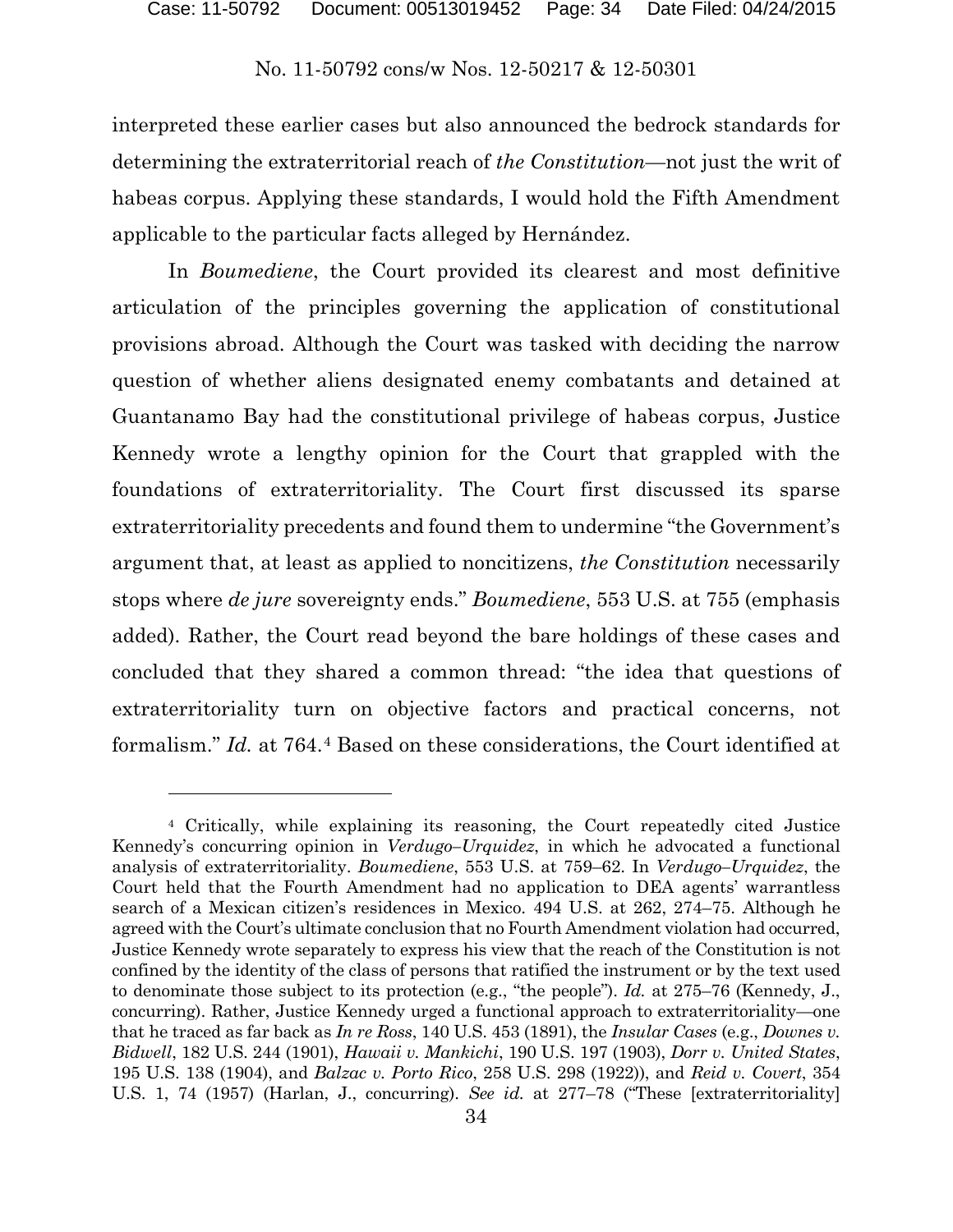interpreted these earlier cases but also announced the bedrock standards for determining the extraterritorial reach of *the Constitution*—not just the writ of habeas corpus. Applying these standards, I would hold the Fifth Amendment applicable to the particular facts alleged by Hernández.

In *Boumediene*, the Court provided its clearest and most definitive articulation of the principles governing the application of constitutional provisions abroad. Although the Court was tasked with deciding the narrow question of whether aliens designated enemy combatants and detained at Guantanamo Bay had the constitutional privilege of habeas corpus, Justice Kennedy wrote a lengthy opinion for the Court that grappled with the foundations of extraterritoriality. The Court first discussed its sparse extraterritoriality precedents and found them to undermine "the Government's argument that, at least as applied to noncitizens, *the Constitution* necessarily stops where *de jure* sovereignty ends." *Boumediene*, 553 U.S. at 755 (emphasis added). Rather, the Court read beyond the bare holdings of these cases and concluded that they shared a common thread: "the idea that questions of extraterritoriality turn on objective factors and practical concerns, not formalism." *Id.* at 764.[4](#page-33-0) Based on these considerations, the Court identified at

l

<span id="page-33-0"></span><sup>4</sup> Critically, while explaining its reasoning, the Court repeatedly cited Justice Kennedy's concurring opinion in *Verdugo–Urquidez*, in which he advocated a functional analysis of extraterritoriality. *Boumediene*, 553 U.S. at 759–62. In *Verdugo–Urquidez*, the Court held that the Fourth Amendment had no application to DEA agents' warrantless search of a Mexican citizen's residences in Mexico. 494 U.S. at 262, 274–75. Although he agreed with the Court's ultimate conclusion that no Fourth Amendment violation had occurred, Justice Kennedy wrote separately to express his view that the reach of the Constitution is not confined by the identity of the class of persons that ratified the instrument or by the text used to denominate those subject to its protection (e.g., "the people"). *Id.* at 275–76 (Kennedy, J., concurring). Rather, Justice Kennedy urged a functional approach to extraterritoriality—one that he traced as far back as *In re Ross*, 140 U.S. 453 (1891), the *Insular Cases* (e.g., *Downes v. Bidwell*, 182 U.S. 244 (1901), *Hawaii v. Mankichi*, 190 U.S. 197 (1903), *Dorr v. United States*, 195 U.S. 138 (1904), and *Balzac v. Porto Rico*, 258 U.S. 298 (1922)), and *Reid v. Covert*, 354 U.S. 1, 74 (1957) (Harlan, J., concurring). *See id.* at 277–78 ("These [extraterritoriality]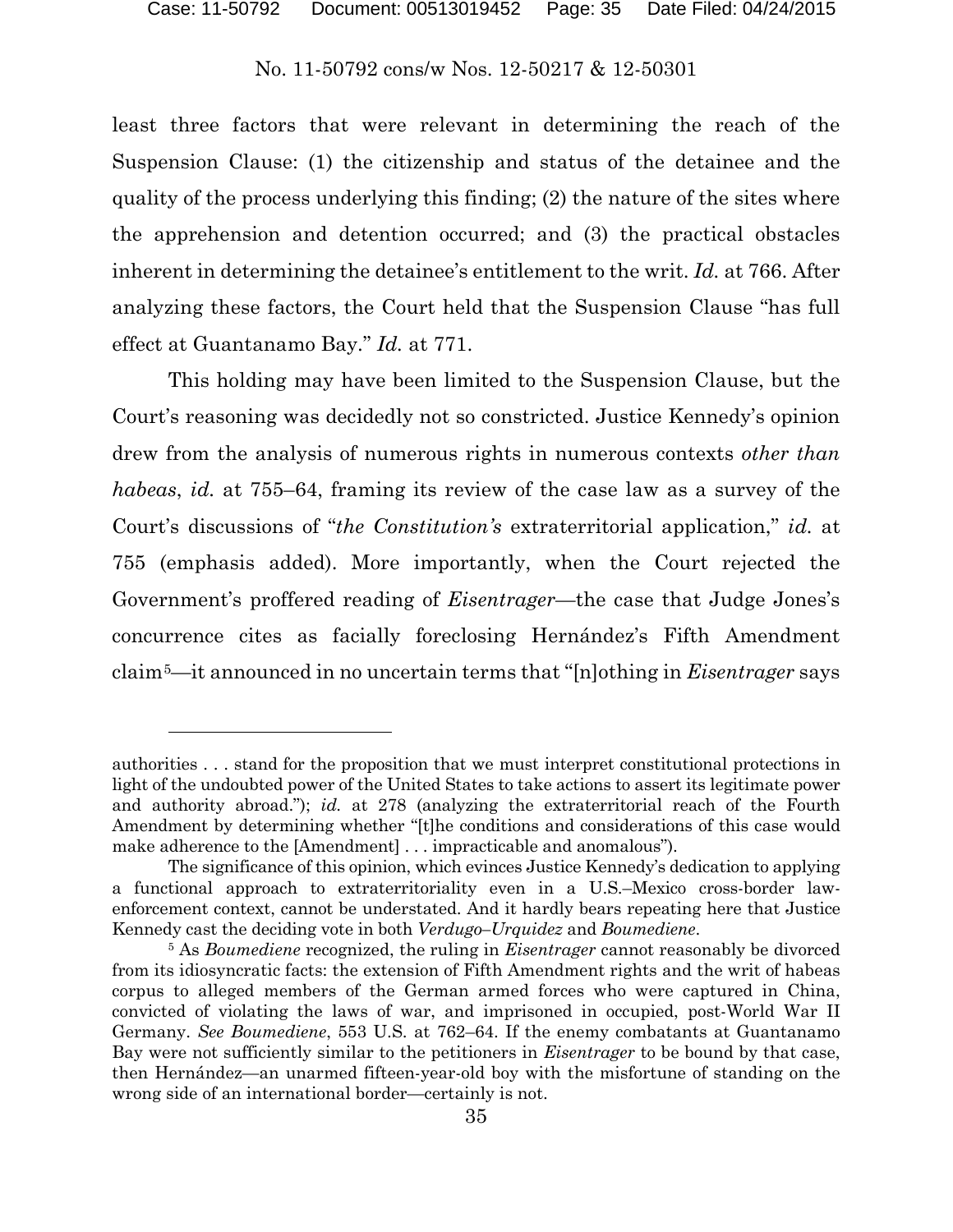least three factors that were relevant in determining the reach of the Suspension Clause: (1) the citizenship and status of the detainee and the quality of the process underlying this finding; (2) the nature of the sites where the apprehension and detention occurred; and (3) the practical obstacles inherent in determining the detainee's entitlement to the writ. *Id.* at 766. After analyzing these factors, the Court held that the Suspension Clause "has full effect at Guantanamo Bay." *Id.* at 771.

This holding may have been limited to the Suspension Clause, but the Court's reasoning was decidedly not so constricted. Justice Kennedy's opinion drew from the analysis of numerous rights in numerous contexts *other than habeas*, *id.* at 755–64, framing its review of the case law as a survey of the Court's discussions of "*the Constitution's* extraterritorial application," *id.* at 755 (emphasis added). More importantly, when the Court rejected the Government's proffered reading of *Eisentrager*—the case that Judge Jones's concurrence cites as facially foreclosing Hernández's Fifth Amendment claim[5—](#page-34-0)it announced in no uncertain terms that "[n]othing in *Eisentrager* says

authorities . . . stand for the proposition that we must interpret constitutional protections in light of the undoubted power of the United States to take actions to assert its legitimate power and authority abroad."); *id.* at 278 (analyzing the extraterritorial reach of the Fourth Amendment by determining whether "[t]he conditions and considerations of this case would make adherence to the [Amendment] . . . impracticable and anomalous").

The significance of this opinion, which evinces Justice Kennedy's dedication to applying a functional approach to extraterritoriality even in a U.S.–Mexico cross-border lawenforcement context, cannot be understated. And it hardly bears repeating here that Justice Kennedy cast the deciding vote in both *Verdugo–Urquidez* and *Boumediene*.

<span id="page-34-0"></span><sup>5</sup> As *Boumediene* recognized, the ruling in *Eisentrager* cannot reasonably be divorced from its idiosyncratic facts: the extension of Fifth Amendment rights and the writ of habeas corpus to alleged members of the German armed forces who were captured in China, convicted of violating the laws of war, and imprisoned in occupied, post-World War II Germany. *See Boumediene*, 553 U.S. at 762–64. If the enemy combatants at Guantanamo Bay were not sufficiently similar to the petitioners in *Eisentrager* to be bound by that case, then Hernández—an unarmed fifteen-year-old boy with the misfortune of standing on the wrong side of an international border—certainly is not.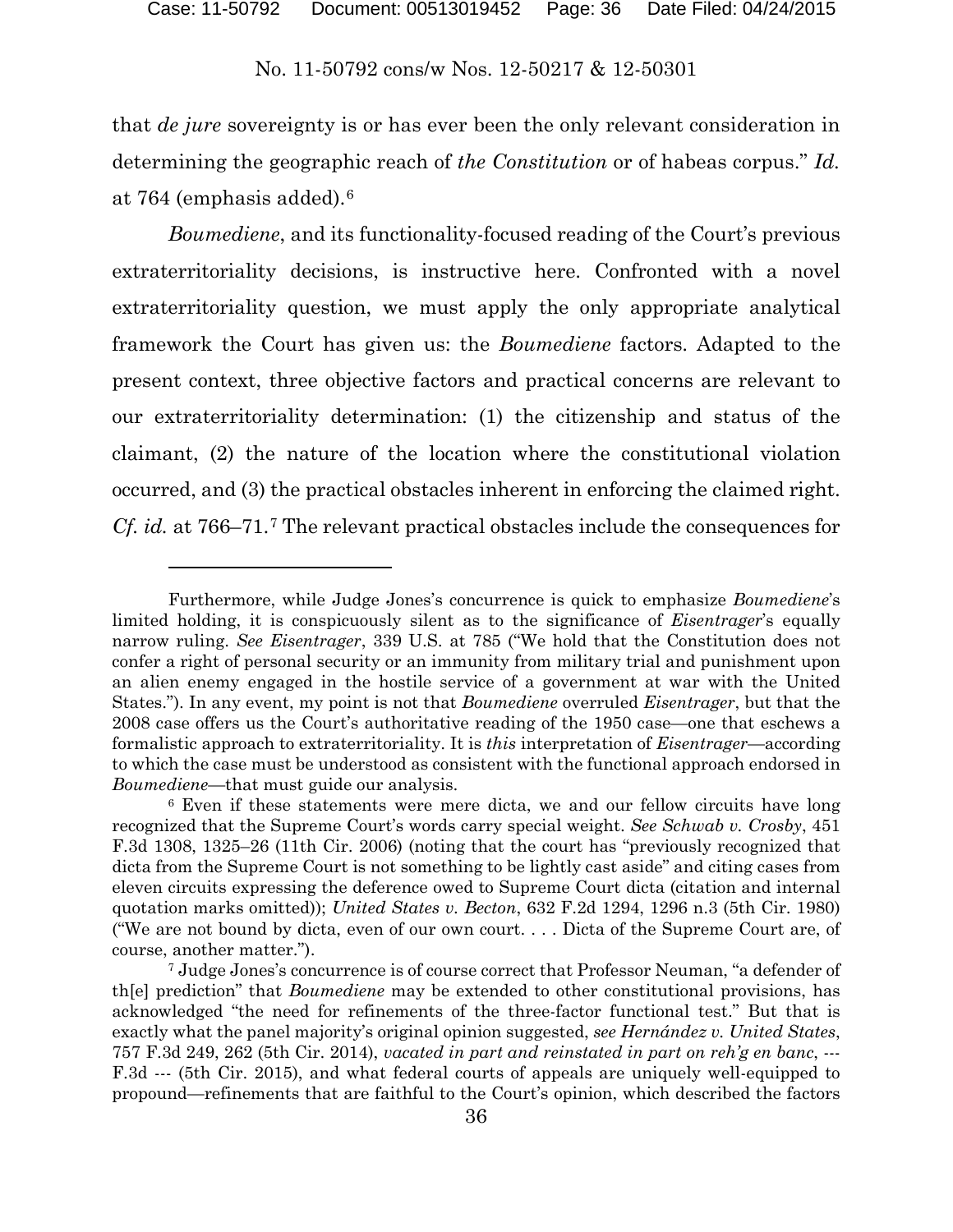that *de jure* sovereignty is or has ever been the only relevant consideration in determining the geographic reach of *the Constitution* or of habeas corpus." *Id.* at 764 (emphasis added).[6](#page-35-0)

*Boumediene*, and its functionality-focused reading of the Court's previous extraterritoriality decisions, is instructive here. Confronted with a novel extraterritoriality question, we must apply the only appropriate analytical framework the Court has given us: the *Boumediene* factors. Adapted to the present context, three objective factors and practical concerns are relevant to our extraterritoriality determination: (1) the citizenship and status of the claimant, (2) the nature of the location where the constitutional violation occurred, and (3) the practical obstacles inherent in enforcing the claimed right. *Cf. id.* at 766–71.[7](#page-35-1) The relevant practical obstacles include the consequences for

Furthermore, while Judge Jones's concurrence is quick to emphasize *Boumediene*'s limited holding, it is conspicuously silent as to the significance of *Eisentrager*'s equally narrow ruling. *See Eisentrager*, 339 U.S. at 785 ("We hold that the Constitution does not confer a right of personal security or an immunity from military trial and punishment upon an alien enemy engaged in the hostile service of a government at war with the United States."). In any event, my point is not that *Boumediene* overruled *Eisentrager*, but that the 2008 case offers us the Court's authoritative reading of the 1950 case—one that eschews a formalistic approach to extraterritoriality. It is *this* interpretation of *Eisentrager*—according to which the case must be understood as consistent with the functional approach endorsed in *Boumediene*—that must guide our analysis.

<span id="page-35-0"></span><sup>6</sup> Even if these statements were mere dicta, we and our fellow circuits have long recognized that the Supreme Court's words carry special weight. *See Schwab v. Crosby*, 451 F.3d 1308, 1325–26 (11th Cir. 2006) (noting that the court has "previously recognized that dicta from the Supreme Court is not something to be lightly cast aside" and citing cases from eleven circuits expressing the deference owed to Supreme Court dicta (citation and internal quotation marks omitted)); *United States v. Becton*, 632 F.2d 1294, 1296 n.3 (5th Cir. 1980) ("We are not bound by dicta, even of our own court. . . . Dicta of the Supreme Court are, of course, another matter.").

<span id="page-35-1"></span><sup>7</sup> Judge Jones's concurrence is of course correct that Professor Neuman, "a defender of th[e] prediction" that *Boumediene* may be extended to other constitutional provisions, has acknowledged "the need for refinements of the three-factor functional test." But that is exactly what the panel majority's original opinion suggested, *see Hernández v. United States*, 757 F.3d 249, 262 (5th Cir. 2014), *vacated in part and reinstated in part on reh'g en banc*, --- F.3d --- (5th Cir. 2015), and what federal courts of appeals are uniquely well-equipped to propound—refinements that are faithful to the Court's opinion, which described the factors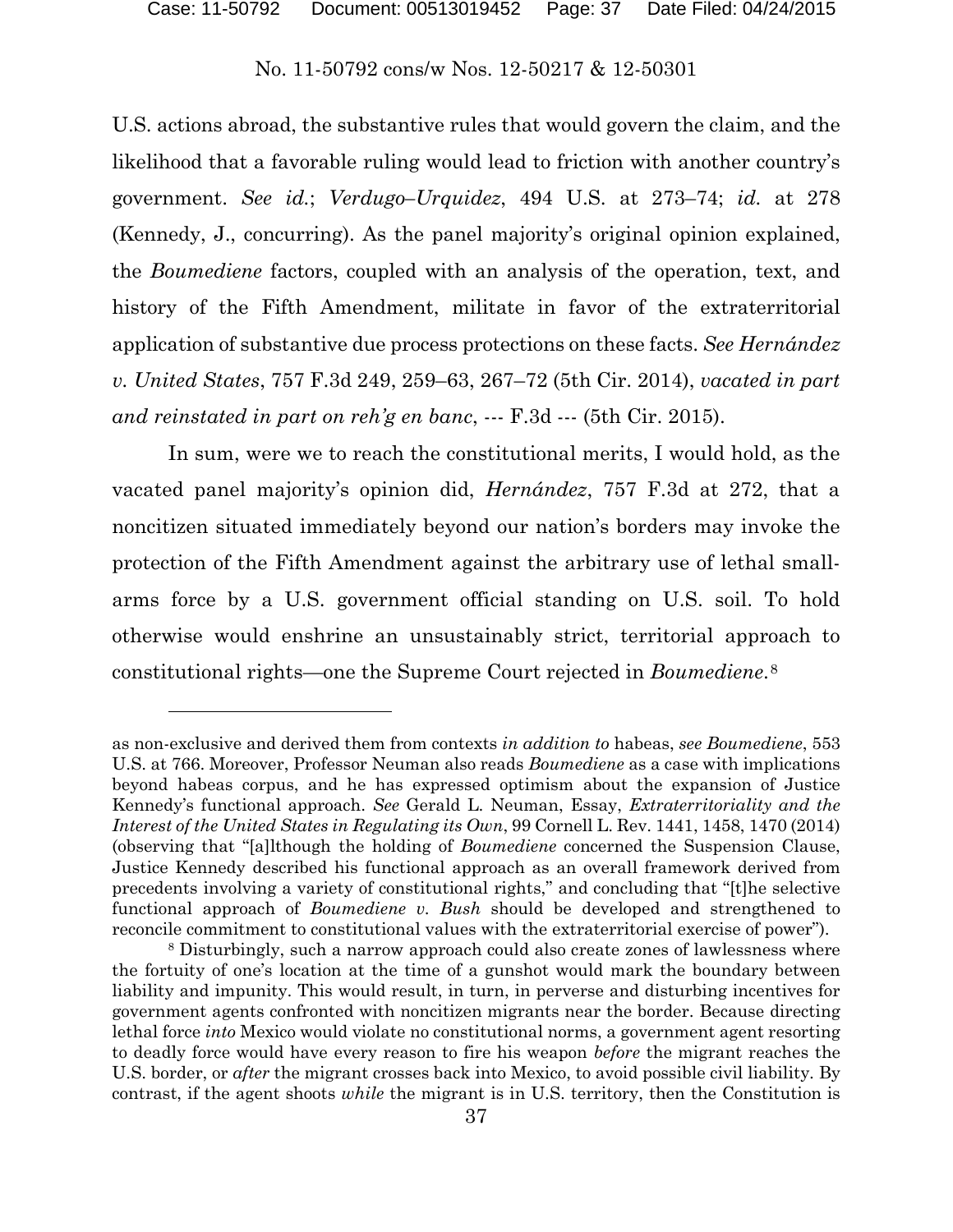U.S. actions abroad, the substantive rules that would govern the claim, and the likelihood that a favorable ruling would lead to friction with another country's government. *See id.*; *Verdugo–Urquidez*, 494 U.S. at 273–74; *id.* at 278 (Kennedy, J., concurring). As the panel majority's original opinion explained, the *Boumediene* factors, coupled with an analysis of the operation, text, and history of the Fifth Amendment, militate in favor of the extraterritorial application of substantive due process protections on these facts. *See Hernández v. United States*, 757 F.3d 249, 259–63, 267–72 (5th Cir. 2014), *vacated in part and reinstated in part on reh'g en banc*, --- F.3d --- (5th Cir. 2015).

In sum, were we to reach the constitutional merits, I would hold, as the vacated panel majority's opinion did, *Hernández*, 757 F.3d at 272, that a noncitizen situated immediately beyond our nation's borders may invoke the protection of the Fifth Amendment against the arbitrary use of lethal smallarms force by a U.S. government official standing on U.S. soil. To hold otherwise would enshrine an unsustainably strict, territorial approach to constitutional rights—one the Supreme Court rejected in *Boumediene*.[8](#page-36-0)

l

as non-exclusive and derived them from contexts *in addition to* habeas, *see Boumediene*, 553 U.S. at 766. Moreover, Professor Neuman also reads *Boumediene* as a case with implications beyond habeas corpus, and he has expressed optimism about the expansion of Justice Kennedy's functional approach. *See* Gerald L. Neuman, Essay, *Extraterritoriality and the Interest of the United States in Regulating its Own*, 99 Cornell L. Rev. 1441, 1458, 1470 (2014) (observing that "[a]lthough the holding of *Boumediene* concerned the Suspension Clause, Justice Kennedy described his functional approach as an overall framework derived from precedents involving a variety of constitutional rights," and concluding that "[t]he selective functional approach of *Boumediene v. Bush* should be developed and strengthened to reconcile commitment to constitutional values with the extraterritorial exercise of power").

<span id="page-36-0"></span><sup>8</sup> Disturbingly, such a narrow approach could also create zones of lawlessness where the fortuity of one's location at the time of a gunshot would mark the boundary between liability and impunity. This would result, in turn, in perverse and disturbing incentives for government agents confronted with noncitizen migrants near the border. Because directing lethal force *into* Mexico would violate no constitutional norms, a government agent resorting to deadly force would have every reason to fire his weapon *before* the migrant reaches the U.S. border, or *after* the migrant crosses back into Mexico, to avoid possible civil liability. By contrast, if the agent shoots *while* the migrant is in U.S. territory, then the Constitution is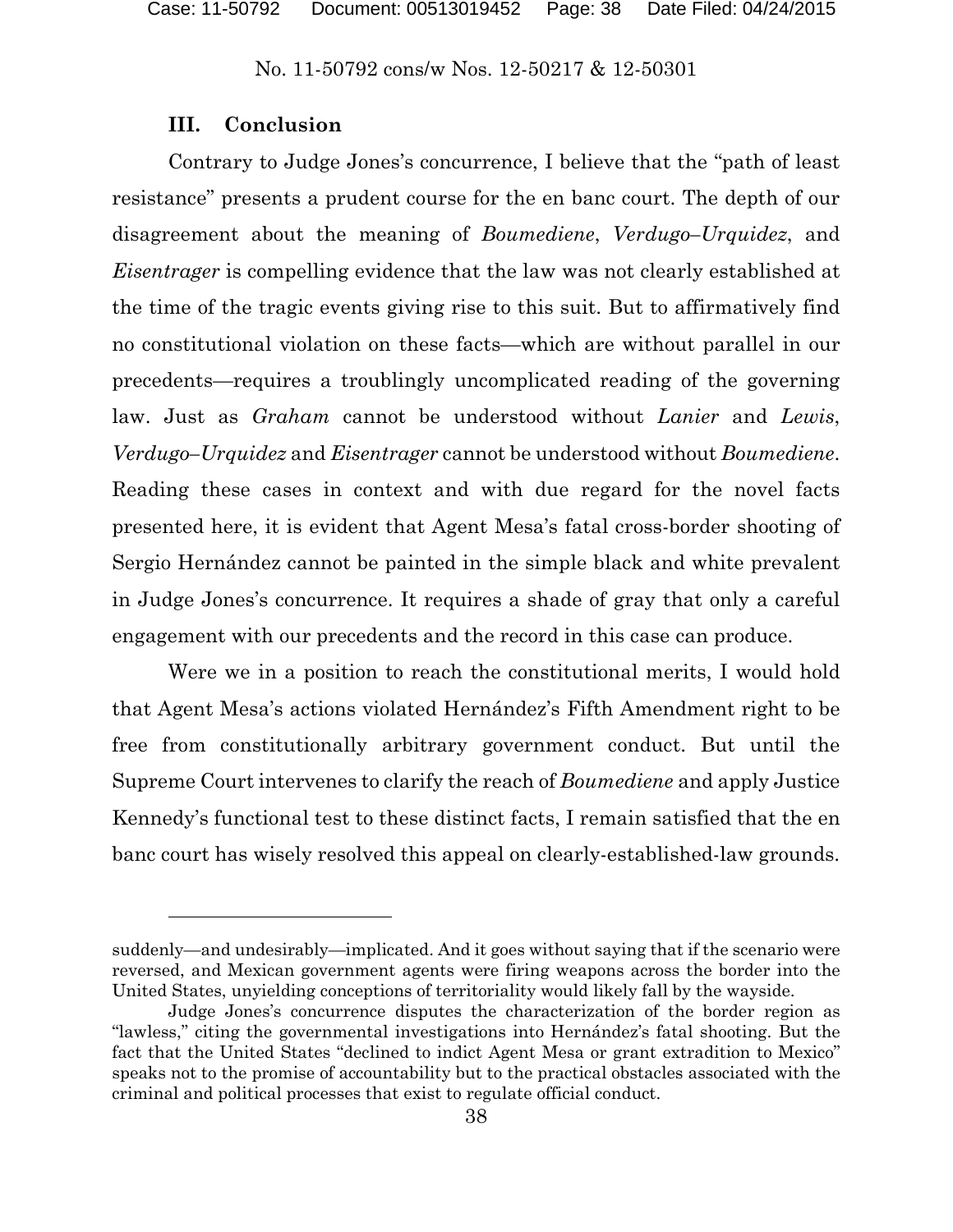### **III. Conclusion**

 $\overline{a}$ 

Contrary to Judge Jones's concurrence, I believe that the "path of least resistance" presents a prudent course for the en banc court. The depth of our disagreement about the meaning of *Boumediene*, *Verdugo–Urquidez*, and *Eisentrager* is compelling evidence that the law was not clearly established at the time of the tragic events giving rise to this suit. But to affirmatively find no constitutional violation on these facts—which are without parallel in our precedents—requires a troublingly uncomplicated reading of the governing law. Just as *Graham* cannot be understood without *Lanier* and *Lewis*, *Verdugo–Urquidez* and *Eisentrager* cannot be understood without *Boumediene*. Reading these cases in context and with due regard for the novel facts presented here, it is evident that Agent Mesa's fatal cross-border shooting of Sergio Hernández cannot be painted in the simple black and white prevalent in Judge Jones's concurrence. It requires a shade of gray that only a careful engagement with our precedents and the record in this case can produce.

Were we in a position to reach the constitutional merits, I would hold that Agent Mesa's actions violated Hernández's Fifth Amendment right to be free from constitutionally arbitrary government conduct. But until the Supreme Court intervenes to clarify the reach of *Boumediene* and apply Justice Kennedy's functional test to these distinct facts, I remain satisfied that the en banc court has wisely resolved this appeal on clearly-established-law grounds.

suddenly—and undesirably—implicated. And it goes without saying that if the scenario were reversed, and Mexican government agents were firing weapons across the border into the United States, unyielding conceptions of territoriality would likely fall by the wayside.

Judge Jones's concurrence disputes the characterization of the border region as "lawless," citing the governmental investigations into Hernández's fatal shooting. But the fact that the United States "declined to indict Agent Mesa or grant extradition to Mexico" speaks not to the promise of accountability but to the practical obstacles associated with the criminal and political processes that exist to regulate official conduct.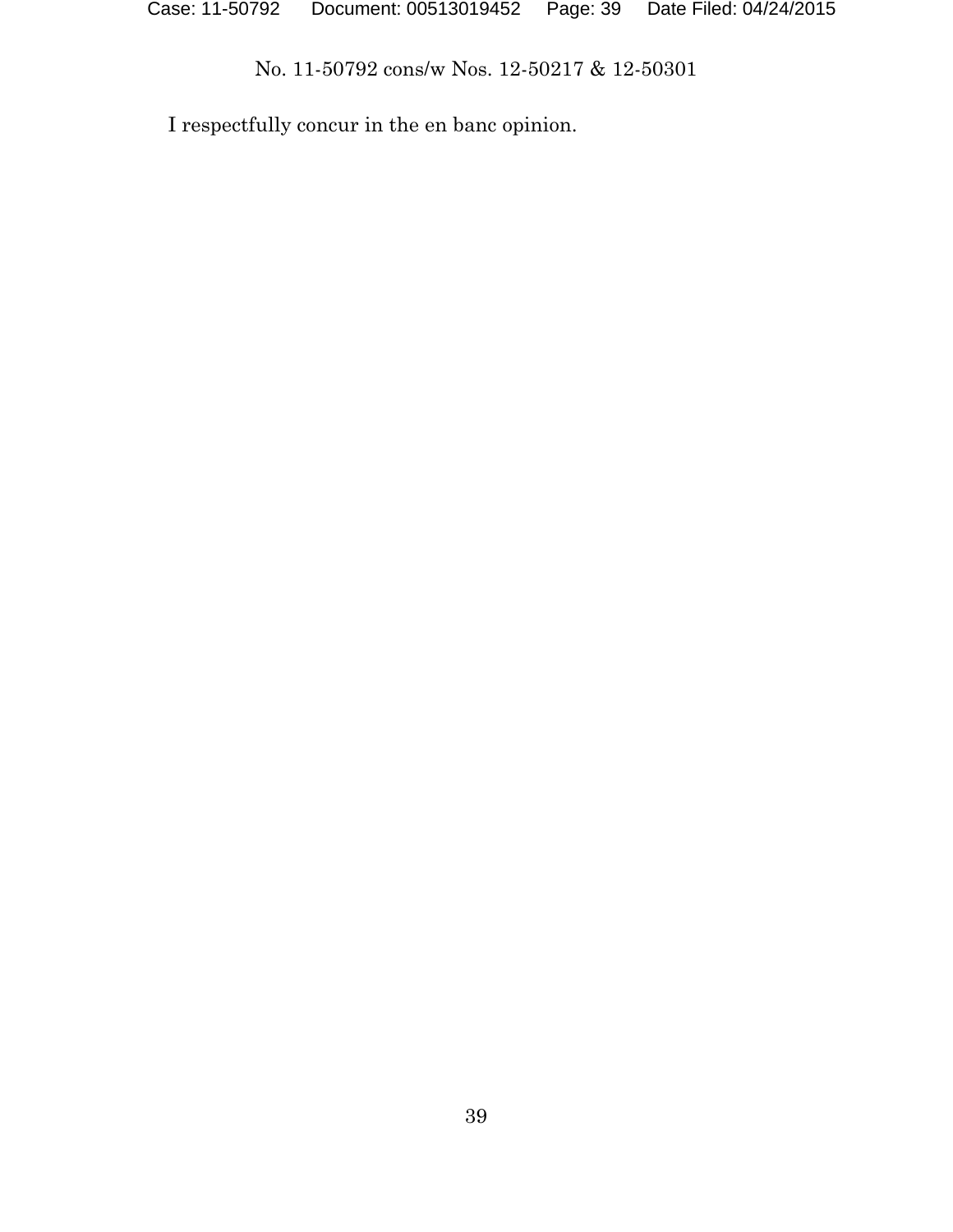I respectfully concur in the en banc opinion.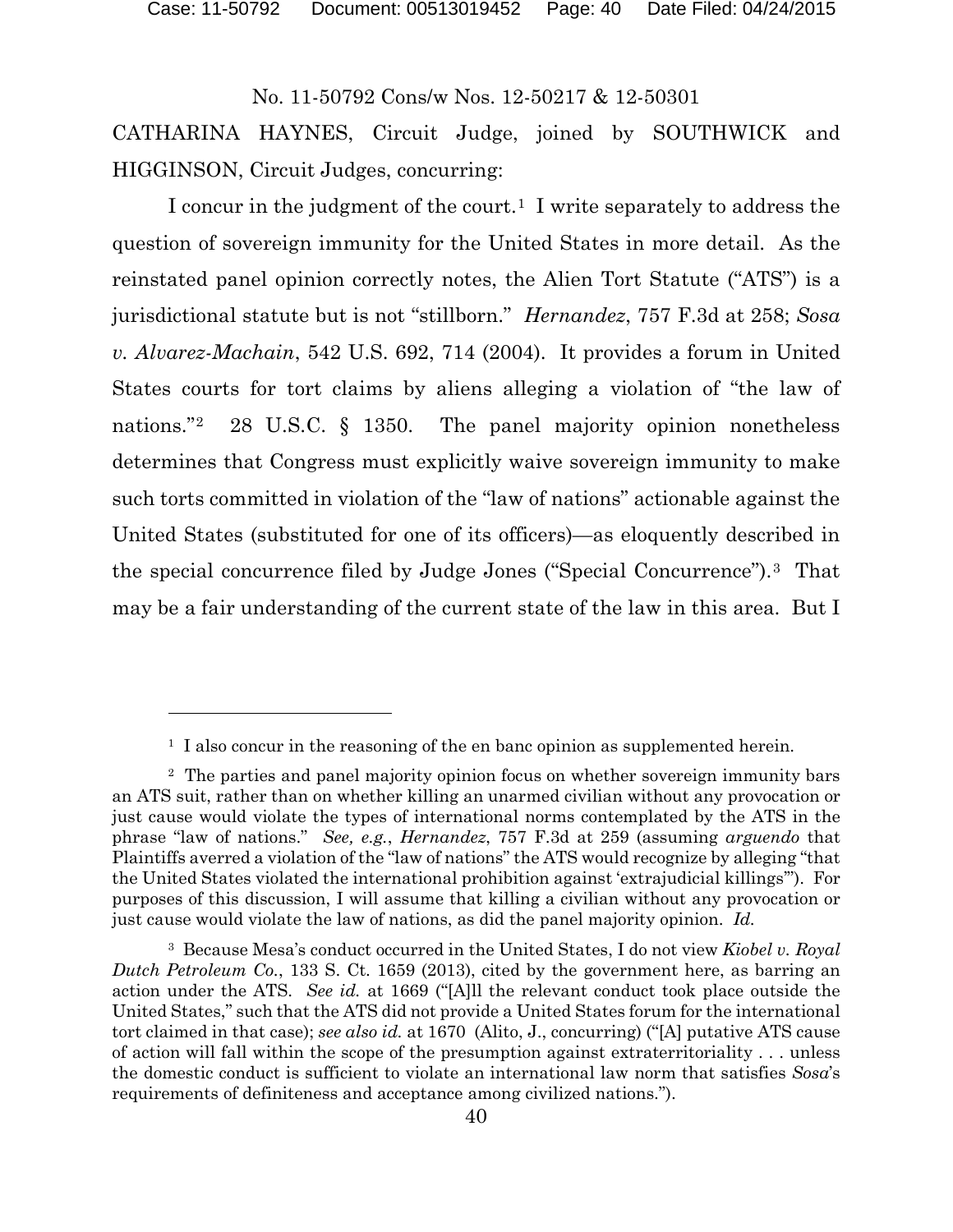Case: 11-50792 Document: 00513019452 Page: 40 Date Filed: 04/24/2015

No. 11-50792 Cons/w Nos. 12-50217 & 12-50301

CATHARINA HAYNES, Circuit Judge, joined by SOUTHWICK and HIGGINSON, Circuit Judges, concurring:

I concur in the judgment of the court.<sup>[1](#page-39-0)</sup> I write separately to address the question of sovereign immunity for the United States in more detail. As the reinstated panel opinion correctly notes, the Alien Tort Statute ("ATS") is a jurisdictional statute but is not "stillborn." *Hernandez*, 757 F.3d at 258; *Sosa v. Alvarez-Machain*, 542 U.S. 692, 714 (2004). It provides a forum in United States courts for tort claims by aliens alleging a violation of "the law of nations."<sup>2</sup> 28 U.S.C. § 1350. The panel majority opinion nonetheless determines that Congress must explicitly waive sovereign immunity to make such torts committed in violation of the "law of nations" actionable against the United States (substituted for one of its officers)—as eloquently described in the special concurrence filed by Judge Jones ("Special Concurrence").[3](#page-39-2) That may be a fair understanding of the current state of the law in this area. But I

<sup>&</sup>lt;sup>1</sup> I also concur in the reasoning of the en banc opinion as supplemented herein.

<span id="page-39-1"></span><span id="page-39-0"></span><sup>2</sup> The parties and panel majority opinion focus on whether sovereign immunity bars an ATS suit, rather than on whether killing an unarmed civilian without any provocation or just cause would violate the types of international norms contemplated by the ATS in the phrase "law of nations." *See, e.g.*, *Hernandez*, 757 F.3d at 259 (assuming *arguendo* that Plaintiffs averred a violation of the "law of nations" the ATS would recognize by alleging "that the United States violated the international prohibition against 'extrajudicial killings'"). For purposes of this discussion, I will assume that killing a civilian without any provocation or just cause would violate the law of nations, as did the panel majority opinion. *Id.*

<span id="page-39-2"></span><sup>3</sup> Because Mesa's conduct occurred in the United States, I do not view *Kiobel v. Royal Dutch Petroleum Co.*, 133 S. Ct. 1659 (2013), cited by the government here, as barring an action under the ATS. *See id.* at 1669 ("[A]ll the relevant conduct took place outside the United States," such that the ATS did not provide a United States forum for the international tort claimed in that case); *see also id.* at 1670 (Alito, J., concurring) ("[A] putative ATS cause of action will fall within the scope of the presumption against extraterritoriality . . . unless the domestic conduct is sufficient to violate an international law norm that satisfies *Sosa*'s requirements of definiteness and acceptance among civilized nations.").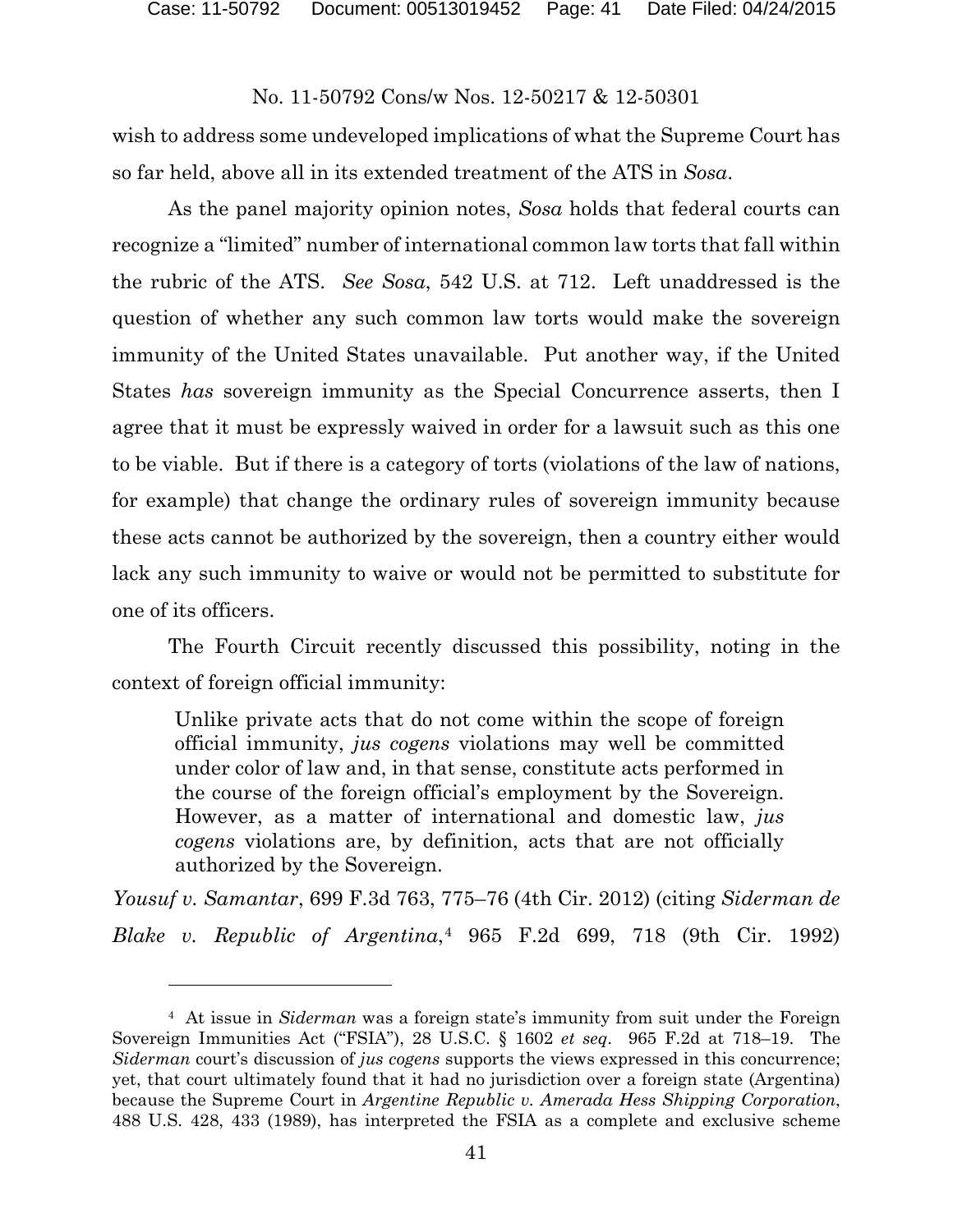wish to address some undeveloped implications of what the Supreme Court has so far held, above all in its extended treatment of the ATS in *Sosa*.

As the panel majority opinion notes, *Sosa* holds that federal courts can recognize a "limited" number of international common law torts that fall within the rubric of the ATS. *See Sosa*, 542 U.S. at 712. Left unaddressed is the question of whether any such common law torts would make the sovereign immunity of the United States unavailable. Put another way, if the United States *has* sovereign immunity as the Special Concurrence asserts, then I agree that it must be expressly waived in order for a lawsuit such as this one to be viable. But if there is a category of torts (violations of the law of nations, for example) that change the ordinary rules of sovereign immunity because these acts cannot be authorized by the sovereign, then a country either would lack any such immunity to waive or would not be permitted to substitute for one of its officers.

The Fourth Circuit recently discussed this possibility, noting in the context of foreign official immunity:

Unlike private acts that do not come within the scope of foreign official immunity, *jus cogens* violations may well be committed under color of law and, in that sense, constitute acts performed in the course of the foreign official's employment by the Sovereign. However, as a matter of international and domestic law, *jus cogens* violations are, by definition, acts that are not officially authorized by the Sovereign.

*Yousuf v. Samantar*, 699 F.3d 763, 775–76 (4th Cir. 2012) (citing *Siderman de Blake v. Republic of Argentina*,[4](#page-40-0) 965 F.2d 699, 718 (9th Cir. 1992)

<span id="page-40-0"></span><sup>4</sup> At issue in *Siderman* was a foreign state's immunity from suit under the Foreign Sovereign Immunities Act ("FSIA"), 28 U.S.C. § 1602 *et seq*. 965 F.2d at 718–19. The *Siderman* court's discussion of *jus cogens* supports the views expressed in this concurrence; yet, that court ultimately found that it had no jurisdiction over a foreign state (Argentina) because the Supreme Court in *Argentine Republic v. Amerada Hess Shipping Corporation*, 488 U.S. 428, 433 (1989), has interpreted the FSIA as a complete and exclusive scheme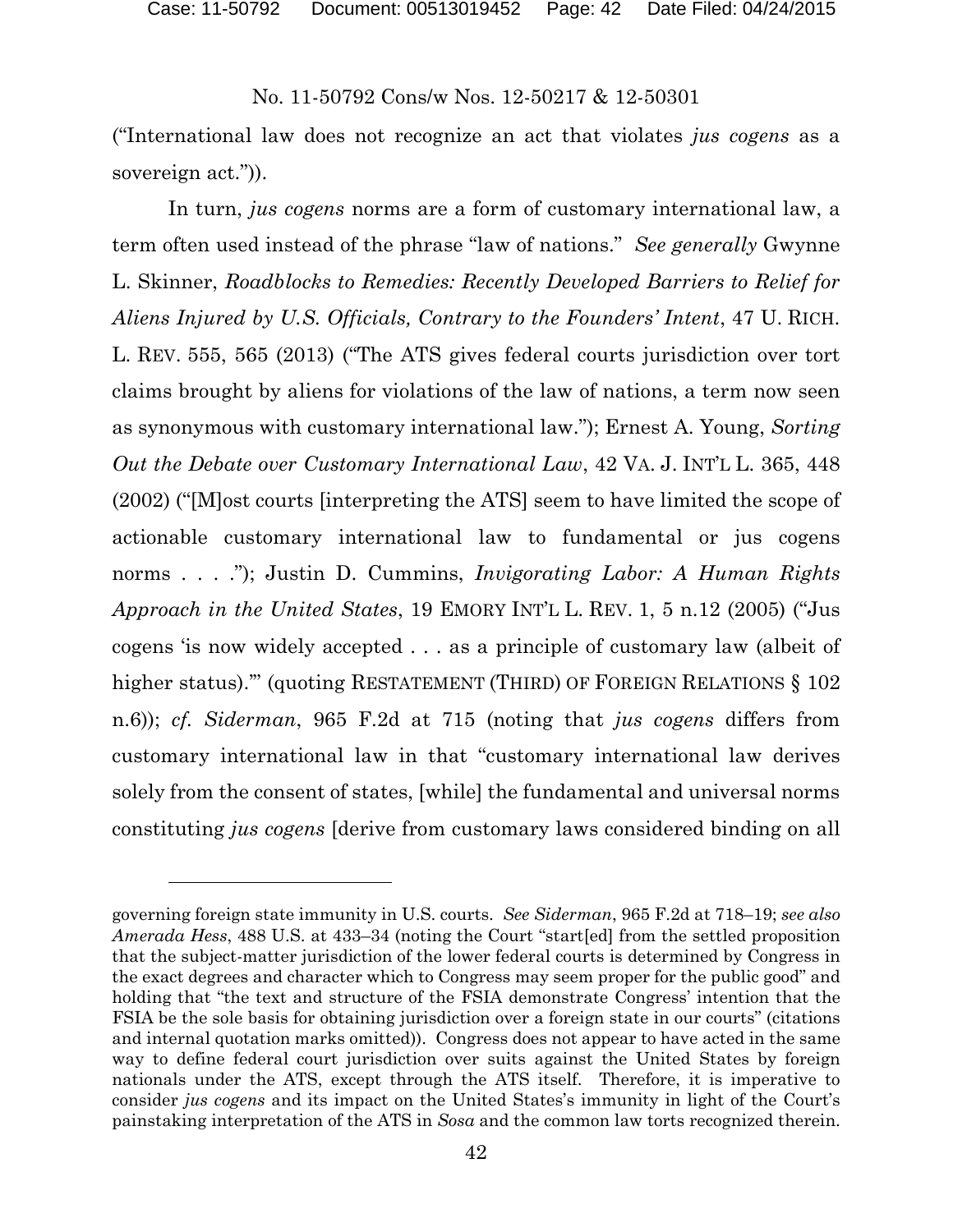$\overline{a}$ 

# No. 11-50792 Cons/w Nos. 12-50217 & 12-50301

("International law does not recognize an act that violates *jus cogens* as a sovereign act.")).

In turn, *jus cogens* norms are a form of customary international law, a term often used instead of the phrase "law of nations." *See generally* Gwynne L. Skinner, *Roadblocks to Remedies: Recently Developed Barriers to Relief for Aliens Injured by U.S. Officials, Contrary to the Founders' Intent*, 47 U. RICH. L. REV. 555, 565 (2013) ("The ATS gives federal courts jurisdiction over tort claims brought by aliens for violations of the law of nations, a term now seen as synonymous with customary international law."); Ernest A. Young, *Sorting Out the Debate over Customary International Law*, 42 VA. J. INT'L L. 365, 448 (2002) ("[M]ost courts [interpreting the ATS] seem to have limited the scope of actionable customary international law to fundamental or jus cogens norms . . . ."); Justin D. Cummins, *Invigorating Labor: A Human Rights Approach in the United States*, 19 EMORY INT'L L. REV. 1, 5 n.12 (2005) ("Jus cogens 'is now widely accepted . . . as a principle of customary law (albeit of higher status)."" (quoting RESTATEMENT (THIRD) OF FOREIGN RELATIONS § 102 n.6)); *cf. Siderman*, 965 F.2d at 715 (noting that *jus cogens* differs from customary international law in that "customary international law derives solely from the consent of states, [while] the fundamental and universal norms constituting *jus cogens* [derive from customary laws considered binding on all

governing foreign state immunity in U.S. courts. *See Siderman*, 965 F.2d at 718–19; *see also Amerada Hess*, 488 U.S. at 433–34 (noting the Court "start[ed] from the settled proposition that the subject-matter jurisdiction of the lower federal courts is determined by Congress in the exact degrees and character which to Congress may seem proper for the public good" and holding that "the text and structure of the FSIA demonstrate Congress' intention that the FSIA be the sole basis for obtaining jurisdiction over a foreign state in our courts" (citations and internal quotation marks omitted)). Congress does not appear to have acted in the same way to define federal court jurisdiction over suits against the United States by foreign nationals under the ATS, except through the ATS itself. Therefore, it is imperative to consider *jus cogens* and its impact on the United States's immunity in light of the Court's painstaking interpretation of the ATS in *Sosa* and the common law torts recognized therein.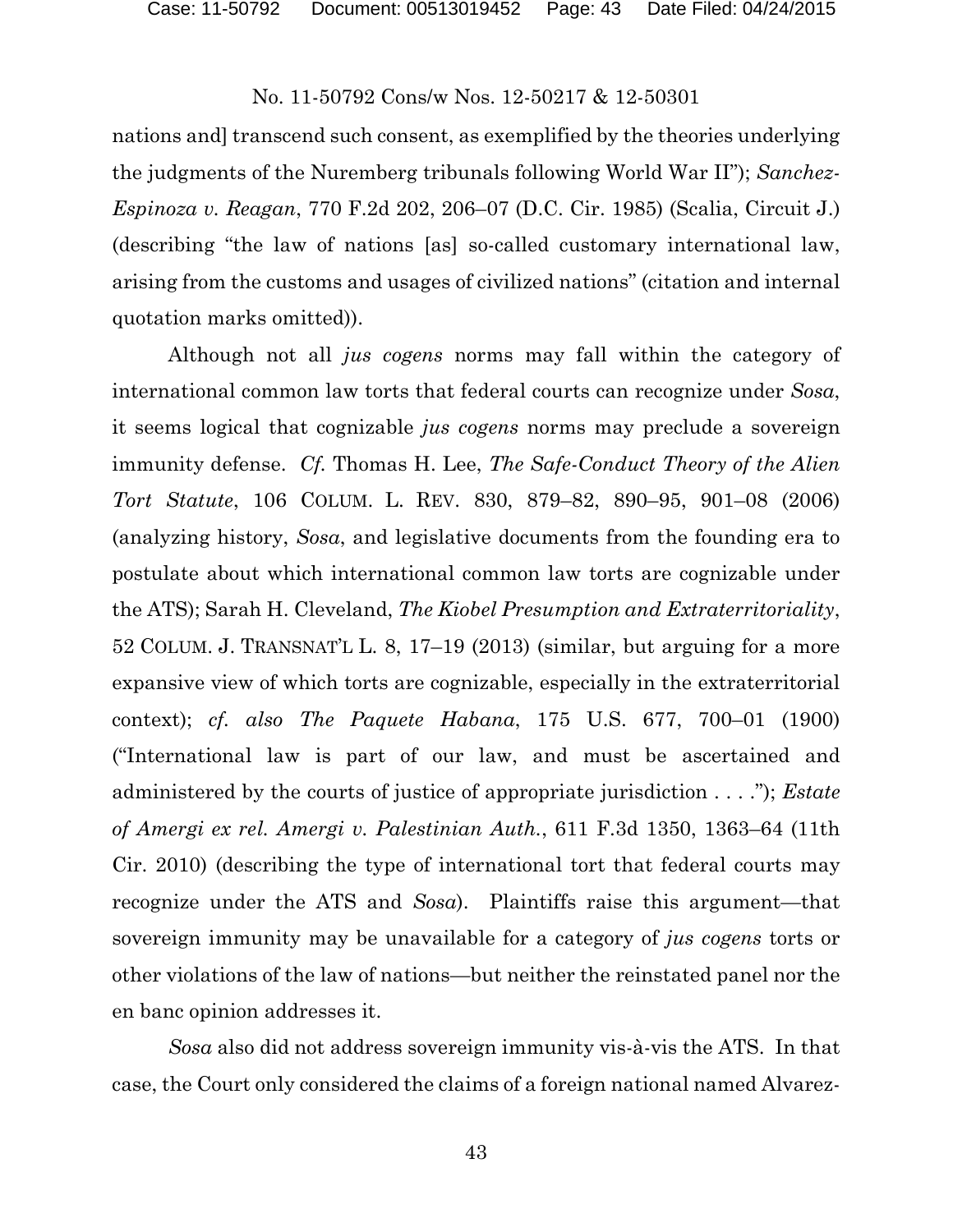nations and] transcend such consent, as exemplified by the theories underlying the judgments of the Nuremberg tribunals following World War II"); *Sanchez-Espinoza v. Reagan*, 770 F.2d 202, 206–07 (D.C. Cir. 1985) (Scalia, Circuit J.) (describing "the law of nations [as] so-called customary international law, arising from the customs and usages of civilized nations" (citation and internal quotation marks omitted)).

Although not all *jus cogens* norms may fall within the category of international common law torts that federal courts can recognize under *Sosa*, it seems logical that cognizable *jus cogens* norms may preclude a sovereign immunity defense. *Cf.* Thomas H. Lee, *The Safe-Conduct Theory of the Alien Tort Statute*, 106 COLUM. L. REV. 830, 879–82, 890–95, 901–08 (2006) (analyzing history, *Sosa*, and legislative documents from the founding era to postulate about which international common law torts are cognizable under the ATS); Sarah H. Cleveland, *The Kiobel Presumption and Extraterritoriality*, 52 COLUM. J. TRANSNAT'L L. 8, 17–19 (2013) (similar, but arguing for a more expansive view of which torts are cognizable, especially in the extraterritorial context); *cf. also The Paquete Habana*, 175 U.S. 677, 700–01 (1900) ("International law is part of our law, and must be ascertained and administered by the courts of justice of appropriate jurisdiction . . . ."); *Estate of Amergi ex rel. Amergi v. Palestinian Auth.*, 611 F.3d 1350, 1363–64 (11th Cir. 2010) (describing the type of international tort that federal courts may recognize under the ATS and *Sosa*). Plaintiffs raise this argument—that sovereign immunity may be unavailable for a category of *jus cogens* torts or other violations of the law of nations—but neither the reinstated panel nor the en banc opinion addresses it.

*Sosa* also did not address sovereign immunity vis-à-vis the ATS. In that case, the Court only considered the claims of a foreign national named Alvarez-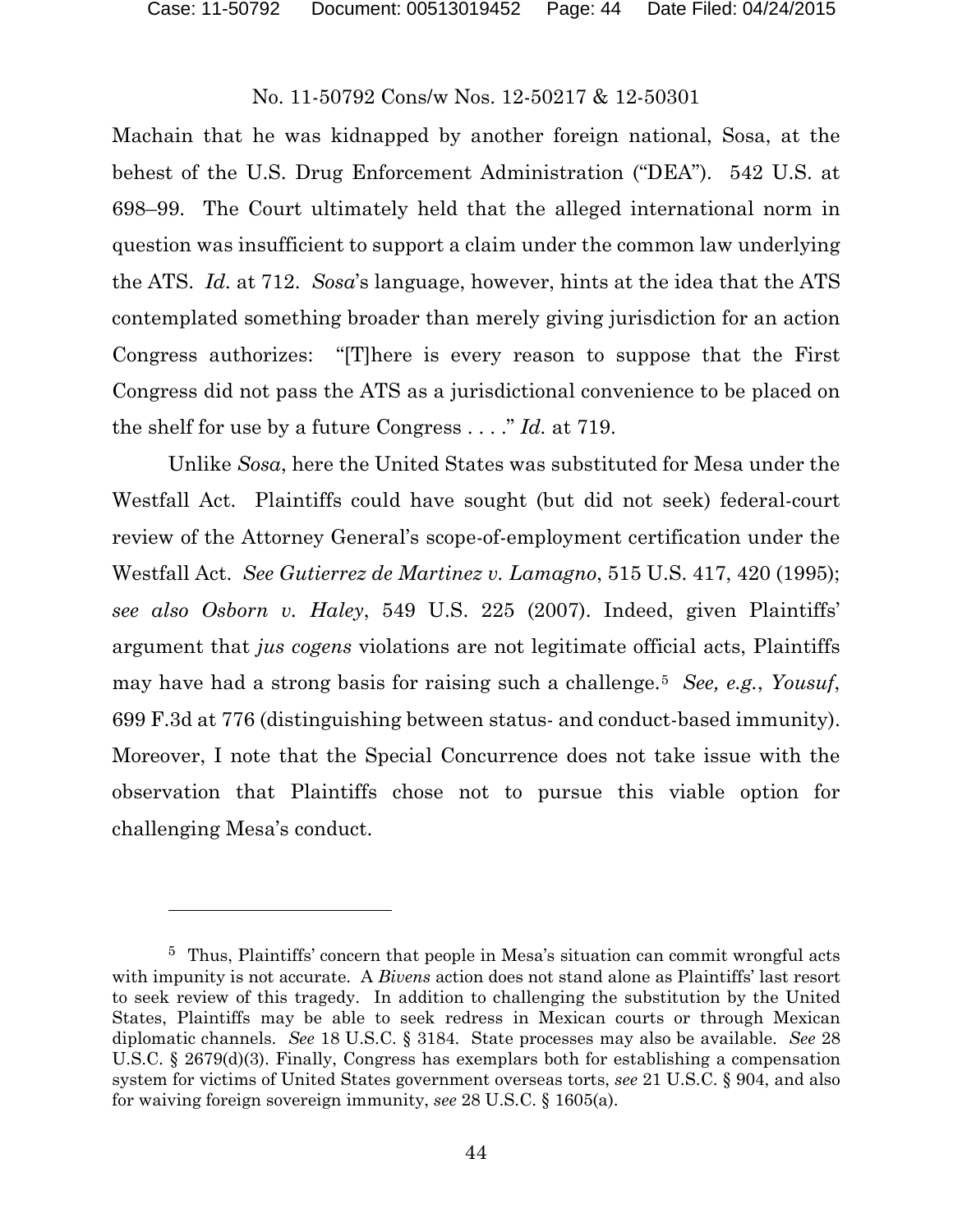$\overline{a}$ 

### No. 11-50792 Cons/w Nos. 12-50217 & 12-50301

Machain that he was kidnapped by another foreign national, Sosa, at the behest of the U.S. Drug Enforcement Administration ("DEA"). 542 U.S. at 698–99. The Court ultimately held that the alleged international norm in question was insufficient to support a claim under the common law underlying the ATS. *Id.* at 712. *Sosa*'s language, however, hints at the idea that the ATS contemplated something broader than merely giving jurisdiction for an action Congress authorizes: "[T]here is every reason to suppose that the First Congress did not pass the ATS as a jurisdictional convenience to be placed on the shelf for use by a future Congress . . . ." *Id.* at 719.

Unlike *Sosa*, here the United States was substituted for Mesa under the Westfall Act. Plaintiffs could have sought (but did not seek) federal-court review of the Attorney General's scope-of-employment certification under the Westfall Act. *See Gutierrez de Martinez v. Lamagno*, 515 U.S. 417, 420 (1995); *see also Osborn v. Haley*, 549 U.S. 225 (2007). Indeed, given Plaintiffs' argument that *jus cogens* violations are not legitimate official acts, Plaintiffs may have had a strong basis for raising such a challenge.[5](#page-43-0) *See, e.g.*, *Yousuf*, 699 F.3d at 776 (distinguishing between status- and conduct-based immunity). Moreover, I note that the Special Concurrence does not take issue with the observation that Plaintiffs chose not to pursue this viable option for challenging Mesa's conduct.

<span id="page-43-0"></span><sup>5</sup> Thus, Plaintiffs' concern that people in Mesa's situation can commit wrongful acts with impunity is not accurate. A *Bivens* action does not stand alone as Plaintiffs' last resort to seek review of this tragedy. In addition to challenging the substitution by the United States, Plaintiffs may be able to seek redress in Mexican courts or through Mexican diplomatic channels. *See* 18 U.S.C. § 3184. State processes may also be available. *See* 28 U.S.C. § 2679(d)(3). Finally, Congress has exemplars both for establishing a compensation system for victims of United States government overseas torts, *see* 21 U.S.C. § 904, and also for waiving foreign sovereign immunity, *see* 28 U.S.C. § 1605(a).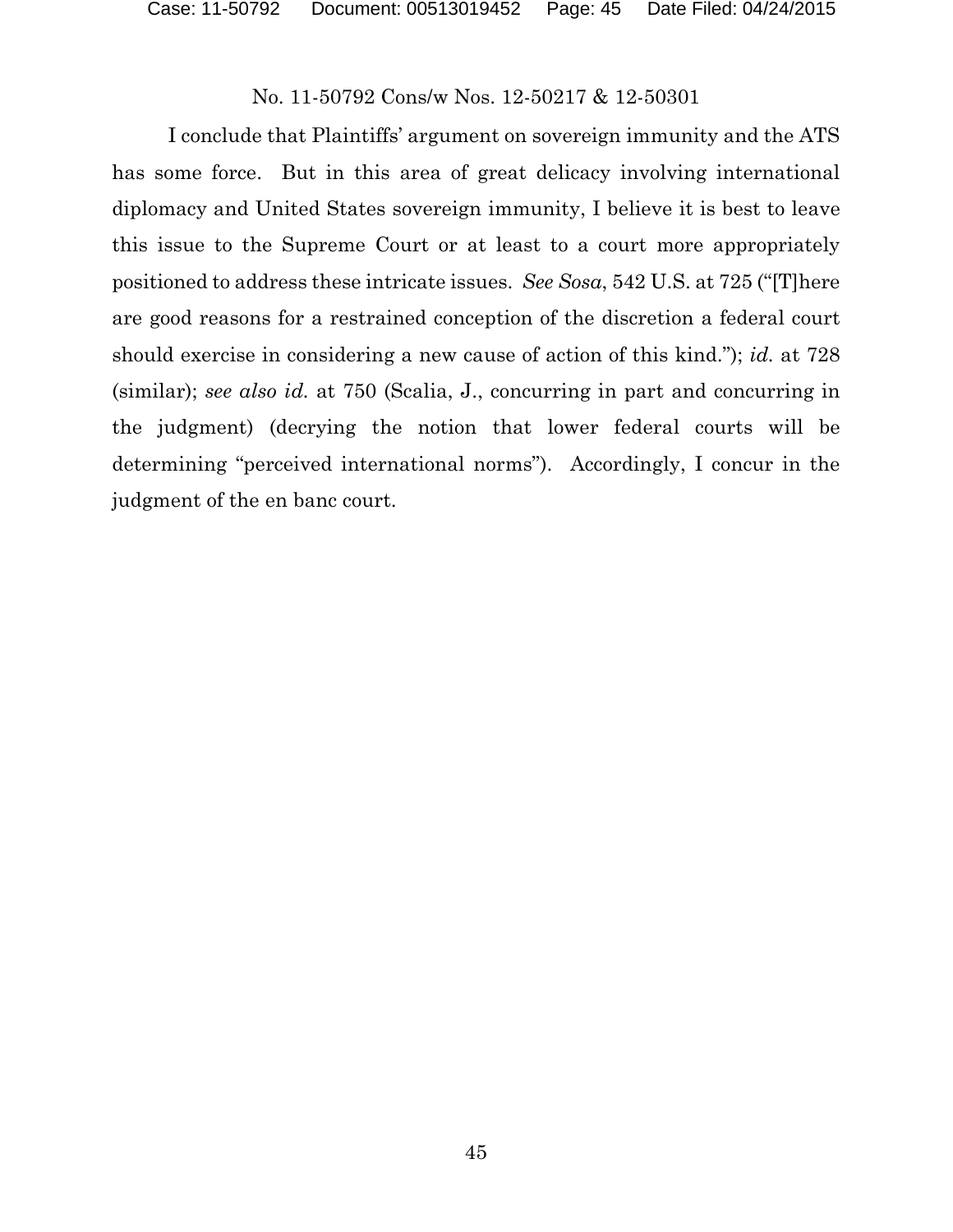I conclude that Plaintiffs' argument on sovereign immunity and the ATS has some force. But in this area of great delicacy involving international diplomacy and United States sovereign immunity, I believe it is best to leave this issue to the Supreme Court or at least to a court more appropriately positioned to address these intricate issues. *See Sosa*, 542 U.S. at 725 ("[T]here are good reasons for a restrained conception of the discretion a federal court should exercise in considering a new cause of action of this kind."); *id.* at 728 (similar); *see also id.* at 750 (Scalia, J., concurring in part and concurring in the judgment) (decrying the notion that lower federal courts will be determining "perceived international norms"). Accordingly, I concur in the judgment of the en banc court.